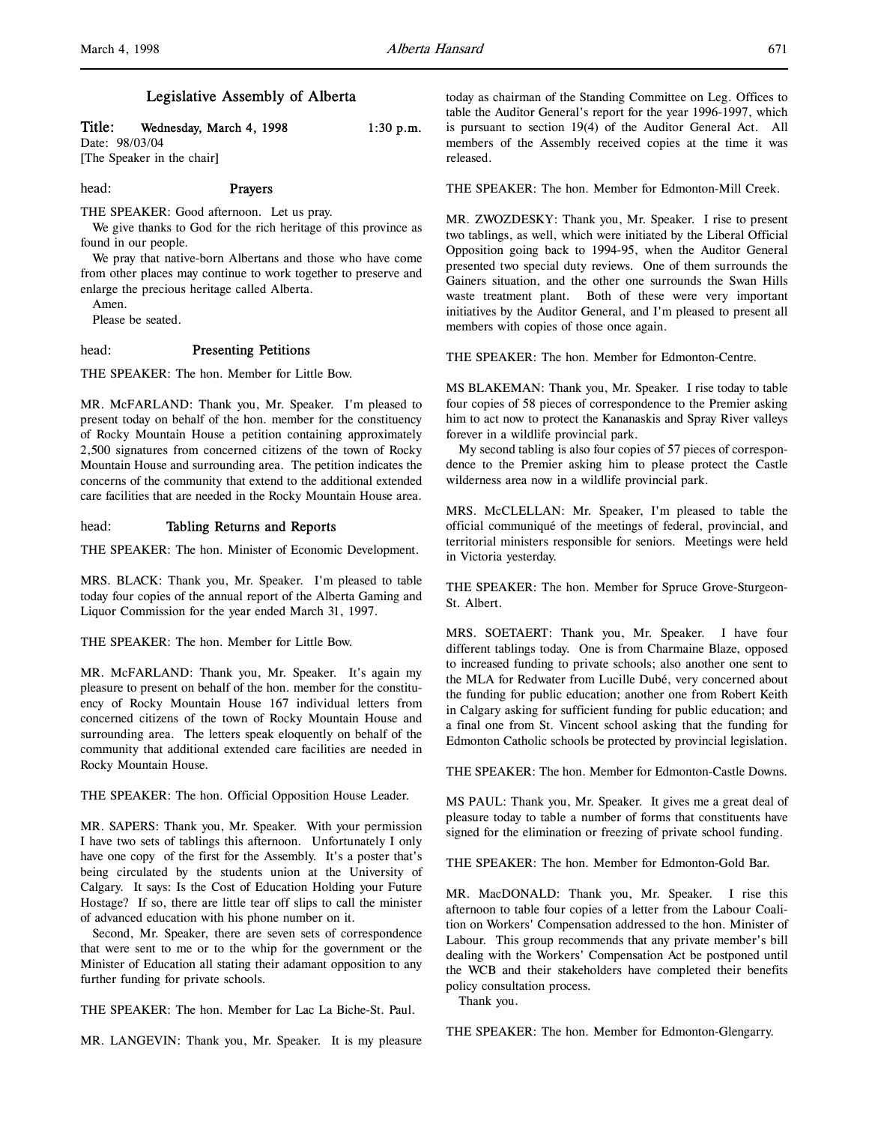## Legislative Assembly of Alberta

# Title: Wednesday, March 4, 1998  $1:30 \text{ p.m.}$

Date: 98/03/04 [The Speaker in the chair]

head: Prayers

THE SPEAKER: Good afternoon. Let us pray.

We give thanks to God for the rich heritage of this province as found in our people.

We pray that native-born Albertans and those who have come from other places may continue to work together to preserve and enlarge the precious heritage called Alberta.

Amen.

Please be seated.

## head: Presenting Petitions

THE SPEAKER: The hon. Member for Little Bow.

MR. McFARLAND: Thank you, Mr. Speaker. I'm pleased to present today on behalf of the hon. member for the constituency of Rocky Mountain House a petition containing approximately 2,500 signatures from concerned citizens of the town of Rocky Mountain House and surrounding area. The petition indicates the concerns of the community that extend to the additional extended care facilities that are needed in the Rocky Mountain House area.

## head: Tabling Returns and Reports

THE SPEAKER: The hon. Minister of Economic Development.

MRS. BLACK: Thank you, Mr. Speaker. I'm pleased to table today four copies of the annual report of the Alberta Gaming and Liquor Commission for the year ended March 31, 1997.

THE SPEAKER: The hon. Member for Little Bow.

MR. McFARLAND: Thank you, Mr. Speaker. It's again my pleasure to present on behalf of the hon. member for the constituency of Rocky Mountain House 167 individual letters from concerned citizens of the town of Rocky Mountain House and surrounding area. The letters speak eloquently on behalf of the community that additional extended care facilities are needed in Rocky Mountain House.

THE SPEAKER: The hon. Official Opposition House Leader.

MR. SAPERS: Thank you, Mr. Speaker. With your permission I have two sets of tablings this afternoon. Unfortunately I only have one copy of the first for the Assembly. It's a poster that's being circulated by the students union at the University of Calgary. It says: Is the Cost of Education Holding your Future Hostage? If so, there are little tear off slips to call the minister of advanced education with his phone number on it.

Second, Mr. Speaker, there are seven sets of correspondence that were sent to me or to the whip for the government or the Minister of Education all stating their adamant opposition to any further funding for private schools.

THE SPEAKER: The hon. Member for Lac La Biche-St. Paul.

MR. LANGEVIN: Thank you, Mr. Speaker. It is my pleasure

today as chairman of the Standing Committee on Leg. Offices to table the Auditor General's report for the year 1996-1997, which is pursuant to section 19(4) of the Auditor General Act. All members of the Assembly received copies at the time it was released.

THE SPEAKER: The hon. Member for Edmonton-Mill Creek.

MR. ZWOZDESKY: Thank you, Mr. Speaker. I rise to present two tablings, as well, which were initiated by the Liberal Official Opposition going back to 1994-95, when the Auditor General presented two special duty reviews. One of them surrounds the Gainers situation, and the other one surrounds the Swan Hills waste treatment plant. Both of these were very important initiatives by the Auditor General, and I'm pleased to present all members with copies of those once again.

THE SPEAKER: The hon. Member for Edmonton-Centre.

MS BLAKEMAN: Thank you, Mr. Speaker. I rise today to table four copies of 58 pieces of correspondence to the Premier asking him to act now to protect the Kananaskis and Spray River valleys forever in a wildlife provincial park.

My second tabling is also four copies of 57 pieces of correspondence to the Premier asking him to please protect the Castle wilderness area now in a wildlife provincial park.

MRS. McCLELLAN: Mr. Speaker, I'm pleased to table the official communiqué of the meetings of federal, provincial, and territorial ministers responsible for seniors. Meetings were held in Victoria yesterday.

THE SPEAKER: The hon. Member for Spruce Grove-Sturgeon-St. Albert.

MRS. SOETAERT: Thank you, Mr. Speaker. I have four different tablings today. One is from Charmaine Blaze, opposed to increased funding to private schools; also another one sent to the MLA for Redwater from Lucille Dubé, very concerned about the funding for public education; another one from Robert Keith in Calgary asking for sufficient funding for public education; and a final one from St. Vincent school asking that the funding for Edmonton Catholic schools be protected by provincial legislation.

THE SPEAKER: The hon. Member for Edmonton-Castle Downs.

MS PAUL: Thank you, Mr. Speaker. It gives me a great deal of pleasure today to table a number of forms that constituents have signed for the elimination or freezing of private school funding.

THE SPEAKER: The hon. Member for Edmonton-Gold Bar.

MR. MacDONALD: Thank you, Mr. Speaker. I rise this afternoon to table four copies of a letter from the Labour Coalition on Workers' Compensation addressed to the hon. Minister of Labour. This group recommends that any private member's bill dealing with the Workers' Compensation Act be postponed until the WCB and their stakeholders have completed their benefits policy consultation process.

Thank you.

THE SPEAKER: The hon. Member for Edmonton-Glengarry.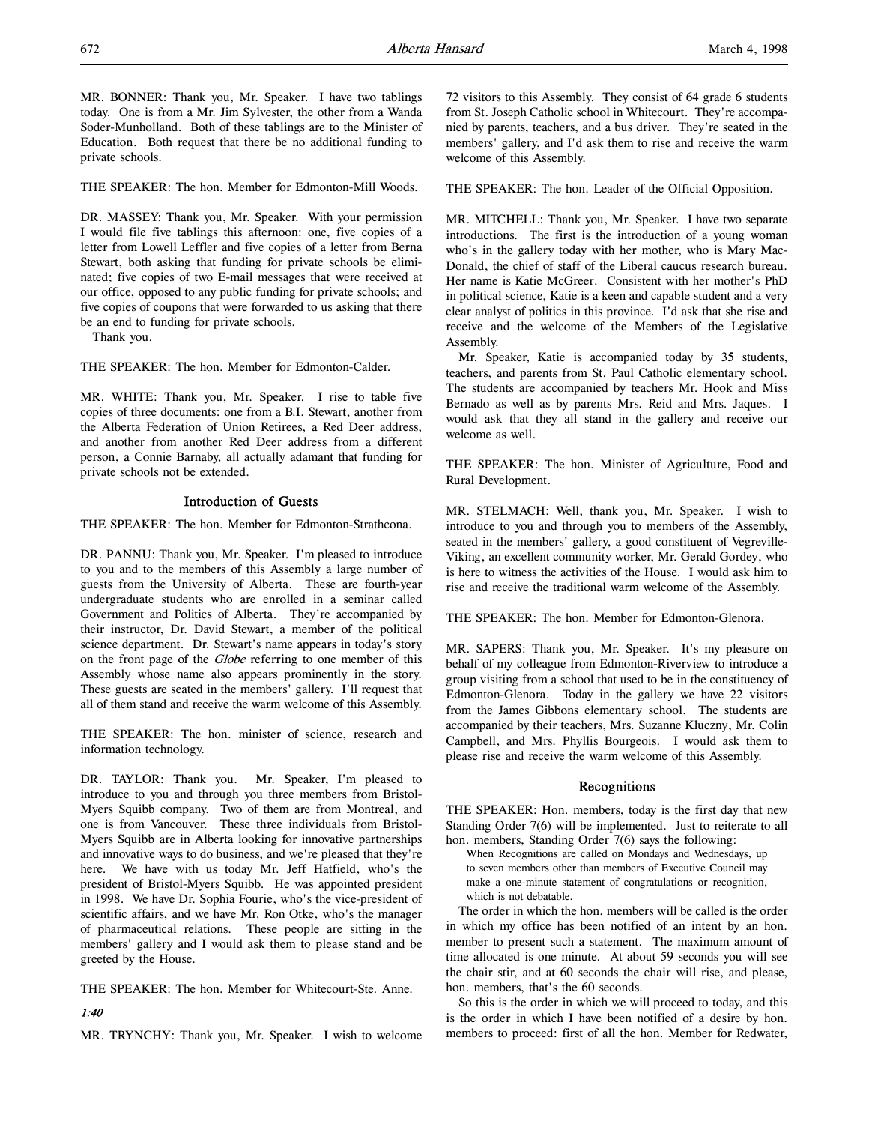MR. BONNER: Thank you, Mr. Speaker. I have two tablings today. One is from a Mr. Jim Sylvester, the other from a Wanda Soder-Munholland. Both of these tablings are to the Minister of Education. Both request that there be no additional funding to private schools.

THE SPEAKER: The hon. Member for Edmonton-Mill Woods.

DR. MASSEY: Thank you, Mr. Speaker. With your permission I would file five tablings this afternoon: one, five copies of a letter from Lowell Leffler and five copies of a letter from Berna Stewart, both asking that funding for private schools be eliminated; five copies of two E-mail messages that were received at our office, opposed to any public funding for private schools; and five copies of coupons that were forwarded to us asking that there be an end to funding for private schools.

Thank you.

THE SPEAKER: The hon. Member for Edmonton-Calder.

MR. WHITE: Thank you, Mr. Speaker. I rise to table five copies of three documents: one from a B.I. Stewart, another from the Alberta Federation of Union Retirees, a Red Deer address, and another from another Red Deer address from a different person, a Connie Barnaby, all actually adamant that funding for private schools not be extended.

## Introduction of Guests

THE SPEAKER: The hon. Member for Edmonton-Strathcona.

DR. PANNU: Thank you, Mr. Speaker. I'm pleased to introduce to you and to the members of this Assembly a large number of guests from the University of Alberta. These are fourth-year undergraduate students who are enrolled in a seminar called Government and Politics of Alberta. They're accompanied by their instructor, Dr. David Stewart, a member of the political science department. Dr. Stewart's name appears in today's story on the front page of the *Globe* referring to one member of this Assembly whose name also appears prominently in the story. These guests are seated in the members' gallery. I'll request that all of them stand and receive the warm welcome of this Assembly.

THE SPEAKER: The hon. minister of science, research and information technology.

DR. TAYLOR: Thank you. Mr. Speaker, I'm pleased to introduce to you and through you three members from Bristol-Myers Squibb company. Two of them are from Montreal, and one is from Vancouver. These three individuals from Bristol-Myers Squibb are in Alberta looking for innovative partnerships and innovative ways to do business, and we're pleased that they're here. We have with us today Mr. Jeff Hatfield, who's the president of Bristol-Myers Squibb. He was appointed president in 1998. We have Dr. Sophia Fourie, who's the vice-president of scientific affairs, and we have Mr. Ron Otke, who's the manager of pharmaceutical relations. These people are sitting in the members' gallery and I would ask them to please stand and be greeted by the House.

THE SPEAKER: The hon. Member for Whitecourt-Ste. Anne.

## 1:40

MR. TRYNCHY: Thank you, Mr. Speaker. I wish to welcome

72 visitors to this Assembly. They consist of 64 grade 6 students from St. Joseph Catholic school in Whitecourt. They're accompanied by parents, teachers, and a bus driver. They're seated in the members' gallery, and I'd ask them to rise and receive the warm welcome of this Assembly.

THE SPEAKER: The hon. Leader of the Official Opposition.

MR. MITCHELL: Thank you, Mr. Speaker. I have two separate introductions. The first is the introduction of a young woman who's in the gallery today with her mother, who is Mary Mac-Donald, the chief of staff of the Liberal caucus research bureau. Her name is Katie McGreer. Consistent with her mother's PhD in political science, Katie is a keen and capable student and a very clear analyst of politics in this province. I'd ask that she rise and receive and the welcome of the Members of the Legislative Assembly.

Mr. Speaker, Katie is accompanied today by 35 students, teachers, and parents from St. Paul Catholic elementary school. The students are accompanied by teachers Mr. Hook and Miss Bernado as well as by parents Mrs. Reid and Mrs. Jaques. I would ask that they all stand in the gallery and receive our welcome as well.

THE SPEAKER: The hon. Minister of Agriculture, Food and Rural Development.

MR. STELMACH: Well, thank you, Mr. Speaker. I wish to introduce to you and through you to members of the Assembly, seated in the members' gallery, a good constituent of Vegreville-Viking, an excellent community worker, Mr. Gerald Gordey, who is here to witness the activities of the House. I would ask him to rise and receive the traditional warm welcome of the Assembly.

THE SPEAKER: The hon. Member for Edmonton-Glenora.

MR. SAPERS: Thank you, Mr. Speaker. It's my pleasure on behalf of my colleague from Edmonton-Riverview to introduce a group visiting from a school that used to be in the constituency of Edmonton-Glenora. Today in the gallery we have 22 visitors from the James Gibbons elementary school. The students are accompanied by their teachers, Mrs. Suzanne Kluczny, Mr. Colin Campbell, and Mrs. Phyllis Bourgeois. I would ask them to please rise and receive the warm welcome of this Assembly.

## Recognitions

THE SPEAKER: Hon. members, today is the first day that new Standing Order 7(6) will be implemented. Just to reiterate to all hon. members, Standing Order 7(6) says the following:

When Recognitions are called on Mondays and Wednesdays, up to seven members other than members of Executive Council may make a one-minute statement of congratulations or recognition, which is not debatable.

The order in which the hon. members will be called is the order in which my office has been notified of an intent by an hon. member to present such a statement. The maximum amount of time allocated is one minute. At about 59 seconds you will see the chair stir, and at 60 seconds the chair will rise, and please, hon. members, that's the 60 seconds.

So this is the order in which we will proceed to today, and this is the order in which I have been notified of a desire by hon. members to proceed: first of all the hon. Member for Redwater,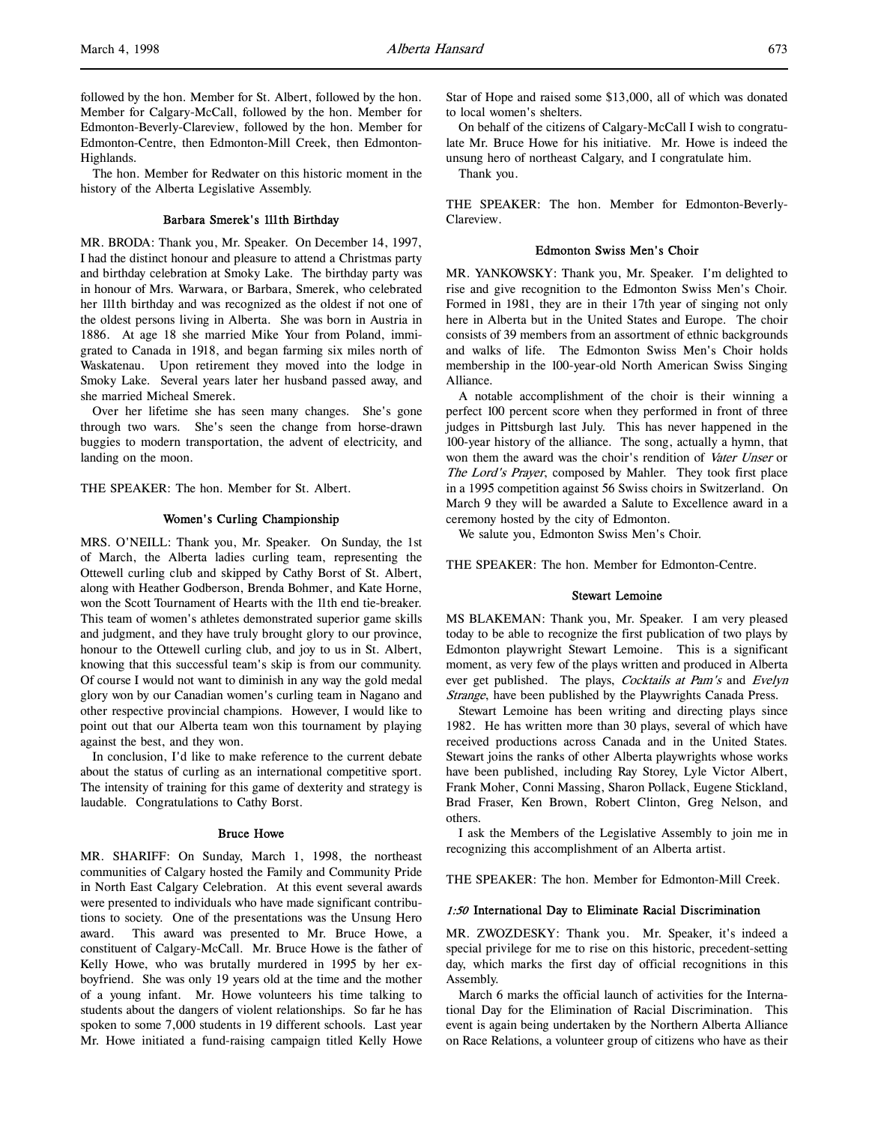followed by the hon. Member for St. Albert, followed by the hon. Member for Calgary-McCall, followed by the hon. Member for Edmonton-Beverly-Clareview, followed by the hon. Member for Edmonton-Centre, then Edmonton-Mill Creek, then Edmonton-Highlands.

The hon. Member for Redwater on this historic moment in the history of the Alberta Legislative Assembly.

## Barbara Smerek's 111th Birthday

MR. BRODA: Thank you, Mr. Speaker. On December 14, 1997, I had the distinct honour and pleasure to attend a Christmas party and birthday celebration at Smoky Lake. The birthday party was in honour of Mrs. Warwara, or Barbara, Smerek, who celebrated her 111th birthday and was recognized as the oldest if not one of the oldest persons living in Alberta. She was born in Austria in 1886. At age 18 she married Mike Your from Poland, immigrated to Canada in 1918, and began farming six miles north of Waskatenau. Upon retirement they moved into the lodge in Smoky Lake. Several years later her husband passed away, and she married Micheal Smerek.

Over her lifetime she has seen many changes. She's gone through two wars. She's seen the change from horse-drawn buggies to modern transportation, the advent of electricity, and landing on the moon.

THE SPEAKER: The hon. Member for St. Albert.

#### Women's Curling Championship

MRS. O'NEILL: Thank you, Mr. Speaker. On Sunday, the 1st of March, the Alberta ladies curling team, representing the Ottewell curling club and skipped by Cathy Borst of St. Albert, along with Heather Godberson, Brenda Bohmer, and Kate Horne, won the Scott Tournament of Hearts with the 11th end tie-breaker. This team of women's athletes demonstrated superior game skills and judgment, and they have truly brought glory to our province, honour to the Ottewell curling club, and joy to us in St. Albert, knowing that this successful team's skip is from our community. Of course I would not want to diminish in any way the gold medal glory won by our Canadian women's curling team in Nagano and other respective provincial champions. However, I would like to point out that our Alberta team won this tournament by playing against the best, and they won.

In conclusion, I'd like to make reference to the current debate about the status of curling as an international competitive sport. The intensity of training for this game of dexterity and strategy is laudable. Congratulations to Cathy Borst.

#### Bruce Howe

MR. SHARIFF: On Sunday, March 1, 1998, the northeast communities of Calgary hosted the Family and Community Pride in North East Calgary Celebration. At this event several awards were presented to individuals who have made significant contributions to society. One of the presentations was the Unsung Hero award. This award was presented to Mr. Bruce Howe, a constituent of Calgary-McCall. Mr. Bruce Howe is the father of Kelly Howe, who was brutally murdered in 1995 by her exboyfriend. She was only 19 years old at the time and the mother of a young infant. Mr. Howe volunteers his time talking to students about the dangers of violent relationships. So far he has spoken to some 7,000 students in 19 different schools. Last year Mr. Howe initiated a fund-raising campaign titled Kelly Howe

Star of Hope and raised some \$13,000, all of which was donated to local women's shelters.

On behalf of the citizens of Calgary-McCall I wish to congratulate Mr. Bruce Howe for his initiative. Mr. Howe is indeed the unsung hero of northeast Calgary, and I congratulate him.

Thank you.

THE SPEAKER: The hon. Member for Edmonton-Beverly-Clareview.

#### Edmonton Swiss Men's Choir

MR. YANKOWSKY: Thank you, Mr. Speaker. I'm delighted to rise and give recognition to the Edmonton Swiss Men's Choir. Formed in 1981, they are in their 17th year of singing not only here in Alberta but in the United States and Europe. The choir consists of 39 members from an assortment of ethnic backgrounds and walks of life. The Edmonton Swiss Men's Choir holds membership in the 100-year-old North American Swiss Singing Alliance.

A notable accomplishment of the choir is their winning a perfect 100 percent score when they performed in front of three judges in Pittsburgh last July. This has never happened in the 100-year history of the alliance. The song, actually a hymn, that won them the award was the choir's rendition of Vater Unser or The Lord's Prayer, composed by Mahler. They took first place in a 1995 competition against 56 Swiss choirs in Switzerland. On March 9 they will be awarded a Salute to Excellence award in a ceremony hosted by the city of Edmonton.

We salute you, Edmonton Swiss Men's Choir.

THE SPEAKER: The hon. Member for Edmonton-Centre.

## Stewart Lemoine

MS BLAKEMAN: Thank you, Mr. Speaker. I am very pleased today to be able to recognize the first publication of two plays by Edmonton playwright Stewart Lemoine. This is a significant moment, as very few of the plays written and produced in Alberta ever get published. The plays, Cocktails at Pam's and Evelyn Strange, have been published by the Playwrights Canada Press.

Stewart Lemoine has been writing and directing plays since 1982. He has written more than 30 plays, several of which have received productions across Canada and in the United States. Stewart joins the ranks of other Alberta playwrights whose works have been published, including Ray Storey, Lyle Victor Albert, Frank Moher, Conni Massing, Sharon Pollack, Eugene Stickland, Brad Fraser, Ken Brown, Robert Clinton, Greg Nelson, and others.

I ask the Members of the Legislative Assembly to join me in recognizing this accomplishment of an Alberta artist.

THE SPEAKER: The hon. Member for Edmonton-Mill Creek.

#### 1:50 International Day to Eliminate Racial Discrimination

MR. ZWOZDESKY: Thank you. Mr. Speaker, it's indeed a special privilege for me to rise on this historic, precedent-setting day, which marks the first day of official recognitions in this Assembly.

March 6 marks the official launch of activities for the International Day for the Elimination of Racial Discrimination. This event is again being undertaken by the Northern Alberta Alliance on Race Relations, a volunteer group of citizens who have as their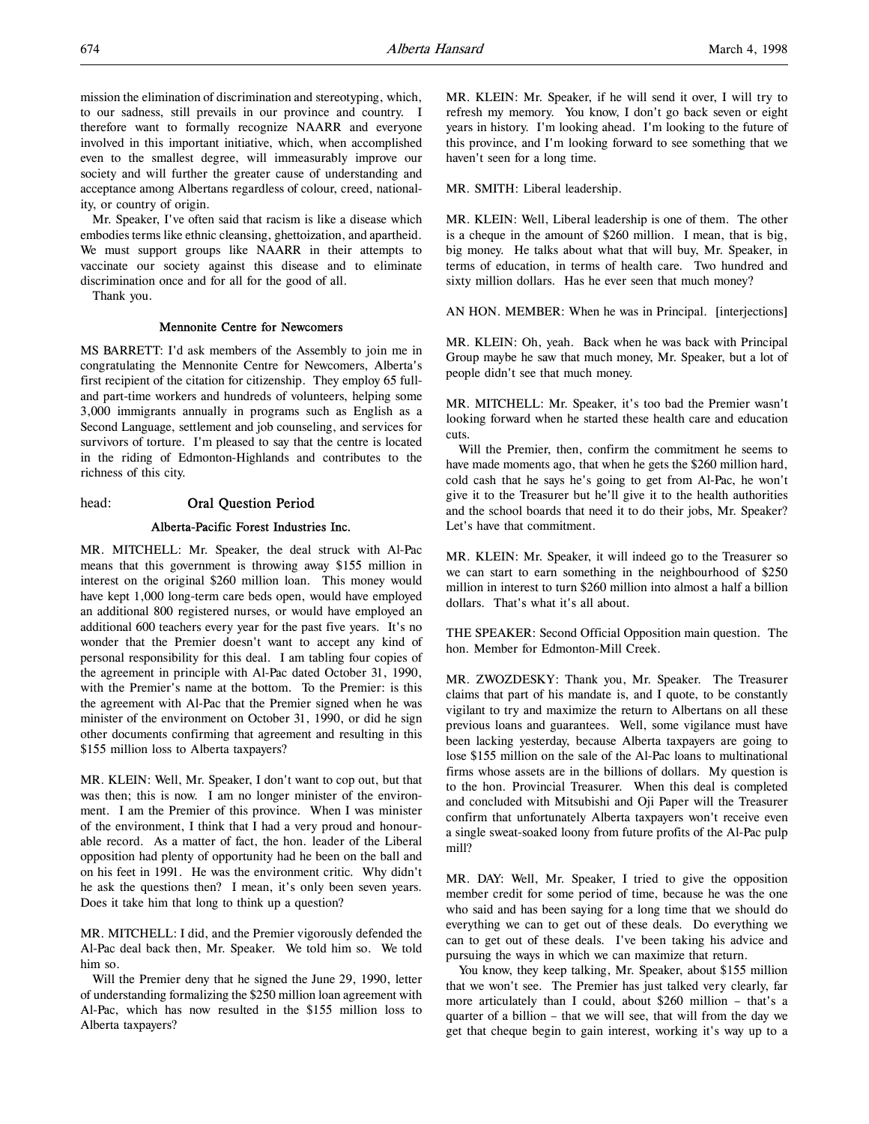mission the elimination of discrimination and stereotyping, which, to our sadness, still prevails in our province and country. I therefore want to formally recognize NAARR and everyone involved in this important initiative, which, when accomplished even to the smallest degree, will immeasurably improve our society and will further the greater cause of understanding and acceptance among Albertans regardless of colour, creed, nationality, or country of origin.

Mr. Speaker, I've often said that racism is like a disease which embodies terms like ethnic cleansing, ghettoization, and apartheid. We must support groups like NAARR in their attempts to vaccinate our society against this disease and to eliminate discrimination once and for all for the good of all.

Thank you.

## Mennonite Centre for Newcomers

MS BARRETT: I'd ask members of the Assembly to join me in congratulating the Mennonite Centre for Newcomers, Alberta's first recipient of the citation for citizenship. They employ 65 fulland part-time workers and hundreds of volunteers, helping some 3,000 immigrants annually in programs such as English as a Second Language, settlement and job counseling, and services for survivors of torture. I'm pleased to say that the centre is located in the riding of Edmonton-Highlands and contributes to the richness of this city.

head: Oral Question Period

#### Alberta-Pacific Forest Industries Inc.

MR. MITCHELL: Mr. Speaker, the deal struck with Al-Pac means that this government is throwing away \$155 million in interest on the original \$260 million loan. This money would have kept 1,000 long-term care beds open, would have employed an additional 800 registered nurses, or would have employed an additional 600 teachers every year for the past five years. It's no wonder that the Premier doesn't want to accept any kind of personal responsibility for this deal. I am tabling four copies of the agreement in principle with Al-Pac dated October 31, 1990, with the Premier's name at the bottom. To the Premier: is this the agreement with Al-Pac that the Premier signed when he was minister of the environment on October 31, 1990, or did he sign other documents confirming that agreement and resulting in this \$155 million loss to Alberta taxpayers?

MR. KLEIN: Well, Mr. Speaker, I don't want to cop out, but that was then; this is now. I am no longer minister of the environment. I am the Premier of this province. When I was minister of the environment, I think that I had a very proud and honourable record. As a matter of fact, the hon. leader of the Liberal opposition had plenty of opportunity had he been on the ball and on his feet in 1991. He was the environment critic. Why didn't he ask the questions then? I mean, it's only been seven years. Does it take him that long to think up a question?

MR. MITCHELL: I did, and the Premier vigorously defended the Al-Pac deal back then, Mr. Speaker. We told him so. We told him so.

Will the Premier deny that he signed the June 29, 1990, letter of understanding formalizing the \$250 million loan agreement with Al-Pac, which has now resulted in the \$155 million loss to Alberta taxpayers?

MR. KLEIN: Mr. Speaker, if he will send it over, I will try to refresh my memory. You know, I don't go back seven or eight years in history. I'm looking ahead. I'm looking to the future of this province, and I'm looking forward to see something that we haven't seen for a long time.

MR. SMITH: Liberal leadership.

MR. KLEIN: Well, Liberal leadership is one of them. The other is a cheque in the amount of \$260 million. I mean, that is big, big money. He talks about what that will buy, Mr. Speaker, in terms of education, in terms of health care. Two hundred and sixty million dollars. Has he ever seen that much money?

AN HON. MEMBER: When he was in Principal. [interjections]

MR. KLEIN: Oh, yeah. Back when he was back with Principal Group maybe he saw that much money, Mr. Speaker, but a lot of people didn't see that much money.

MR. MITCHELL: Mr. Speaker, it's too bad the Premier wasn't looking forward when he started these health care and education cuts.

Will the Premier, then, confirm the commitment he seems to have made moments ago, that when he gets the \$260 million hard, cold cash that he says he's going to get from Al-Pac, he won't give it to the Treasurer but he'll give it to the health authorities and the school boards that need it to do their jobs, Mr. Speaker? Let's have that commitment.

MR. KLEIN: Mr. Speaker, it will indeed go to the Treasurer so we can start to earn something in the neighbourhood of \$250 million in interest to turn \$260 million into almost a half a billion dollars. That's what it's all about.

THE SPEAKER: Second Official Opposition main question. The hon. Member for Edmonton-Mill Creek.

MR. ZWOZDESKY: Thank you, Mr. Speaker. The Treasurer claims that part of his mandate is, and I quote, to be constantly vigilant to try and maximize the return to Albertans on all these previous loans and guarantees. Well, some vigilance must have been lacking yesterday, because Alberta taxpayers are going to lose \$155 million on the sale of the Al-Pac loans to multinational firms whose assets are in the billions of dollars. My question is to the hon. Provincial Treasurer. When this deal is completed and concluded with Mitsubishi and Oji Paper will the Treasurer confirm that unfortunately Alberta taxpayers won't receive even a single sweat-soaked loony from future profits of the Al-Pac pulp mill?

MR. DAY: Well, Mr. Speaker, I tried to give the opposition member credit for some period of time, because he was the one who said and has been saying for a long time that we should do everything we can to get out of these deals. Do everything we can to get out of these deals. I've been taking his advice and pursuing the ways in which we can maximize that return.

You know, they keep talking, Mr. Speaker, about \$155 million that we won't see. The Premier has just talked very clearly, far more articulately than I could, about \$260 million – that's a quarter of a billion – that we will see, that will from the day we get that cheque begin to gain interest, working it's way up to a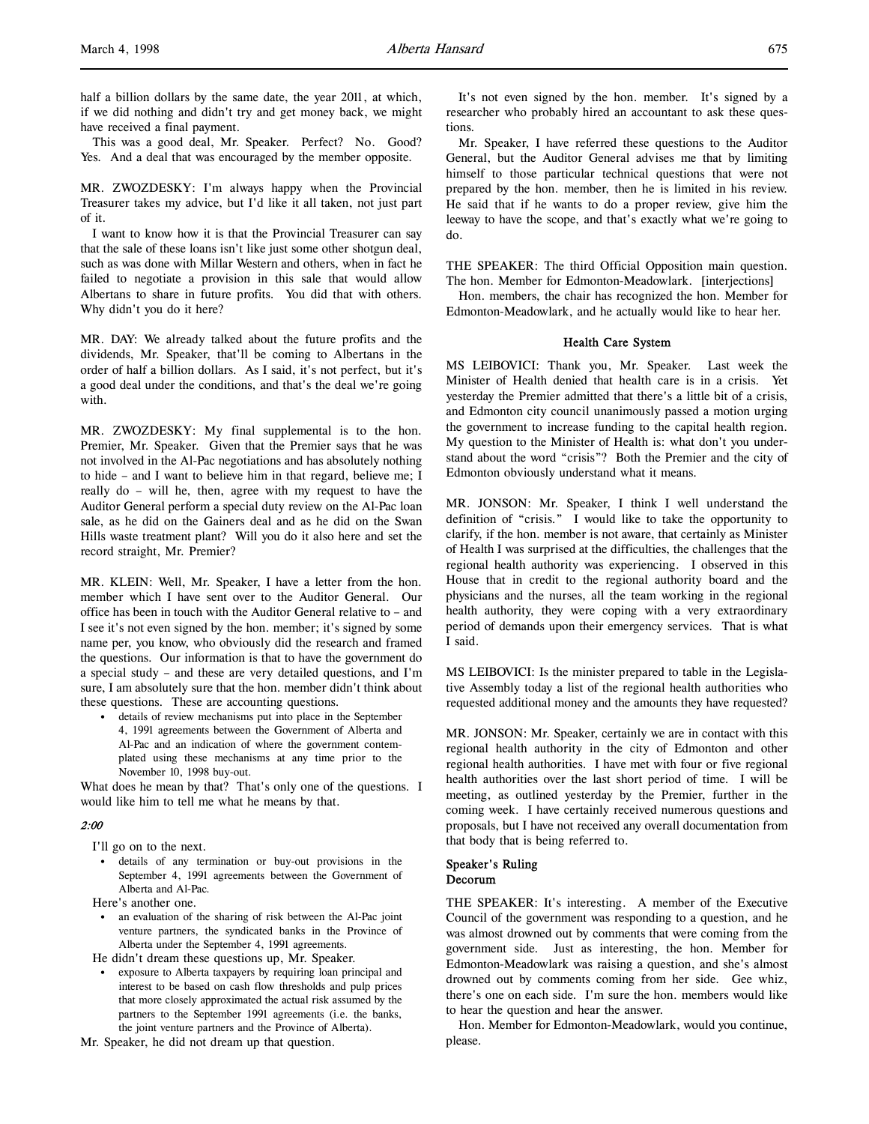half a billion dollars by the same date, the year 2011, at which, if we did nothing and didn't try and get money back, we might have received a final payment.

This was a good deal, Mr. Speaker. Perfect? No. Good? Yes. And a deal that was encouraged by the member opposite.

MR. ZWOZDESKY: I'm always happy when the Provincial Treasurer takes my advice, but I'd like it all taken, not just part of it.

I want to know how it is that the Provincial Treasurer can say that the sale of these loans isn't like just some other shotgun deal, such as was done with Millar Western and others, when in fact he failed to negotiate a provision in this sale that would allow Albertans to share in future profits. You did that with others. Why didn't you do it here?

MR. DAY: We already talked about the future profits and the dividends, Mr. Speaker, that'll be coming to Albertans in the order of half a billion dollars. As I said, it's not perfect, but it's a good deal under the conditions, and that's the deal we're going with.

MR. ZWOZDESKY: My final supplemental is to the hon. Premier, Mr. Speaker. Given that the Premier says that he was not involved in the Al-Pac negotiations and has absolutely nothing to hide – and I want to believe him in that regard, believe me; I really do – will he, then, agree with my request to have the Auditor General perform a special duty review on the Al-Pac loan sale, as he did on the Gainers deal and as he did on the Swan Hills waste treatment plant? Will you do it also here and set the record straight, Mr. Premier?

MR. KLEIN: Well, Mr. Speaker, I have a letter from the hon. member which I have sent over to the Auditor General. Our office has been in touch with the Auditor General relative to – and I see it's not even signed by the hon. member; it's signed by some name per, you know, who obviously did the research and framed the questions. Our information is that to have the government do a special study – and these are very detailed questions, and I'm sure, I am absolutely sure that the hon. member didn't think about these questions. These are accounting questions.

• details of review mechanisms put into place in the September 4, 1991 agreements between the Government of Alberta and Al-Pac and an indication of where the government contemplated using these mechanisms at any time prior to the November 10, 1998 buy-out.

What does he mean by that? That's only one of the questions. I would like him to tell me what he means by that.

## 2:00

I'll go on to the next.

• details of any termination or buy-out provisions in the September 4, 1991 agreements between the Government of Alberta and Al-Pac.

Here's another one.

• an evaluation of the sharing of risk between the Al-Pac joint venture partners, the syndicated banks in the Province of Alberta under the September 4, 1991 agreements.

He didn't dream these questions up, Mr. Speaker.

• exposure to Alberta taxpayers by requiring loan principal and interest to be based on cash flow thresholds and pulp prices that more closely approximated the actual risk assumed by the partners to the September 1991 agreements (i.e. the banks, the joint venture partners and the Province of Alberta).

Mr. Speaker, he did not dream up that question.

It's not even signed by the hon. member. It's signed by a researcher who probably hired an accountant to ask these questions.

Mr. Speaker, I have referred these questions to the Auditor General, but the Auditor General advises me that by limiting himself to those particular technical questions that were not prepared by the hon. member, then he is limited in his review. He said that if he wants to do a proper review, give him the leeway to have the scope, and that's exactly what we're going to do.

THE SPEAKER: The third Official Opposition main question. The hon. Member for Edmonton-Meadowlark. [interjections]

Hon. members, the chair has recognized the hon. Member for Edmonton-Meadowlark, and he actually would like to hear her.

## Health Care System

MS LEIBOVICI: Thank you, Mr. Speaker. Last week the Minister of Health denied that health care is in a crisis. Yet yesterday the Premier admitted that there's a little bit of a crisis, and Edmonton city council unanimously passed a motion urging the government to increase funding to the capital health region. My question to the Minister of Health is: what don't you understand about the word "crisis"? Both the Premier and the city of Edmonton obviously understand what it means.

MR. JONSON: Mr. Speaker, I think I well understand the definition of "crisis." I would like to take the opportunity to clarify, if the hon. member is not aware, that certainly as Minister of Health I was surprised at the difficulties, the challenges that the regional health authority was experiencing. I observed in this House that in credit to the regional authority board and the physicians and the nurses, all the team working in the regional health authority, they were coping with a very extraordinary period of demands upon their emergency services. That is what I said.

MS LEIBOVICI: Is the minister prepared to table in the Legislative Assembly today a list of the regional health authorities who requested additional money and the amounts they have requested?

MR. JONSON: Mr. Speaker, certainly we are in contact with this regional health authority in the city of Edmonton and other regional health authorities. I have met with four or five regional health authorities over the last short period of time. I will be meeting, as outlined yesterday by the Premier, further in the coming week. I have certainly received numerous questions and proposals, but I have not received any overall documentation from that body that is being referred to.

## Speaker's Ruling Decorum

THE SPEAKER: It's interesting. A member of the Executive Council of the government was responding to a question, and he was almost drowned out by comments that were coming from the government side. Just as interesting, the hon. Member for Edmonton-Meadowlark was raising a question, and she's almost drowned out by comments coming from her side. Gee whiz, there's one on each side. I'm sure the hon. members would like to hear the question and hear the answer.

Hon. Member for Edmonton-Meadowlark, would you continue, please.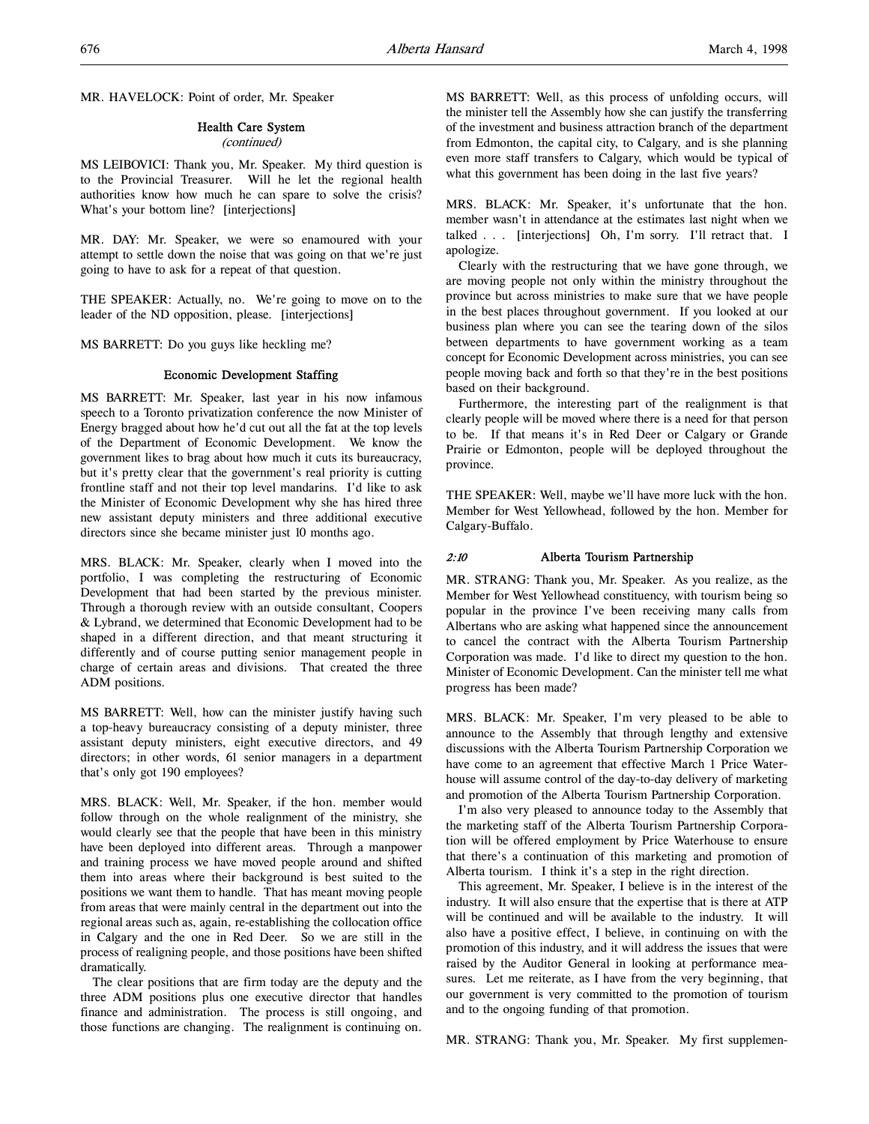MR. HAVELOCK: Point of order, Mr. Speaker

#### Health Care System

#### (continued)

MS LEIBOVICI: Thank you, Mr. Speaker. My third question is to the Provincial Treasurer. Will he let the regional health authorities know how much he can spare to solve the crisis? What's your bottom line? [interjections]

MR. DAY: Mr. Speaker, we were so enamoured with your attempt to settle down the noise that was going on that we're just going to have to ask for a repeat of that question.

THE SPEAKER: Actually, no. We're going to move on to the leader of the ND opposition, please. [interjections]

MS BARRETT: Do you guys like heckling me?

## Economic Development Staffing

MS BARRETT: Mr. Speaker, last year in his now infamous speech to a Toronto privatization conference the now Minister of Energy bragged about how he'd cut out all the fat at the top levels of the Department of Economic Development. We know the government likes to brag about how much it cuts its bureaucracy, but it's pretty clear that the government's real priority is cutting frontline staff and not their top level mandarins. I'd like to ask the Minister of Economic Development why she has hired three new assistant deputy ministers and three additional executive directors since she became minister just 10 months ago.

MRS. BLACK: Mr. Speaker, clearly when I moved into the portfolio, I was completing the restructuring of Economic Development that had been started by the previous minister. Through a thorough review with an outside consultant, Coopers & Lybrand, we determined that Economic Development had to be shaped in a different direction, and that meant structuring it differently and of course putting senior management people in charge of certain areas and divisions. That created the three ADM positions.

MS BARRETT: Well, how can the minister justify having such a top-heavy bureaucracy consisting of a deputy minister, three assistant deputy ministers, eight executive directors, and 49 directors; in other words, 61 senior managers in a department that's only got 190 employees?

MRS. BLACK: Well, Mr. Speaker, if the hon. member would follow through on the whole realignment of the ministry, she would clearly see that the people that have been in this ministry have been deployed into different areas. Through a manpower and training process we have moved people around and shifted them into areas where their background is best suited to the positions we want them to handle. That has meant moving people from areas that were mainly central in the department out into the regional areas such as, again, re-establishing the collocation office in Calgary and the one in Red Deer. So we are still in the process of realigning people, and those positions have been shifted dramatically.

The clear positions that are firm today are the deputy and the three ADM positions plus one executive director that handles finance and administration. The process is still ongoing, and those functions are changing. The realignment is continuing on.

MS BARRETT: Well, as this process of unfolding occurs, will the minister tell the Assembly how she can justify the transferring of the investment and business attraction branch of the department from Edmonton, the capital city, to Calgary, and is she planning even more staff transfers to Calgary, which would be typical of what this government has been doing in the last five years?

MRS. BLACK: Mr. Speaker, it's unfortunate that the hon. member wasn't in attendance at the estimates last night when we talked . . . [interjections] Oh, I'm sorry. I'll retract that. I apologize.

Clearly with the restructuring that we have gone through, we are moving people not only within the ministry throughout the province but across ministries to make sure that we have people in the best places throughout government. If you looked at our business plan where you can see the tearing down of the silos between departments to have government working as a team concept for Economic Development across ministries, you can see people moving back and forth so that they're in the best positions based on their background.

Furthermore, the interesting part of the realignment is that clearly people will be moved where there is a need for that person to be. If that means it's in Red Deer or Calgary or Grande Prairie or Edmonton, people will be deployed throughout the province.

THE SPEAKER: Well, maybe we'll have more luck with the hon. Member for West Yellowhead, followed by the hon. Member for Calgary-Buffalo.

## 2:10 Alberta Tourism Partnership

MR. STRANG: Thank you, Mr. Speaker. As you realize, as the Member for West Yellowhead constituency, with tourism being so popular in the province I've been receiving many calls from Albertans who are asking what happened since the announcement to cancel the contract with the Alberta Tourism Partnership Corporation was made. I'd like to direct my question to the hon. Minister of Economic Development. Can the minister tell me what progress has been made?

MRS. BLACK: Mr. Speaker, I'm very pleased to be able to announce to the Assembly that through lengthy and extensive discussions with the Alberta Tourism Partnership Corporation we have come to an agreement that effective March 1 Price Waterhouse will assume control of the day-to-day delivery of marketing and promotion of the Alberta Tourism Partnership Corporation.

I'm also very pleased to announce today to the Assembly that the marketing staff of the Alberta Tourism Partnership Corporation will be offered employment by Price Waterhouse to ensure that there's a continuation of this marketing and promotion of Alberta tourism. I think it's a step in the right direction.

This agreement, Mr. Speaker, I believe is in the interest of the industry. It will also ensure that the expertise that is there at ATP will be continued and will be available to the industry. It will also have a positive effect, I believe, in continuing on with the promotion of this industry, and it will address the issues that were raised by the Auditor General in looking at performance measures. Let me reiterate, as I have from the very beginning, that our government is very committed to the promotion of tourism and to the ongoing funding of that promotion.

MR. STRANG: Thank you, Mr. Speaker. My first supplemen-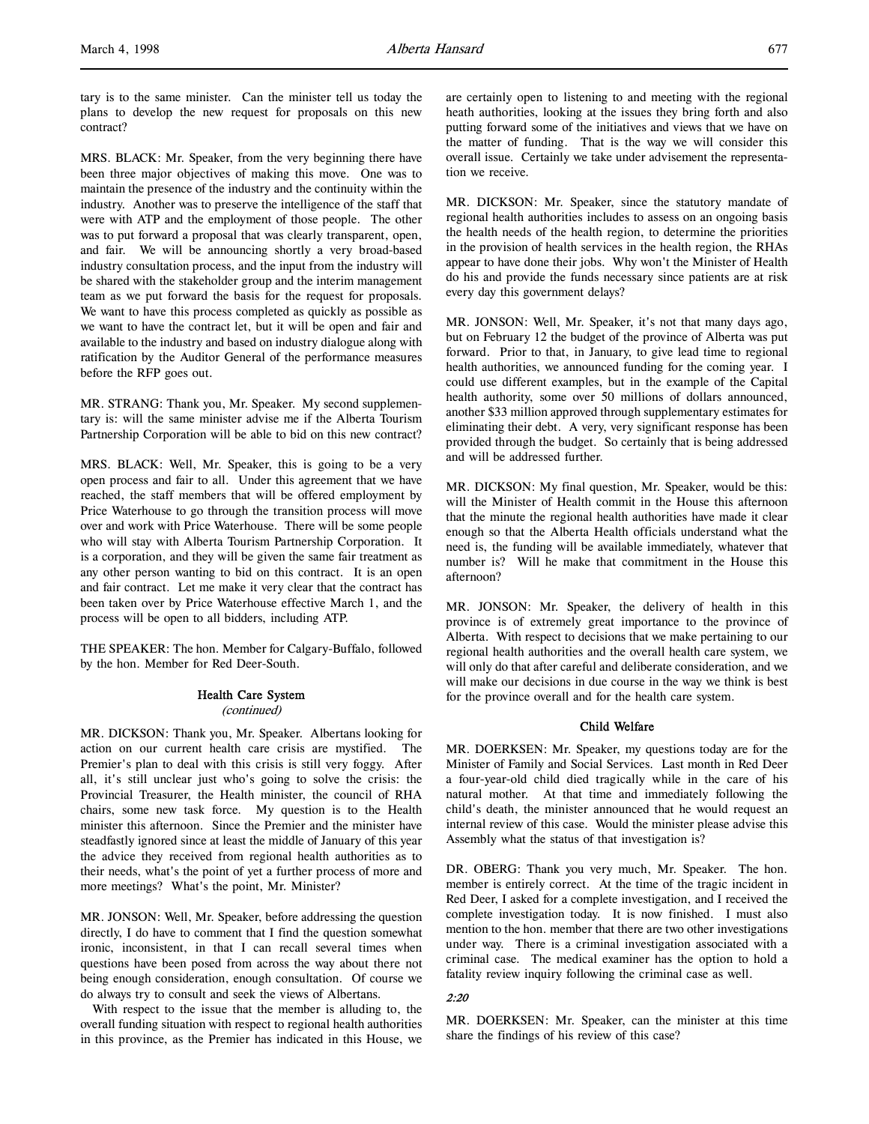MRS. BLACK: Mr. Speaker, from the very beginning there have been three major objectives of making this move. One was to maintain the presence of the industry and the continuity within the industry. Another was to preserve the intelligence of the staff that were with ATP and the employment of those people. The other was to put forward a proposal that was clearly transparent, open, and fair. We will be announcing shortly a very broad-based industry consultation process, and the input from the industry will be shared with the stakeholder group and the interim management team as we put forward the basis for the request for proposals. We want to have this process completed as quickly as possible as we want to have the contract let, but it will be open and fair and available to the industry and based on industry dialogue along with ratification by the Auditor General of the performance measures before the RFP goes out.

MR. STRANG: Thank you, Mr. Speaker. My second supplementary is: will the same minister advise me if the Alberta Tourism Partnership Corporation will be able to bid on this new contract?

MRS. BLACK: Well, Mr. Speaker, this is going to be a very open process and fair to all. Under this agreement that we have reached, the staff members that will be offered employment by Price Waterhouse to go through the transition process will move over and work with Price Waterhouse. There will be some people who will stay with Alberta Tourism Partnership Corporation. It is a corporation, and they will be given the same fair treatment as any other person wanting to bid on this contract. It is an open and fair contract. Let me make it very clear that the contract has been taken over by Price Waterhouse effective March 1, and the process will be open to all bidders, including ATP.

THE SPEAKER: The hon. Member for Calgary-Buffalo, followed by the hon. Member for Red Deer-South.

## Health Care System (continued)

MR. DICKSON: Thank you, Mr. Speaker. Albertans looking for action on our current health care crisis are mystified. The Premier's plan to deal with this crisis is still very foggy. After all, it's still unclear just who's going to solve the crisis: the Provincial Treasurer, the Health minister, the council of RHA chairs, some new task force. My question is to the Health minister this afternoon. Since the Premier and the minister have steadfastly ignored since at least the middle of January of this year the advice they received from regional health authorities as to their needs, what's the point of yet a further process of more and more meetings? What's the point, Mr. Minister?

MR. JONSON: Well, Mr. Speaker, before addressing the question directly, I do have to comment that I find the question somewhat ironic, inconsistent, in that I can recall several times when questions have been posed from across the way about there not being enough consideration, enough consultation. Of course we do always try to consult and seek the views of Albertans.

With respect to the issue that the member is alluding to, the overall funding situation with respect to regional health authorities in this province, as the Premier has indicated in this House, we

are certainly open to listening to and meeting with the regional heath authorities, looking at the issues they bring forth and also putting forward some of the initiatives and views that we have on the matter of funding. That is the way we will consider this overall issue. Certainly we take under advisement the representation we receive.

MR. DICKSON: Mr. Speaker, since the statutory mandate of regional health authorities includes to assess on an ongoing basis the health needs of the health region, to determine the priorities in the provision of health services in the health region, the RHAs appear to have done their jobs. Why won't the Minister of Health do his and provide the funds necessary since patients are at risk every day this government delays?

MR. JONSON: Well, Mr. Speaker, it's not that many days ago, but on February 12 the budget of the province of Alberta was put forward. Prior to that, in January, to give lead time to regional health authorities, we announced funding for the coming year. I could use different examples, but in the example of the Capital health authority, some over 50 millions of dollars announced, another \$33 million approved through supplementary estimates for eliminating their debt. A very, very significant response has been provided through the budget. So certainly that is being addressed and will be addressed further.

MR. DICKSON: My final question, Mr. Speaker, would be this: will the Minister of Health commit in the House this afternoon that the minute the regional health authorities have made it clear enough so that the Alberta Health officials understand what the need is, the funding will be available immediately, whatever that number is? Will he make that commitment in the House this afternoon?

MR. JONSON: Mr. Speaker, the delivery of health in this province is of extremely great importance to the province of Alberta. With respect to decisions that we make pertaining to our regional health authorities and the overall health care system, we will only do that after careful and deliberate consideration, and we will make our decisions in due course in the way we think is best for the province overall and for the health care system.

## Child Welfare

MR. DOERKSEN: Mr. Speaker, my questions today are for the Minister of Family and Social Services. Last month in Red Deer a four-year-old child died tragically while in the care of his natural mother. At that time and immediately following the child's death, the minister announced that he would request an internal review of this case. Would the minister please advise this Assembly what the status of that investigation is?

DR. OBERG: Thank you very much, Mr. Speaker. The hon. member is entirely correct. At the time of the tragic incident in Red Deer, I asked for a complete investigation, and I received the complete investigation today. It is now finished. I must also mention to the hon. member that there are two other investigations under way. There is a criminal investigation associated with a criminal case. The medical examiner has the option to hold a fatality review inquiry following the criminal case as well.

## 2:20

MR. DOERKSEN: Mr. Speaker, can the minister at this time share the findings of his review of this case?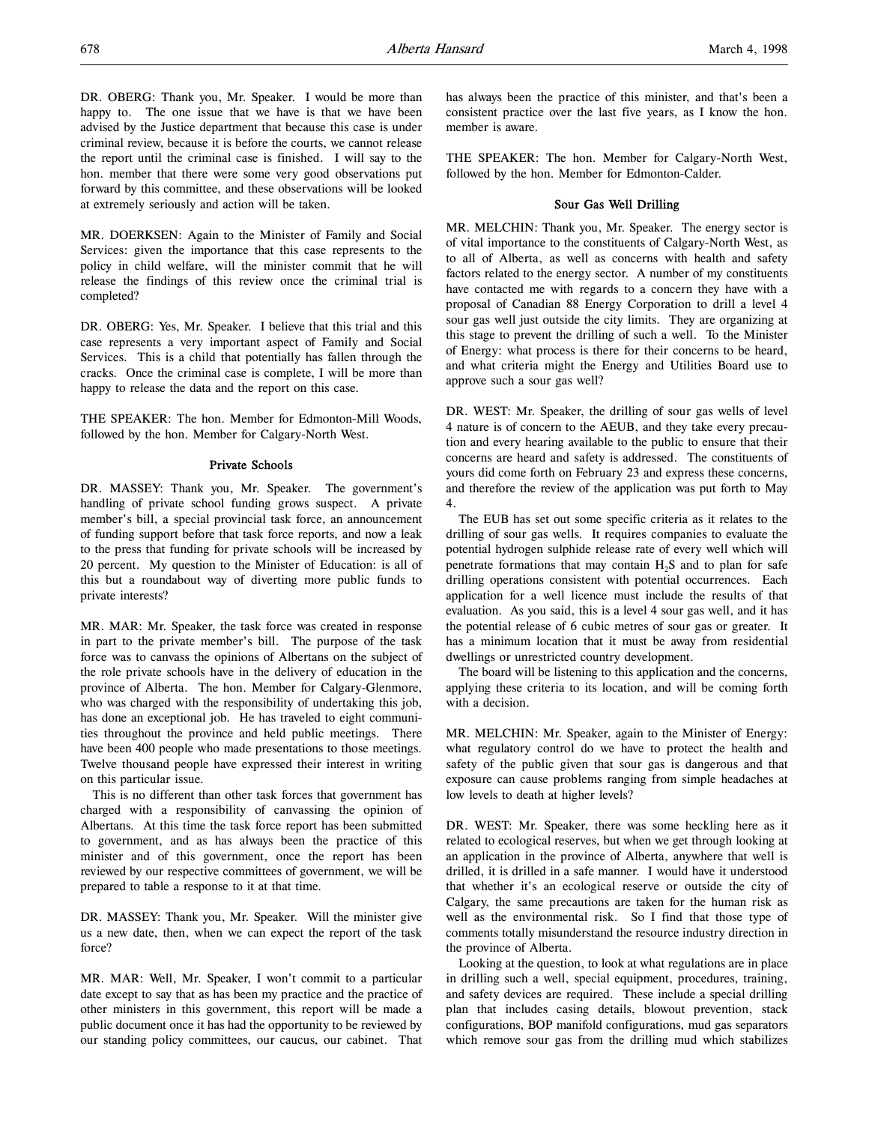DR. OBERG: Thank you, Mr. Speaker. I would be more than happy to. The one issue that we have is that we have been advised by the Justice department that because this case is under criminal review, because it is before the courts, we cannot release the report until the criminal case is finished. I will say to the hon. member that there were some very good observations put forward by this committee, and these observations will be looked at extremely seriously and action will be taken.

MR. DOERKSEN: Again to the Minister of Family and Social Services: given the importance that this case represents to the policy in child welfare, will the minister commit that he will release the findings of this review once the criminal trial is completed?

DR. OBERG: Yes, Mr. Speaker. I believe that this trial and this case represents a very important aspect of Family and Social Services. This is a child that potentially has fallen through the cracks. Once the criminal case is complete, I will be more than happy to release the data and the report on this case.

THE SPEAKER: The hon. Member for Edmonton-Mill Woods, followed by the hon. Member for Calgary-North West.

## Private Schools

DR. MASSEY: Thank you, Mr. Speaker. The government's handling of private school funding grows suspect. A private member's bill, a special provincial task force, an announcement of funding support before that task force reports, and now a leak to the press that funding for private schools will be increased by 20 percent. My question to the Minister of Education: is all of this but a roundabout way of diverting more public funds to private interests?

MR. MAR: Mr. Speaker, the task force was created in response in part to the private member's bill. The purpose of the task force was to canvass the opinions of Albertans on the subject of the role private schools have in the delivery of education in the province of Alberta. The hon. Member for Calgary-Glenmore, who was charged with the responsibility of undertaking this job, has done an exceptional job. He has traveled to eight communities throughout the province and held public meetings. There have been 400 people who made presentations to those meetings. Twelve thousand people have expressed their interest in writing on this particular issue.

This is no different than other task forces that government has charged with a responsibility of canvassing the opinion of Albertans. At this time the task force report has been submitted to government, and as has always been the practice of this minister and of this government, once the report has been reviewed by our respective committees of government, we will be prepared to table a response to it at that time.

DR. MASSEY: Thank you, Mr. Speaker. Will the minister give us a new date, then, when we can expect the report of the task force?

MR. MAR: Well, Mr. Speaker, I won't commit to a particular date except to say that as has been my practice and the practice of other ministers in this government, this report will be made a public document once it has had the opportunity to be reviewed by our standing policy committees, our caucus, our cabinet. That has always been the practice of this minister, and that's been a consistent practice over the last five years, as I know the hon. member is aware.

THE SPEAKER: The hon. Member for Calgary-North West, followed by the hon. Member for Edmonton-Calder.

## Sour Gas Well Drilling

MR. MELCHIN: Thank you, Mr. Speaker. The energy sector is of vital importance to the constituents of Calgary-North West, as to all of Alberta, as well as concerns with health and safety factors related to the energy sector. A number of my constituents have contacted me with regards to a concern they have with a proposal of Canadian 88 Energy Corporation to drill a level 4 sour gas well just outside the city limits. They are organizing at this stage to prevent the drilling of such a well. To the Minister of Energy: what process is there for their concerns to be heard, and what criteria might the Energy and Utilities Board use to approve such a sour gas well?

DR. WEST: Mr. Speaker, the drilling of sour gas wells of level 4 nature is of concern to the AEUB, and they take every precaution and every hearing available to the public to ensure that their concerns are heard and safety is addressed. The constituents of yours did come forth on February 23 and express these concerns, and therefore the review of the application was put forth to May 4.

The EUB has set out some specific criteria as it relates to the drilling of sour gas wells. It requires companies to evaluate the potential hydrogen sulphide release rate of every well which will penetrate formations that may contain  $H<sub>2</sub>S$  and to plan for safe drilling operations consistent with potential occurrences. Each application for a well licence must include the results of that evaluation. As you said, this is a level 4 sour gas well, and it has the potential release of 6 cubic metres of sour gas or greater. It has a minimum location that it must be away from residential dwellings or unrestricted country development.

The board will be listening to this application and the concerns, applying these criteria to its location, and will be coming forth with a decision.

MR. MELCHIN: Mr. Speaker, again to the Minister of Energy: what regulatory control do we have to protect the health and safety of the public given that sour gas is dangerous and that exposure can cause problems ranging from simple headaches at low levels to death at higher levels?

DR. WEST: Mr. Speaker, there was some heckling here as it related to ecological reserves, but when we get through looking at an application in the province of Alberta, anywhere that well is drilled, it is drilled in a safe manner. I would have it understood that whether it's an ecological reserve or outside the city of Calgary, the same precautions are taken for the human risk as well as the environmental risk. So I find that those type of comments totally misunderstand the resource industry direction in the province of Alberta.

Looking at the question, to look at what regulations are in place in drilling such a well, special equipment, procedures, training, and safety devices are required. These include a special drilling plan that includes casing details, blowout prevention, stack configurations, BOP manifold configurations, mud gas separators which remove sour gas from the drilling mud which stabilizes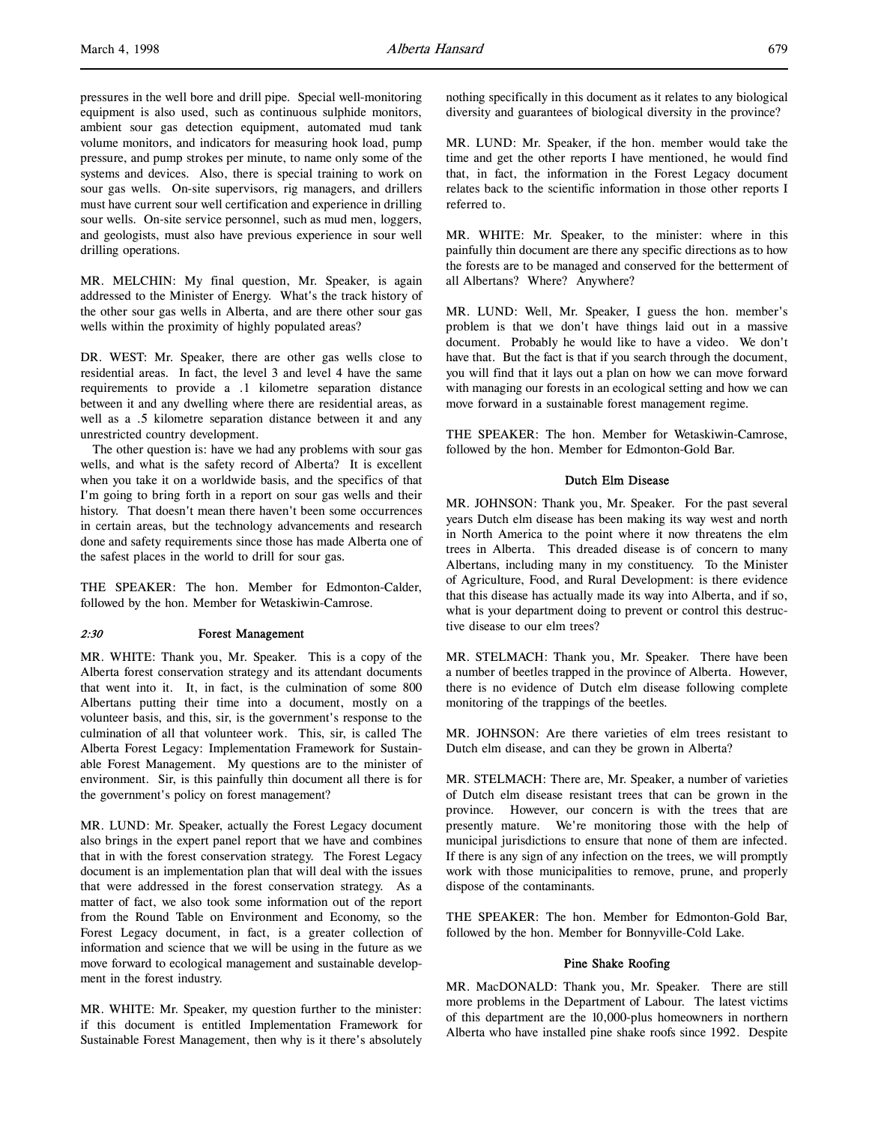pressures in the well bore and drill pipe. Special well-monitoring equipment is also used, such as continuous sulphide monitors, ambient sour gas detection equipment, automated mud tank volume monitors, and indicators for measuring hook load, pump pressure, and pump strokes per minute, to name only some of the systems and devices. Also, there is special training to work on sour gas wells. On-site supervisors, rig managers, and drillers must have current sour well certification and experience in drilling sour wells. On-site service personnel, such as mud men, loggers, and geologists, must also have previous experience in sour well drilling operations.

MR. MELCHIN: My final question, Mr. Speaker, is again addressed to the Minister of Energy. What's the track history of the other sour gas wells in Alberta, and are there other sour gas wells within the proximity of highly populated areas?

DR. WEST: Mr. Speaker, there are other gas wells close to residential areas. In fact, the level 3 and level 4 have the same requirements to provide a .1 kilometre separation distance between it and any dwelling where there are residential areas, as well as a .5 kilometre separation distance between it and any unrestricted country development.

The other question is: have we had any problems with sour gas wells, and what is the safety record of Alberta? It is excellent when you take it on a worldwide basis, and the specifics of that I'm going to bring forth in a report on sour gas wells and their history. That doesn't mean there haven't been some occurrences in certain areas, but the technology advancements and research done and safety requirements since those has made Alberta one of the safest places in the world to drill for sour gas.

THE SPEAKER: The hon. Member for Edmonton-Calder, followed by the hon. Member for Wetaskiwin-Camrose.

## 2:30 Forest Management

MR. WHITE: Thank you, Mr. Speaker. This is a copy of the Alberta forest conservation strategy and its attendant documents that went into it. It, in fact, is the culmination of some 800 Albertans putting their time into a document, mostly on a volunteer basis, and this, sir, is the government's response to the culmination of all that volunteer work. This, sir, is called The Alberta Forest Legacy: Implementation Framework for Sustainable Forest Management. My questions are to the minister of environment. Sir, is this painfully thin document all there is for the government's policy on forest management?

MR. LUND: Mr. Speaker, actually the Forest Legacy document also brings in the expert panel report that we have and combines that in with the forest conservation strategy. The Forest Legacy document is an implementation plan that will deal with the issues that were addressed in the forest conservation strategy. As a matter of fact, we also took some information out of the report from the Round Table on Environment and Economy, so the Forest Legacy document, in fact, is a greater collection of information and science that we will be using in the future as we move forward to ecological management and sustainable development in the forest industry.

MR. WHITE: Mr. Speaker, my question further to the minister: if this document is entitled Implementation Framework for Sustainable Forest Management, then why is it there's absolutely nothing specifically in this document as it relates to any biological diversity and guarantees of biological diversity in the province?

MR. LUND: Mr. Speaker, if the hon. member would take the time and get the other reports I have mentioned, he would find that, in fact, the information in the Forest Legacy document relates back to the scientific information in those other reports I referred to.

MR. WHITE: Mr. Speaker, to the minister: where in this painfully thin document are there any specific directions as to how the forests are to be managed and conserved for the betterment of all Albertans? Where? Anywhere?

MR. LUND: Well, Mr. Speaker, I guess the hon. member's problem is that we don't have things laid out in a massive document. Probably he would like to have a video. We don't have that. But the fact is that if you search through the document, you will find that it lays out a plan on how we can move forward with managing our forests in an ecological setting and how we can move forward in a sustainable forest management regime.

THE SPEAKER: The hon. Member for Wetaskiwin-Camrose, followed by the hon. Member for Edmonton-Gold Bar.

#### Dutch Elm Disease

MR. JOHNSON: Thank you, Mr. Speaker. For the past several years Dutch elm disease has been making its way west and north in North America to the point where it now threatens the elm trees in Alberta. This dreaded disease is of concern to many Albertans, including many in my constituency. To the Minister of Agriculture, Food, and Rural Development: is there evidence that this disease has actually made its way into Alberta, and if so, what is your department doing to prevent or control this destructive disease to our elm trees?

MR. STELMACH: Thank you, Mr. Speaker. There have been a number of beetles trapped in the province of Alberta. However, there is no evidence of Dutch elm disease following complete monitoring of the trappings of the beetles.

MR. JOHNSON: Are there varieties of elm trees resistant to Dutch elm disease, and can they be grown in Alberta?

MR. STELMACH: There are, Mr. Speaker, a number of varieties of Dutch elm disease resistant trees that can be grown in the province. However, our concern is with the trees that are presently mature. We're monitoring those with the help of municipal jurisdictions to ensure that none of them are infected. If there is any sign of any infection on the trees, we will promptly work with those municipalities to remove, prune, and properly dispose of the contaminants.

THE SPEAKER: The hon. Member for Edmonton-Gold Bar, followed by the hon. Member for Bonnyville-Cold Lake.

### Pine Shake Roofing

MR. MacDONALD: Thank you, Mr. Speaker. There are still more problems in the Department of Labour. The latest victims of this department are the 10,000-plus homeowners in northern Alberta who have installed pine shake roofs since 1992. Despite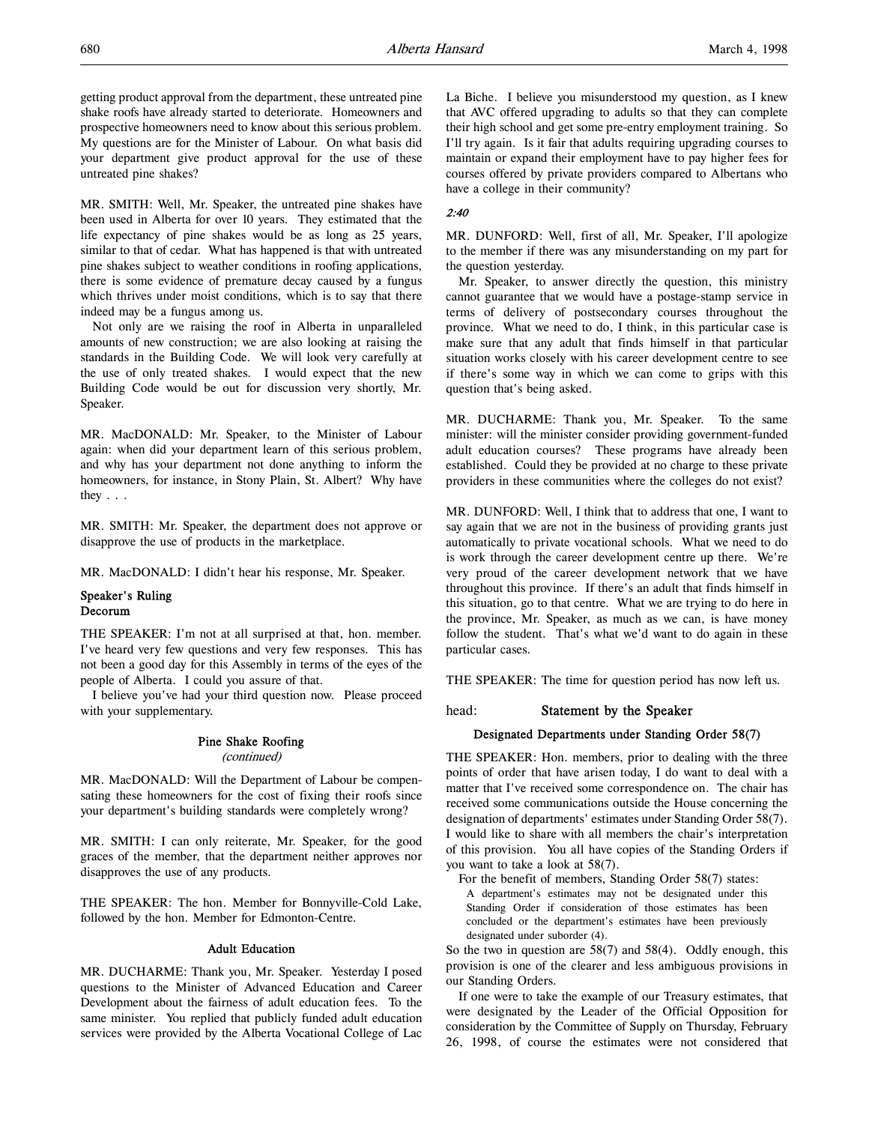getting product approval from the department, these untreated pine shake roofs have already started to deteriorate. Homeowners and prospective homeowners need to know about this serious problem. My questions are for the Minister of Labour. On what basis did your department give product approval for the use of these untreated pine shakes?

MR. SMITH: Well, Mr. Speaker, the untreated pine shakes have been used in Alberta for over 10 years. They estimated that the life expectancy of pine shakes would be as long as 25 years, similar to that of cedar. What has happened is that with untreated pine shakes subject to weather conditions in roofing applications, there is some evidence of premature decay caused by a fungus which thrives under moist conditions, which is to say that there indeed may be a fungus among us.

Not only are we raising the roof in Alberta in unparalleled amounts of new construction; we are also looking at raising the standards in the Building Code. We will look very carefully at the use of only treated shakes. I would expect that the new Building Code would be out for discussion very shortly, Mr. Speaker.

MR. MacDONALD: Mr. Speaker, to the Minister of Labour again: when did your department learn of this serious problem, and why has your department not done anything to inform the homeowners, for instance, in Stony Plain, St. Albert? Why have they . . .

MR. SMITH: Mr. Speaker, the department does not approve or disapprove the use of products in the marketplace.

MR. MacDONALD: I didn't hear his response, Mr. Speaker.

## Speaker's Ruling Decorum

THE SPEAKER: I'm not at all surprised at that, hon. member. I've heard very few questions and very few responses. This has not been a good day for this Assembly in terms of the eyes of the people of Alberta. I could you assure of that.

I believe you've had your third question now. Please proceed with your supplementary.

#### Pine Shake Roofing

(continued)

MR. MacDONALD: Will the Department of Labour be compensating these homeowners for the cost of fixing their roofs since your department's building standards were completely wrong?

MR. SMITH: I can only reiterate, Mr. Speaker, for the good graces of the member, that the department neither approves nor disapproves the use of any products.

THE SPEAKER: The hon. Member for Bonnyville-Cold Lake, followed by the hon. Member for Edmonton-Centre.

#### Adult Education

MR. DUCHARME: Thank you, Mr. Speaker. Yesterday I posed questions to the Minister of Advanced Education and Career Development about the fairness of adult education fees. To the same minister. You replied that publicly funded adult education services were provided by the Alberta Vocational College of Lac

La Biche. I believe you misunderstood my question, as I knew that AVC offered upgrading to adults so that they can complete their high school and get some pre-entry employment training. So I'll try again. Is it fair that adults requiring upgrading courses to maintain or expand their employment have to pay higher fees for courses offered by private providers compared to Albertans who have a college in their community?

## 2:40

MR. DUNFORD: Well, first of all, Mr. Speaker, I'll apologize to the member if there was any misunderstanding on my part for the question yesterday.

Mr. Speaker, to answer directly the question, this ministry cannot guarantee that we would have a postage-stamp service in terms of delivery of postsecondary courses throughout the province. What we need to do, I think, in this particular case is make sure that any adult that finds himself in that particular situation works closely with his career development centre to see if there's some way in which we can come to grips with this question that's being asked.

MR. DUCHARME: Thank you, Mr. Speaker. To the same minister: will the minister consider providing government-funded adult education courses? These programs have already been established. Could they be provided at no charge to these private providers in these communities where the colleges do not exist?

MR. DUNFORD: Well, I think that to address that one, I want to say again that we are not in the business of providing grants just automatically to private vocational schools. What we need to do is work through the career development centre up there. We're very proud of the career development network that we have throughout this province. If there's an adult that finds himself in this situation, go to that centre. What we are trying to do here in the province, Mr. Speaker, as much as we can, is have money follow the student. That's what we'd want to do again in these particular cases.

THE SPEAKER: The time for question period has now left us.

## head: Statement by the Speaker

## Designated Departments under Standing Order 58(7)

THE SPEAKER: Hon. members, prior to dealing with the three points of order that have arisen today, I do want to deal with a matter that I've received some correspondence on. The chair has received some communications outside the House concerning the designation of departments' estimates under Standing Order 58(7). I would like to share with all members the chair's interpretation of this provision. You all have copies of the Standing Orders if you want to take a look at 58(7).

For the benefit of members, Standing Order 58(7) states: A department's estimates may not be designated under this Standing Order if consideration of those estimates has been concluded or the department's estimates have been previously designated under suborder (4).

So the two in question are 58(7) and 58(4). Oddly enough, this provision is one of the clearer and less ambiguous provisions in our Standing Orders.

If one were to take the example of our Treasury estimates, that were designated by the Leader of the Official Opposition for consideration by the Committee of Supply on Thursday, February 26, 1998, of course the estimates were not considered that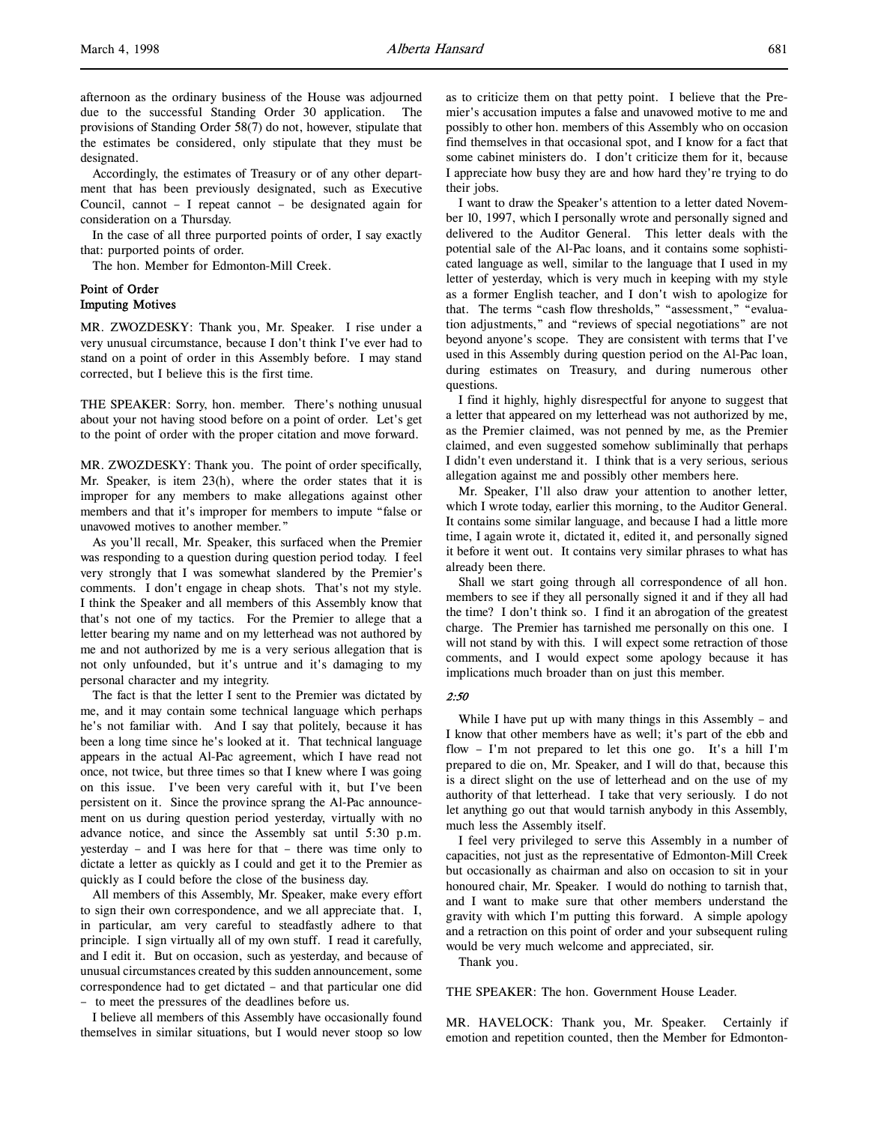Accordingly, the estimates of Treasury or of any other department that has been previously designated, such as Executive Council, cannot – I repeat cannot – be designated again for consideration on a Thursday.

In the case of all three purported points of order, I say exactly that: purported points of order.

The hon. Member for Edmonton-Mill Creek.

## Point of Order Imputing Motives

MR. ZWOZDESKY: Thank you, Mr. Speaker. I rise under a very unusual circumstance, because I don't think I've ever had to stand on a point of order in this Assembly before. I may stand corrected, but I believe this is the first time.

THE SPEAKER: Sorry, hon. member. There's nothing unusual about your not having stood before on a point of order. Let's get to the point of order with the proper citation and move forward.

MR. ZWOZDESKY: Thank you. The point of order specifically, Mr. Speaker, is item 23(h), where the order states that it is improper for any members to make allegations against other members and that it's improper for members to impute "false or unavowed motives to another member."

As you'll recall, Mr. Speaker, this surfaced when the Premier was responding to a question during question period today. I feel very strongly that I was somewhat slandered by the Premier's comments. I don't engage in cheap shots. That's not my style. I think the Speaker and all members of this Assembly know that that's not one of my tactics. For the Premier to allege that a letter bearing my name and on my letterhead was not authored by me and not authorized by me is a very serious allegation that is not only unfounded, but it's untrue and it's damaging to my personal character and my integrity.

The fact is that the letter I sent to the Premier was dictated by me, and it may contain some technical language which perhaps he's not familiar with. And I say that politely, because it has been a long time since he's looked at it. That technical language appears in the actual Al-Pac agreement, which I have read not once, not twice, but three times so that I knew where I was going on this issue. I've been very careful with it, but I've been persistent on it. Since the province sprang the Al-Pac announcement on us during question period yesterday, virtually with no advance notice, and since the Assembly sat until 5:30 p.m. yesterday – and I was here for that – there was time only to dictate a letter as quickly as I could and get it to the Premier as quickly as I could before the close of the business day.

All members of this Assembly, Mr. Speaker, make every effort to sign their own correspondence, and we all appreciate that. I, in particular, am very careful to steadfastly adhere to that principle. I sign virtually all of my own stuff. I read it carefully, and I edit it. But on occasion, such as yesterday, and because of unusual circumstances created by this sudden announcement, some correspondence had to get dictated – and that particular one did – to meet the pressures of the deadlines before us.

I believe all members of this Assembly have occasionally found themselves in similar situations, but I would never stoop so low

as to criticize them on that petty point. I believe that the Premier's accusation imputes a false and unavowed motive to me and possibly to other hon. members of this Assembly who on occasion find themselves in that occasional spot, and I know for a fact that some cabinet ministers do. I don't criticize them for it, because I appreciate how busy they are and how hard they're trying to do their jobs.

I want to draw the Speaker's attention to a letter dated November 10, 1997, which I personally wrote and personally signed and delivered to the Auditor General. This letter deals with the potential sale of the Al-Pac loans, and it contains some sophisticated language as well, similar to the language that I used in my letter of yesterday, which is very much in keeping with my style as a former English teacher, and I don't wish to apologize for that. The terms "cash flow thresholds," "assessment," "evaluation adjustments," and "reviews of special negotiations" are not beyond anyone's scope. They are consistent with terms that I've used in this Assembly during question period on the Al-Pac loan, during estimates on Treasury, and during numerous other questions.

I find it highly, highly disrespectful for anyone to suggest that a letter that appeared on my letterhead was not authorized by me, as the Premier claimed, was not penned by me, as the Premier claimed, and even suggested somehow subliminally that perhaps I didn't even understand it. I think that is a very serious, serious allegation against me and possibly other members here.

Mr. Speaker, I'll also draw your attention to another letter, which I wrote today, earlier this morning, to the Auditor General. It contains some similar language, and because I had a little more time, I again wrote it, dictated it, edited it, and personally signed it before it went out. It contains very similar phrases to what has already been there.

Shall we start going through all correspondence of all hon. members to see if they all personally signed it and if they all had the time? I don't think so. I find it an abrogation of the greatest charge. The Premier has tarnished me personally on this one. I will not stand by with this. I will expect some retraction of those comments, and I would expect some apology because it has implications much broader than on just this member.

#### 2:50

While I have put up with many things in this Assembly – and I know that other members have as well; it's part of the ebb and flow – I'm not prepared to let this one go. It's a hill I'm prepared to die on, Mr. Speaker, and I will do that, because this is a direct slight on the use of letterhead and on the use of my authority of that letterhead. I take that very seriously. I do not let anything go out that would tarnish anybody in this Assembly, much less the Assembly itself.

I feel very privileged to serve this Assembly in a number of capacities, not just as the representative of Edmonton-Mill Creek but occasionally as chairman and also on occasion to sit in your honoured chair, Mr. Speaker. I would do nothing to tarnish that, and I want to make sure that other members understand the gravity with which I'm putting this forward. A simple apology and a retraction on this point of order and your subsequent ruling would be very much welcome and appreciated, sir.

Thank you.

THE SPEAKER: The hon. Government House Leader.

MR. HAVELOCK: Thank you, Mr. Speaker. Certainly if emotion and repetition counted, then the Member for Edmonton-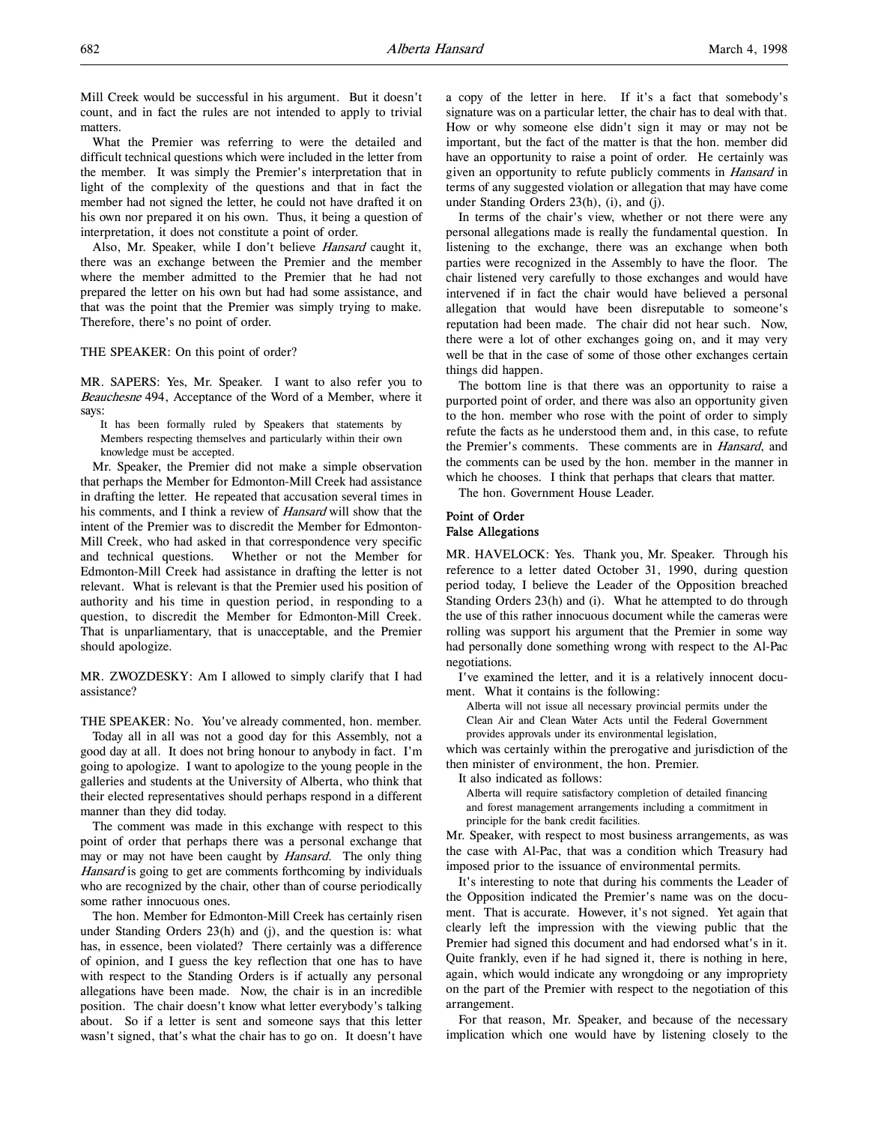What the Premier was referring to were the detailed and difficult technical questions which were included in the letter from the member. It was simply the Premier's interpretation that in light of the complexity of the questions and that in fact the member had not signed the letter, he could not have drafted it on his own nor prepared it on his own. Thus, it being a question of interpretation, it does not constitute a point of order.

Also, Mr. Speaker, while I don't believe Hansard caught it, there was an exchange between the Premier and the member where the member admitted to the Premier that he had not prepared the letter on his own but had had some assistance, and that was the point that the Premier was simply trying to make. Therefore, there's no point of order.

THE SPEAKER: On this point of order?

MR. SAPERS: Yes, Mr. Speaker. I want to also refer you to Beauchesne 494, Acceptance of the Word of a Member, where it says:

It has been formally ruled by Speakers that statements by Members respecting themselves and particularly within their own knowledge must be accepted.

Mr. Speaker, the Premier did not make a simple observation that perhaps the Member for Edmonton-Mill Creek had assistance in drafting the letter. He repeated that accusation several times in his comments, and I think a review of *Hansard* will show that the intent of the Premier was to discredit the Member for Edmonton-Mill Creek, who had asked in that correspondence very specific and technical questions. Whether or not the Member for Edmonton-Mill Creek had assistance in drafting the letter is not relevant. What is relevant is that the Premier used his position of authority and his time in question period, in responding to a question, to discredit the Member for Edmonton-Mill Creek. That is unparliamentary, that is unacceptable, and the Premier should apologize.

MR. ZWOZDESKY: Am I allowed to simply clarify that I had assistance?

THE SPEAKER: No. You've already commented, hon. member.

Today all in all was not a good day for this Assembly, not a good day at all. It does not bring honour to anybody in fact. I'm going to apologize. I want to apologize to the young people in the galleries and students at the University of Alberta, who think that their elected representatives should perhaps respond in a different manner than they did today.

The comment was made in this exchange with respect to this point of order that perhaps there was a personal exchange that may or may not have been caught by *Hansard*. The only thing Hansard is going to get are comments forthcoming by individuals who are recognized by the chair, other than of course periodically some rather innocuous ones.

The hon. Member for Edmonton-Mill Creek has certainly risen under Standing Orders 23(h) and (j), and the question is: what has, in essence, been violated? There certainly was a difference of opinion, and I guess the key reflection that one has to have with respect to the Standing Orders is if actually any personal allegations have been made. Now, the chair is in an incredible position. The chair doesn't know what letter everybody's talking about. So if a letter is sent and someone says that this letter wasn't signed, that's what the chair has to go on. It doesn't have

a copy of the letter in here. If it's a fact that somebody's signature was on a particular letter, the chair has to deal with that. How or why someone else didn't sign it may or may not be important, but the fact of the matter is that the hon. member did have an opportunity to raise a point of order. He certainly was given an opportunity to refute publicly comments in *Hansard* in terms of any suggested violation or allegation that may have come under Standing Orders 23(h), (i), and (j).

In terms of the chair's view, whether or not there were any personal allegations made is really the fundamental question. In listening to the exchange, there was an exchange when both parties were recognized in the Assembly to have the floor. The chair listened very carefully to those exchanges and would have intervened if in fact the chair would have believed a personal allegation that would have been disreputable to someone's reputation had been made. The chair did not hear such. Now, there were a lot of other exchanges going on, and it may very well be that in the case of some of those other exchanges certain things did happen.

The bottom line is that there was an opportunity to raise a purported point of order, and there was also an opportunity given to the hon. member who rose with the point of order to simply refute the facts as he understood them and, in this case, to refute the Premier's comments. These comments are in *Hansard*, and the comments can be used by the hon. member in the manner in which he chooses. I think that perhaps that clears that matter.

The hon. Government House Leader.

## Point of Order False Allegations

MR. HAVELOCK: Yes. Thank you, Mr. Speaker. Through his reference to a letter dated October 31, 1990, during question period today, I believe the Leader of the Opposition breached Standing Orders 23(h) and (i). What he attempted to do through the use of this rather innocuous document while the cameras were rolling was support his argument that the Premier in some way had personally done something wrong with respect to the Al-Pac negotiations.

I've examined the letter, and it is a relatively innocent document. What it contains is the following:

Alberta will not issue all necessary provincial permits under the Clean Air and Clean Water Acts until the Federal Government provides approvals under its environmental legislation,

which was certainly within the prerogative and jurisdiction of the then minister of environment, the hon. Premier.

It also indicated as follows:

Alberta will require satisfactory completion of detailed financing and forest management arrangements including a commitment in principle for the bank credit facilities.

Mr. Speaker, with respect to most business arrangements, as was the case with Al-Pac, that was a condition which Treasury had imposed prior to the issuance of environmental permits.

It's interesting to note that during his comments the Leader of the Opposition indicated the Premier's name was on the document. That is accurate. However, it's not signed. Yet again that clearly left the impression with the viewing public that the Premier had signed this document and had endorsed what's in it. Quite frankly, even if he had signed it, there is nothing in here, again, which would indicate any wrongdoing or any impropriety on the part of the Premier with respect to the negotiation of this arrangement.

For that reason, Mr. Speaker, and because of the necessary implication which one would have by listening closely to the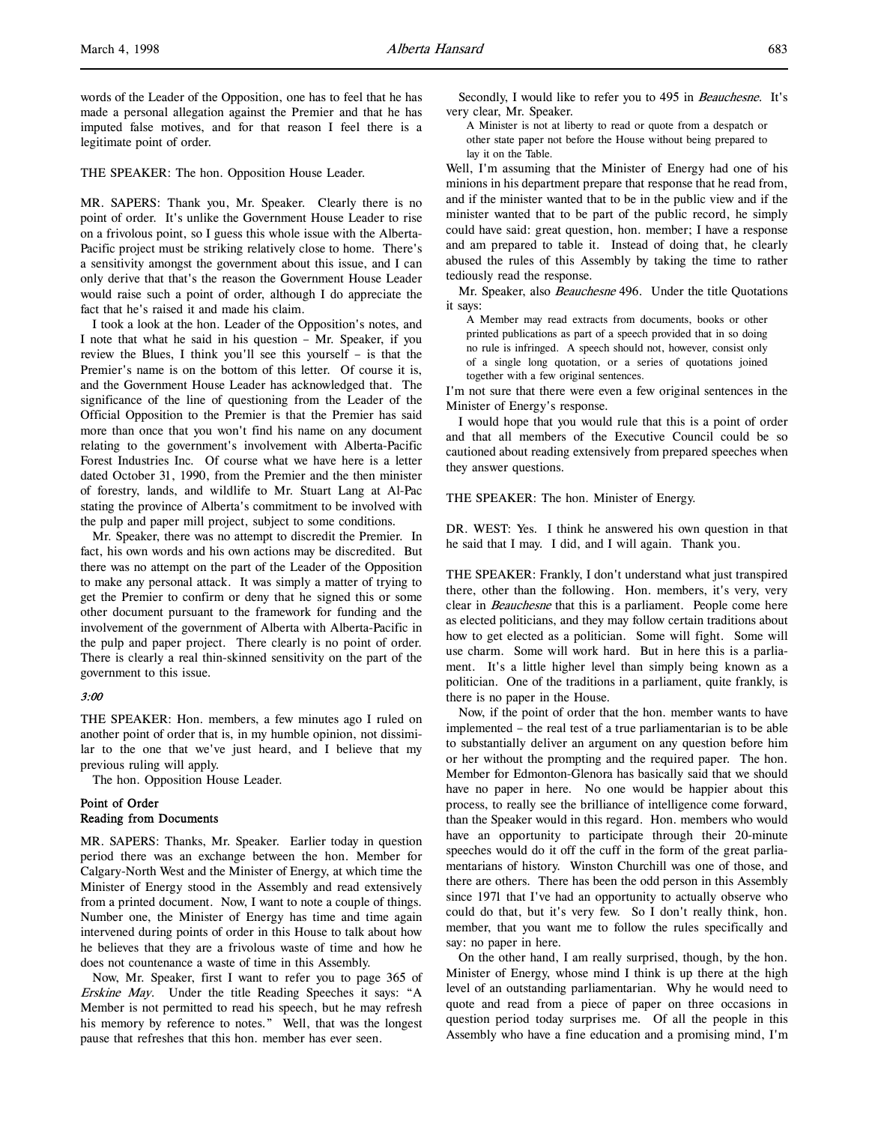THE SPEAKER: The hon. Opposition House Leader.

MR. SAPERS: Thank you, Mr. Speaker. Clearly there is no point of order. It's unlike the Government House Leader to rise on a frivolous point, so I guess this whole issue with the Alberta-Pacific project must be striking relatively close to home. There's a sensitivity amongst the government about this issue, and I can only derive that that's the reason the Government House Leader would raise such a point of order, although I do appreciate the fact that he's raised it and made his claim.

I took a look at the hon. Leader of the Opposition's notes, and I note that what he said in his question – Mr. Speaker, if you review the Blues, I think you'll see this yourself – is that the Premier's name is on the bottom of this letter. Of course it is, and the Government House Leader has acknowledged that. The significance of the line of questioning from the Leader of the Official Opposition to the Premier is that the Premier has said more than once that you won't find his name on any document relating to the government's involvement with Alberta-Pacific Forest Industries Inc. Of course what we have here is a letter dated October 31, 1990, from the Premier and the then minister of forestry, lands, and wildlife to Mr. Stuart Lang at Al-Pac stating the province of Alberta's commitment to be involved with the pulp and paper mill project, subject to some conditions.

Mr. Speaker, there was no attempt to discredit the Premier. In fact, his own words and his own actions may be discredited. But there was no attempt on the part of the Leader of the Opposition to make any personal attack. It was simply a matter of trying to get the Premier to confirm or deny that he signed this or some other document pursuant to the framework for funding and the involvement of the government of Alberta with Alberta-Pacific in the pulp and paper project. There clearly is no point of order. There is clearly a real thin-skinned sensitivity on the part of the government to this issue.

## 3:00

THE SPEAKER: Hon. members, a few minutes ago I ruled on another point of order that is, in my humble opinion, not dissimilar to the one that we've just heard, and I believe that my previous ruling will apply.

The hon. Opposition House Leader.

## Point of Order Reading from Documents

MR. SAPERS: Thanks, Mr. Speaker. Earlier today in question period there was an exchange between the hon. Member for Calgary-North West and the Minister of Energy, at which time the Minister of Energy stood in the Assembly and read extensively from a printed document. Now, I want to note a couple of things. Number one, the Minister of Energy has time and time again intervened during points of order in this House to talk about how he believes that they are a frivolous waste of time and how he does not countenance a waste of time in this Assembly.

Now, Mr. Speaker, first I want to refer you to page 365 of Erskine May. Under the title Reading Speeches it says: "A Member is not permitted to read his speech, but he may refresh his memory by reference to notes." Well, that was the longest pause that refreshes that this hon. member has ever seen.

Secondly, I would like to refer you to 495 in *Beauchesne*. It's very clear, Mr. Speaker.

A Minister is not at liberty to read or quote from a despatch or other state paper not before the House without being prepared to lay it on the Table.

Well, I'm assuming that the Minister of Energy had one of his minions in his department prepare that response that he read from, and if the minister wanted that to be in the public view and if the minister wanted that to be part of the public record, he simply could have said: great question, hon. member; I have a response and am prepared to table it. Instead of doing that, he clearly abused the rules of this Assembly by taking the time to rather tediously read the response.

Mr. Speaker, also *Beauchesne* 496. Under the title Quotations it says:

A Member may read extracts from documents, books or other printed publications as part of a speech provided that in so doing no rule is infringed. A speech should not, however, consist only of a single long quotation, or a series of quotations joined together with a few original sentences.

I'm not sure that there were even a few original sentences in the Minister of Energy's response.

I would hope that you would rule that this is a point of order and that all members of the Executive Council could be so cautioned about reading extensively from prepared speeches when they answer questions.

THE SPEAKER: The hon. Minister of Energy.

DR. WEST: Yes. I think he answered his own question in that he said that I may. I did, and I will again. Thank you.

THE SPEAKER: Frankly, I don't understand what just transpired there, other than the following. Hon. members, it's very, very clear in *Beauchesne* that this is a parliament. People come here as elected politicians, and they may follow certain traditions about how to get elected as a politician. Some will fight. Some will use charm. Some will work hard. But in here this is a parliament. It's a little higher level than simply being known as a politician. One of the traditions in a parliament, quite frankly, is there is no paper in the House.

Now, if the point of order that the hon. member wants to have implemented – the real test of a true parliamentarian is to be able to substantially deliver an argument on any question before him or her without the prompting and the required paper. The hon. Member for Edmonton-Glenora has basically said that we should have no paper in here. No one would be happier about this process, to really see the brilliance of intelligence come forward, than the Speaker would in this regard. Hon. members who would have an opportunity to participate through their 20-minute speeches would do it off the cuff in the form of the great parliamentarians of history. Winston Churchill was one of those, and there are others. There has been the odd person in this Assembly since 1971 that I've had an opportunity to actually observe who could do that, but it's very few. So I don't really think, hon. member, that you want me to follow the rules specifically and say: no paper in here.

On the other hand, I am really surprised, though, by the hon. Minister of Energy, whose mind I think is up there at the high level of an outstanding parliamentarian. Why he would need to quote and read from a piece of paper on three occasions in question period today surprises me. Of all the people in this Assembly who have a fine education and a promising mind, I'm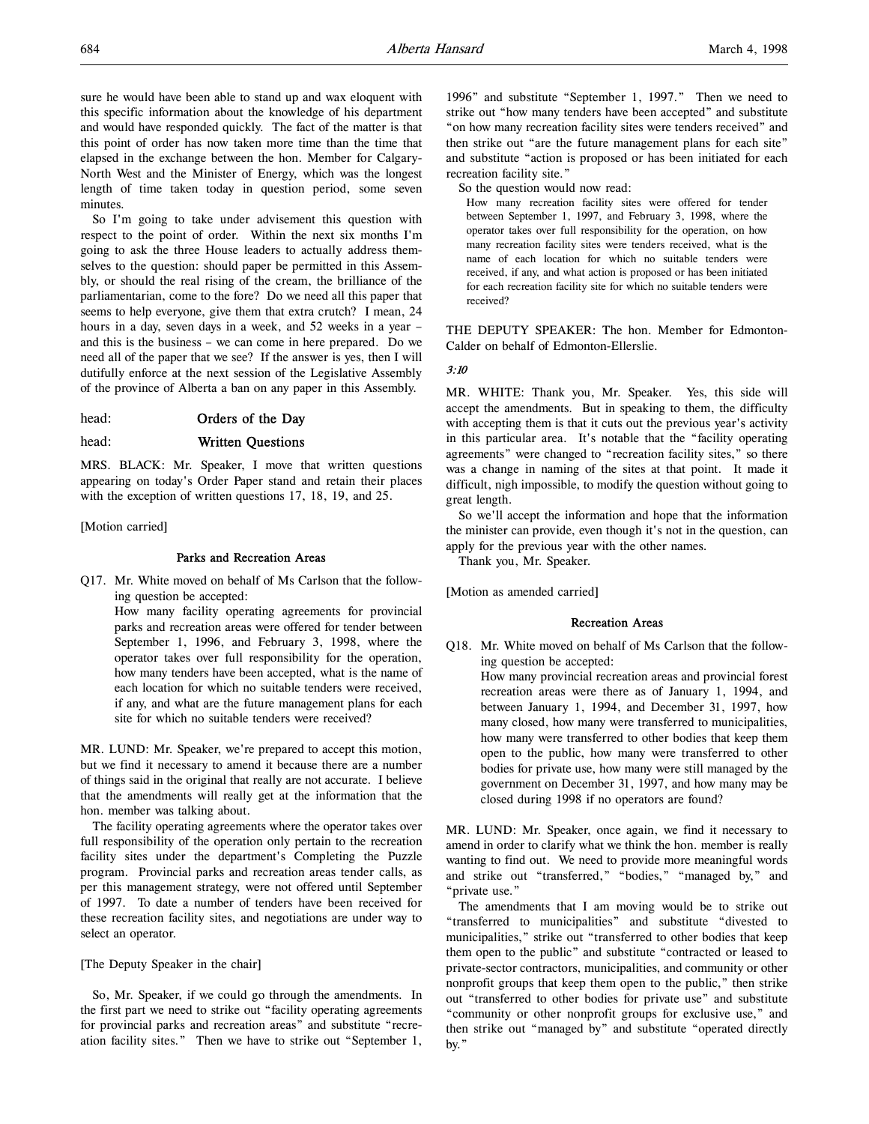sure he would have been able to stand up and wax eloquent with this specific information about the knowledge of his department and would have responded quickly. The fact of the matter is that this point of order has now taken more time than the time that elapsed in the exchange between the hon. Member for Calgary-North West and the Minister of Energy, which was the longest length of time taken today in question period, some seven minutes.

So I'm going to take under advisement this question with respect to the point of order. Within the next six months I'm going to ask the three House leaders to actually address themselves to the question: should paper be permitted in this Assembly, or should the real rising of the cream, the brilliance of the parliamentarian, come to the fore? Do we need all this paper that seems to help everyone, give them that extra crutch? I mean, 24 hours in a day, seven days in a week, and 52 weeks in a year – and this is the business – we can come in here prepared. Do we need all of the paper that we see? If the answer is yes, then I will dutifully enforce at the next session of the Legislative Assembly of the province of Alberta a ban on any paper in this Assembly.

head: **Orders of the Day** 

## head: Written Questions

MRS. BLACK: Mr. Speaker, I move that written questions appearing on today's Order Paper stand and retain their places with the exception of written questions 17, 18, 19, and 25.

## [Motion carried]

## Parks and Recreation Areas

Q17. Mr. White moved on behalf of Ms Carlson that the following question be accepted:

How many facility operating agreements for provincial parks and recreation areas were offered for tender between September 1, 1996, and February 3, 1998, where the operator takes over full responsibility for the operation, how many tenders have been accepted, what is the name of each location for which no suitable tenders were received, if any, and what are the future management plans for each site for which no suitable tenders were received?

MR. LUND: Mr. Speaker, we're prepared to accept this motion, but we find it necessary to amend it because there are a number of things said in the original that really are not accurate. I believe that the amendments will really get at the information that the hon. member was talking about.

The facility operating agreements where the operator takes over full responsibility of the operation only pertain to the recreation facility sites under the department's Completing the Puzzle program. Provincial parks and recreation areas tender calls, as per this management strategy, were not offered until September of 1997. To date a number of tenders have been received for these recreation facility sites, and negotiations are under way to select an operator.

## [The Deputy Speaker in the chair]

So, Mr. Speaker, if we could go through the amendments. In the first part we need to strike out "facility operating agreements for provincial parks and recreation areas" and substitute "recreation facility sites." Then we have to strike out "September 1,

1996" and substitute "September 1, 1997." Then we need to strike out "how many tenders have been accepted" and substitute "on how many recreation facility sites were tenders received" and then strike out "are the future management plans for each site" and substitute "action is proposed or has been initiated for each recreation facility site."

So the question would now read:

How many recreation facility sites were offered for tender between September 1, 1997, and February 3, 1998, where the operator takes over full responsibility for the operation, on how many recreation facility sites were tenders received, what is the name of each location for which no suitable tenders were received, if any, and what action is proposed or has been initiated for each recreation facility site for which no suitable tenders were received?

THE DEPUTY SPEAKER: The hon. Member for Edmonton-Calder on behalf of Edmonton-Ellerslie.

## 3:10

MR. WHITE: Thank you, Mr. Speaker. Yes, this side will accept the amendments. But in speaking to them, the difficulty with accepting them is that it cuts out the previous year's activity in this particular area. It's notable that the "facility operating agreements" were changed to "recreation facility sites," so there was a change in naming of the sites at that point. It made it difficult, nigh impossible, to modify the question without going to great length.

So we'll accept the information and hope that the information the minister can provide, even though it's not in the question, can apply for the previous year with the other names.

Thank you, Mr. Speaker.

[Motion as amended carried]

## Recreation Areas

Q18. Mr. White moved on behalf of Ms Carlson that the following question be accepted:

How many provincial recreation areas and provincial forest recreation areas were there as of January 1, 1994, and between January 1, 1994, and December 31, 1997, how many closed, how many were transferred to municipalities, how many were transferred to other bodies that keep them open to the public, how many were transferred to other bodies for private use, how many were still managed by the government on December 31, 1997, and how many may be closed during 1998 if no operators are found?

MR. LUND: Mr. Speaker, once again, we find it necessary to amend in order to clarify what we think the hon. member is really wanting to find out. We need to provide more meaningful words and strike out "transferred," "bodies," "managed by," and "private use."

The amendments that I am moving would be to strike out "transferred to municipalities" and substitute "divested to municipalities," strike out "transferred to other bodies that keep them open to the public" and substitute "contracted or leased to private-sector contractors, municipalities, and community or other nonprofit groups that keep them open to the public," then strike out "transferred to other bodies for private use" and substitute "community or other nonprofit groups for exclusive use," and then strike out "managed by" and substitute "operated directly by."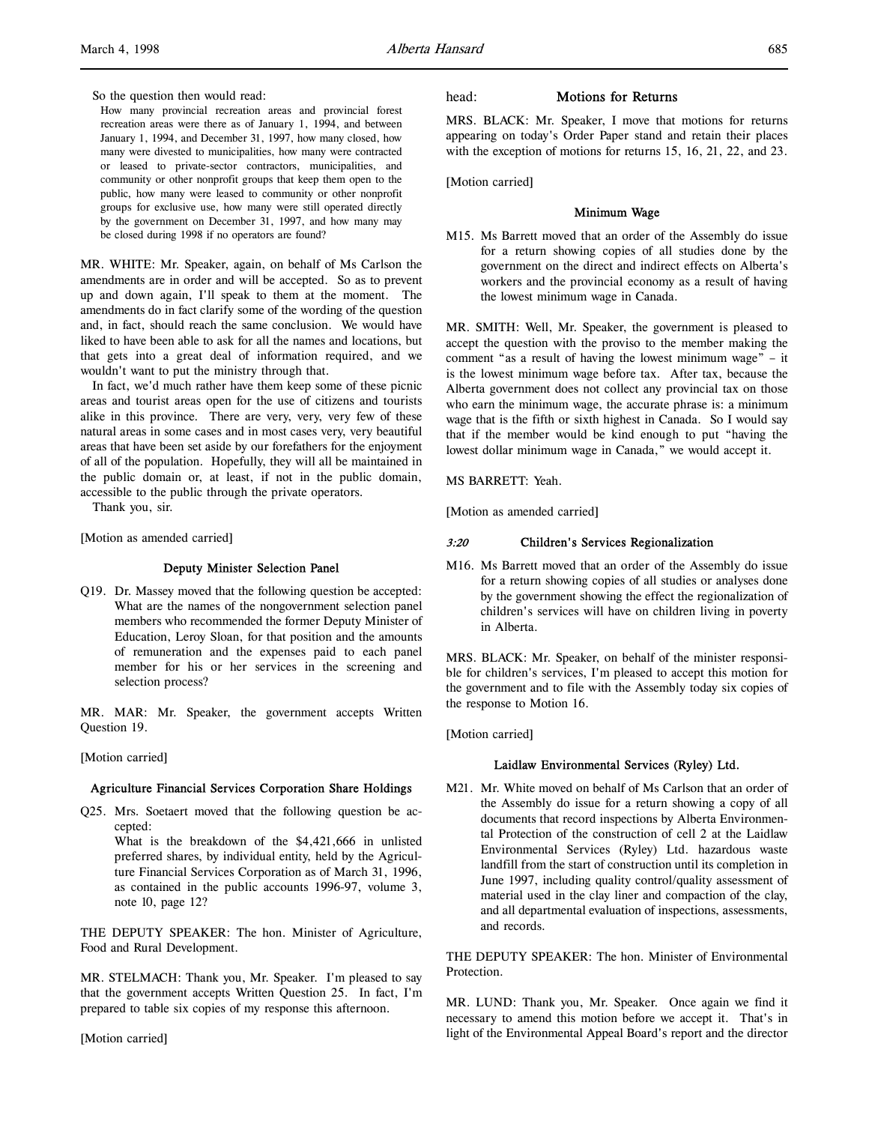So the question then would read:

How many provincial recreation areas and provincial forest recreation areas were there as of January 1, 1994, and between January 1, 1994, and December 31, 1997, how many closed, how many were divested to municipalities, how many were contracted or leased to private-sector contractors, municipalities, and community or other nonprofit groups that keep them open to the public, how many were leased to community or other nonprofit groups for exclusive use, how many were still operated directly by the government on December 31, 1997, and how many may be closed during 1998 if no operators are found?

MR. WHITE: Mr. Speaker, again, on behalf of Ms Carlson the amendments are in order and will be accepted. So as to prevent up and down again, I'll speak to them at the moment. The amendments do in fact clarify some of the wording of the question and, in fact, should reach the same conclusion. We would have liked to have been able to ask for all the names and locations, but that gets into a great deal of information required, and we wouldn't want to put the ministry through that.

In fact, we'd much rather have them keep some of these picnic areas and tourist areas open for the use of citizens and tourists alike in this province. There are very, very, very few of these natural areas in some cases and in most cases very, very beautiful areas that have been set aside by our forefathers for the enjoyment of all of the population. Hopefully, they will all be maintained in the public domain or, at least, if not in the public domain, accessible to the public through the private operators.

Thank you, sir.

[Motion as amended carried]

## Deputy Minister Selection Panel

Q19. Dr. Massey moved that the following question be accepted: What are the names of the nongovernment selection panel members who recommended the former Deputy Minister of Education, Leroy Sloan, for that position and the amounts of remuneration and the expenses paid to each panel member for his or her services in the screening and selection process?

MR. MAR: Mr. Speaker, the government accepts Written Question 19.

## [Motion carried]

## Agriculture Financial Services Corporation Share Holdings

Q25. Mrs. Soetaert moved that the following question be accepted:

What is the breakdown of the \$4,421,666 in unlisted preferred shares, by individual entity, held by the Agriculture Financial Services Corporation as of March 31, 1996, as contained in the public accounts 1996-97, volume 3, note 10, page 12?

THE DEPUTY SPEAKER: The hon. Minister of Agriculture, Food and Rural Development.

MR. STELMACH: Thank you, Mr. Speaker. I'm pleased to say that the government accepts Written Question 25. In fact, I'm prepared to table six copies of my response this afternoon.

[Motion carried]

head: Motions for Returns

MRS. BLACK: Mr. Speaker, I move that motions for returns appearing on today's Order Paper stand and retain their places with the exception of motions for returns 15, 16, 21, 22, and 23.

[Motion carried]

## Minimum Wage

M15. Ms Barrett moved that an order of the Assembly do issue for a return showing copies of all studies done by the government on the direct and indirect effects on Alberta's workers and the provincial economy as a result of having the lowest minimum wage in Canada.

MR. SMITH: Well, Mr. Speaker, the government is pleased to accept the question with the proviso to the member making the comment "as a result of having the lowest minimum wage" – it is the lowest minimum wage before tax. After tax, because the Alberta government does not collect any provincial tax on those who earn the minimum wage, the accurate phrase is: a minimum wage that is the fifth or sixth highest in Canada. So I would say that if the member would be kind enough to put "having the lowest dollar minimum wage in Canada," we would accept it.

MS BARRETT: Yeah.

[Motion as amended carried]

## 3:20 Children's Services Regionalization

M16. Ms Barrett moved that an order of the Assembly do issue for a return showing copies of all studies or analyses done by the government showing the effect the regionalization of children's services will have on children living in poverty in Alberta.

MRS. BLACK: Mr. Speaker, on behalf of the minister responsible for children's services, I'm pleased to accept this motion for the government and to file with the Assembly today six copies of the response to Motion 16.

[Motion carried]

## Laidlaw Environmental Services (Ryley) Ltd.

M21. Mr. White moved on behalf of Ms Carlson that an order of the Assembly do issue for a return showing a copy of all documents that record inspections by Alberta Environmental Protection of the construction of cell 2 at the Laidlaw Environmental Services (Ryley) Ltd. hazardous waste landfill from the start of construction until its completion in June 1997, including quality control/quality assessment of material used in the clay liner and compaction of the clay, and all departmental evaluation of inspections, assessments, and records.

THE DEPUTY SPEAKER: The hon. Minister of Environmental Protection.

MR. LUND: Thank you, Mr. Speaker. Once again we find it necessary to amend this motion before we accept it. That's in light of the Environmental Appeal Board's report and the director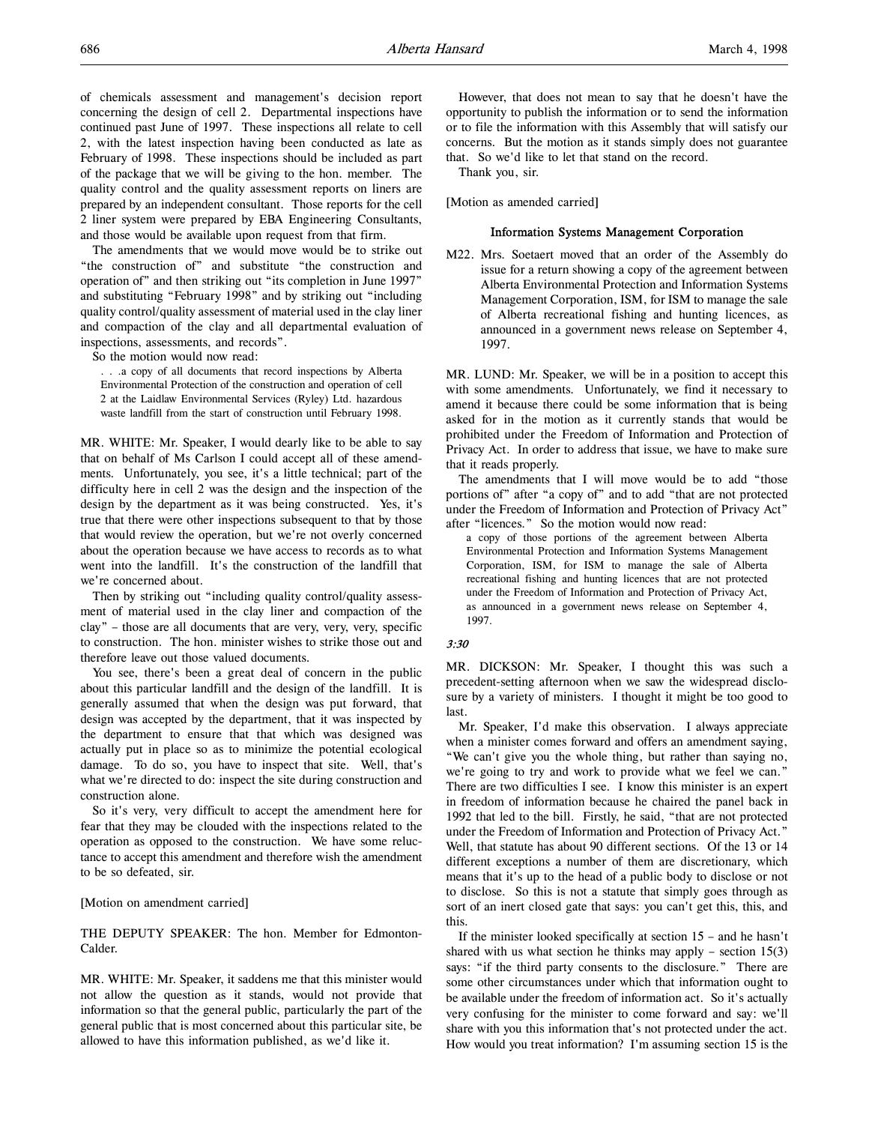of chemicals assessment and management's decision report concerning the design of cell 2. Departmental inspections have continued past June of 1997. These inspections all relate to cell 2, with the latest inspection having been conducted as late as February of 1998. These inspections should be included as part of the package that we will be giving to the hon. member. The quality control and the quality assessment reports on liners are prepared by an independent consultant. Those reports for the cell 2 liner system were prepared by EBA Engineering Consultants, and those would be available upon request from that firm.

The amendments that we would move would be to strike out "the construction of" and substitute "the construction and operation of" and then striking out "its completion in June 1997" and substituting "February 1998" and by striking out "including quality control/quality assessment of material used in the clay liner and compaction of the clay and all departmental evaluation of inspections, assessments, and records".

So the motion would now read:

. . .a copy of all documents that record inspections by Alberta Environmental Protection of the construction and operation of cell 2 at the Laidlaw Environmental Services (Ryley) Ltd. hazardous waste landfill from the start of construction until February 1998.

MR. WHITE: Mr. Speaker, I would dearly like to be able to say that on behalf of Ms Carlson I could accept all of these amendments. Unfortunately, you see, it's a little technical; part of the difficulty here in cell 2 was the design and the inspection of the design by the department as it was being constructed. Yes, it's true that there were other inspections subsequent to that by those that would review the operation, but we're not overly concerned about the operation because we have access to records as to what went into the landfill. It's the construction of the landfill that we're concerned about.

Then by striking out "including quality control/quality assessment of material used in the clay liner and compaction of the clay" – those are all documents that are very, very, very, specific to construction. The hon. minister wishes to strike those out and therefore leave out those valued documents.

You see, there's been a great deal of concern in the public about this particular landfill and the design of the landfill. It is generally assumed that when the design was put forward, that design was accepted by the department, that it was inspected by the department to ensure that that which was designed was actually put in place so as to minimize the potential ecological damage. To do so, you have to inspect that site. Well, that's what we're directed to do: inspect the site during construction and construction alone.

So it's very, very difficult to accept the amendment here for fear that they may be clouded with the inspections related to the operation as opposed to the construction. We have some reluctance to accept this amendment and therefore wish the amendment to be so defeated, sir.

## [Motion on amendment carried]

THE DEPUTY SPEAKER: The hon. Member for Edmonton-Calder.

MR. WHITE: Mr. Speaker, it saddens me that this minister would not allow the question as it stands, would not provide that information so that the general public, particularly the part of the general public that is most concerned about this particular site, be allowed to have this information published, as we'd like it.

However, that does not mean to say that he doesn't have the opportunity to publish the information or to send the information or to file the information with this Assembly that will satisfy our concerns. But the motion as it stands simply does not guarantee that. So we'd like to let that stand on the record.

Thank you, sir.

[Motion as amended carried]

## Information Systems Management Corporation

M22. Mrs. Soetaert moved that an order of the Assembly do issue for a return showing a copy of the agreement between Alberta Environmental Protection and Information Systems Management Corporation, ISM, for ISM to manage the sale of Alberta recreational fishing and hunting licences, as announced in a government news release on September 4, 1997.

MR. LUND: Mr. Speaker, we will be in a position to accept this with some amendments. Unfortunately, we find it necessary to amend it because there could be some information that is being asked for in the motion as it currently stands that would be prohibited under the Freedom of Information and Protection of Privacy Act. In order to address that issue, we have to make sure that it reads properly.

The amendments that I will move would be to add "those portions of" after "a copy of" and to add "that are not protected under the Freedom of Information and Protection of Privacy Act" after "licences." So the motion would now read:

a copy of those portions of the agreement between Alberta Environmental Protection and Information Systems Management Corporation, ISM, for ISM to manage the sale of Alberta recreational fishing and hunting licences that are not protected under the Freedom of Information and Protection of Privacy Act, as announced in a government news release on September 4, 1997.

### 3:30

MR. DICKSON: Mr. Speaker, I thought this was such a precedent-setting afternoon when we saw the widespread disclosure by a variety of ministers. I thought it might be too good to last.

Mr. Speaker, I'd make this observation. I always appreciate when a minister comes forward and offers an amendment saying, "We can't give you the whole thing, but rather than saying no, we're going to try and work to provide what we feel we can." There are two difficulties I see. I know this minister is an expert in freedom of information because he chaired the panel back in 1992 that led to the bill. Firstly, he said, "that are not protected under the Freedom of Information and Protection of Privacy Act." Well, that statute has about 90 different sections. Of the 13 or 14 different exceptions a number of them are discretionary, which means that it's up to the head of a public body to disclose or not to disclose. So this is not a statute that simply goes through as sort of an inert closed gate that says: you can't get this, this, and this.

If the minister looked specifically at section 15 – and he hasn't shared with us what section he thinks may apply – section 15(3) says: "if the third party consents to the disclosure." There are some other circumstances under which that information ought to be available under the freedom of information act. So it's actually very confusing for the minister to come forward and say: we'll share with you this information that's not protected under the act. How would you treat information? I'm assuming section 15 is the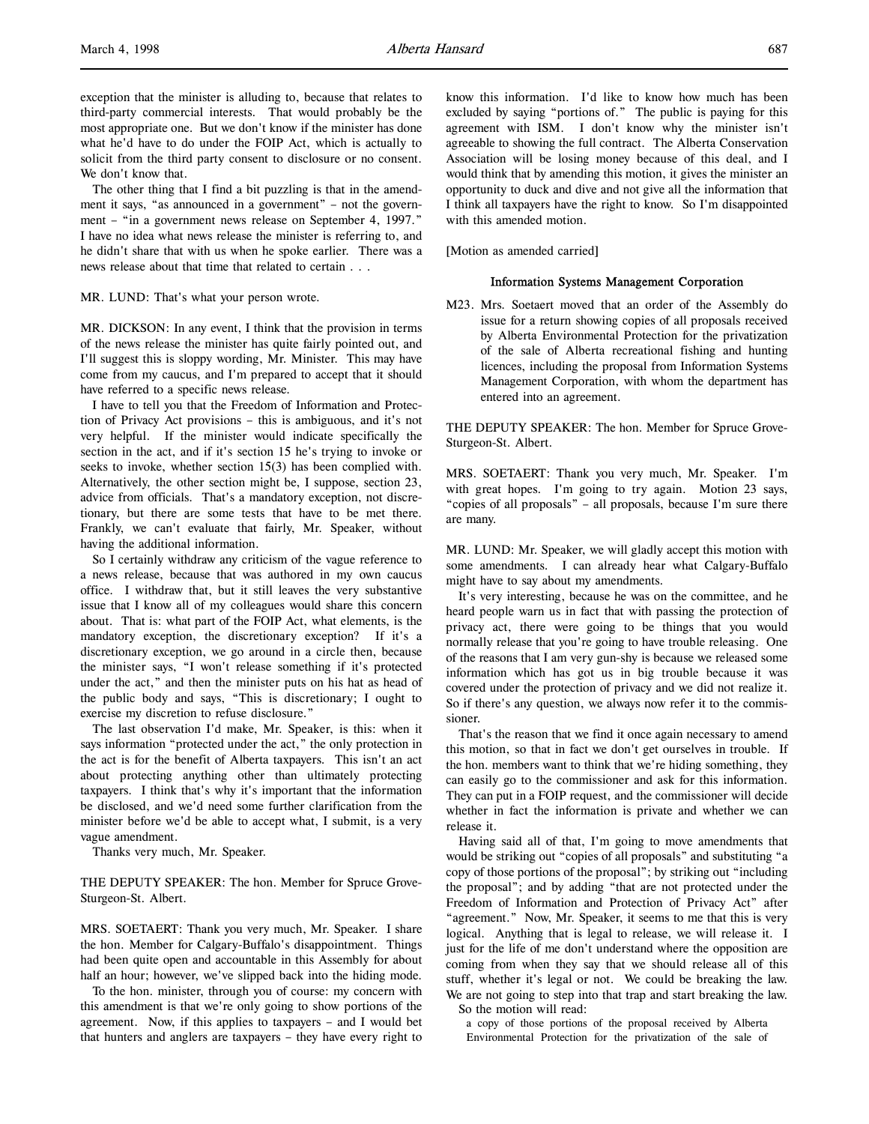The other thing that I find a bit puzzling is that in the amendment it says, "as announced in a government" – not the government – "in a government news release on September 4, 1997." I have no idea what news release the minister is referring to, and he didn't share that with us when he spoke earlier. There was a news release about that time that related to certain . . .

## MR. LUND: That's what your person wrote.

MR. DICKSON: In any event, I think that the provision in terms of the news release the minister has quite fairly pointed out, and I'll suggest this is sloppy wording, Mr. Minister. This may have come from my caucus, and I'm prepared to accept that it should have referred to a specific news release.

I have to tell you that the Freedom of Information and Protection of Privacy Act provisions – this is ambiguous, and it's not very helpful. If the minister would indicate specifically the section in the act, and if it's section 15 he's trying to invoke or seeks to invoke, whether section 15(3) has been complied with. Alternatively, the other section might be, I suppose, section 23, advice from officials. That's a mandatory exception, not discretionary, but there are some tests that have to be met there. Frankly, we can't evaluate that fairly, Mr. Speaker, without having the additional information.

So I certainly withdraw any criticism of the vague reference to a news release, because that was authored in my own caucus office. I withdraw that, but it still leaves the very substantive issue that I know all of my colleagues would share this concern about. That is: what part of the FOIP Act, what elements, is the mandatory exception, the discretionary exception? If it's a discretionary exception, we go around in a circle then, because the minister says, "I won't release something if it's protected under the act," and then the minister puts on his hat as head of the public body and says, "This is discretionary; I ought to exercise my discretion to refuse disclosure."

The last observation I'd make, Mr. Speaker, is this: when it says information "protected under the act," the only protection in the act is for the benefit of Alberta taxpayers. This isn't an act about protecting anything other than ultimately protecting taxpayers. I think that's why it's important that the information be disclosed, and we'd need some further clarification from the minister before we'd be able to accept what, I submit, is a very vague amendment.

Thanks very much, Mr. Speaker.

THE DEPUTY SPEAKER: The hon. Member for Spruce Grove-Sturgeon-St. Albert.

MRS. SOETAERT: Thank you very much, Mr. Speaker. I share the hon. Member for Calgary-Buffalo's disappointment. Things had been quite open and accountable in this Assembly for about half an hour; however, we've slipped back into the hiding mode.

To the hon. minister, through you of course: my concern with this amendment is that we're only going to show portions of the agreement. Now, if this applies to taxpayers – and I would bet that hunters and anglers are taxpayers – they have every right to

know this information. I'd like to know how much has been excluded by saying "portions of." The public is paying for this agreement with ISM. I don't know why the minister isn't agreeable to showing the full contract. The Alberta Conservation Association will be losing money because of this deal, and I would think that by amending this motion, it gives the minister an opportunity to duck and dive and not give all the information that I think all taxpayers have the right to know. So I'm disappointed with this amended motion.

[Motion as amended carried]

## Information Systems Management Corporation

M23. Mrs. Soetaert moved that an order of the Assembly do issue for a return showing copies of all proposals received by Alberta Environmental Protection for the privatization of the sale of Alberta recreational fishing and hunting licences, including the proposal from Information Systems Management Corporation, with whom the department has entered into an agreement.

THE DEPUTY SPEAKER: The hon. Member for Spruce Grove-Sturgeon-St. Albert.

MRS. SOETAERT: Thank you very much, Mr. Speaker. I'm with great hopes. I'm going to try again. Motion 23 says, "copies of all proposals" – all proposals, because I'm sure there are many.

MR. LUND: Mr. Speaker, we will gladly accept this motion with some amendments. I can already hear what Calgary-Buffalo might have to say about my amendments.

It's very interesting, because he was on the committee, and he heard people warn us in fact that with passing the protection of privacy act, there were going to be things that you would normally release that you're going to have trouble releasing. One of the reasons that I am very gun-shy is because we released some information which has got us in big trouble because it was covered under the protection of privacy and we did not realize it. So if there's any question, we always now refer it to the commissioner.

That's the reason that we find it once again necessary to amend this motion, so that in fact we don't get ourselves in trouble. If the hon. members want to think that we're hiding something, they can easily go to the commissioner and ask for this information. They can put in a FOIP request, and the commissioner will decide whether in fact the information is private and whether we can release it.

Having said all of that, I'm going to move amendments that would be striking out "copies of all proposals" and substituting "a copy of those portions of the proposal"; by striking out "including the proposal"; and by adding "that are not protected under the Freedom of Information and Protection of Privacy Act" after "agreement." Now, Mr. Speaker, it seems to me that this is very logical. Anything that is legal to release, we will release it. I just for the life of me don't understand where the opposition are coming from when they say that we should release all of this stuff, whether it's legal or not. We could be breaking the law. We are not going to step into that trap and start breaking the law.

So the motion will read:

a copy of those portions of the proposal received by Alberta Environmental Protection for the privatization of the sale of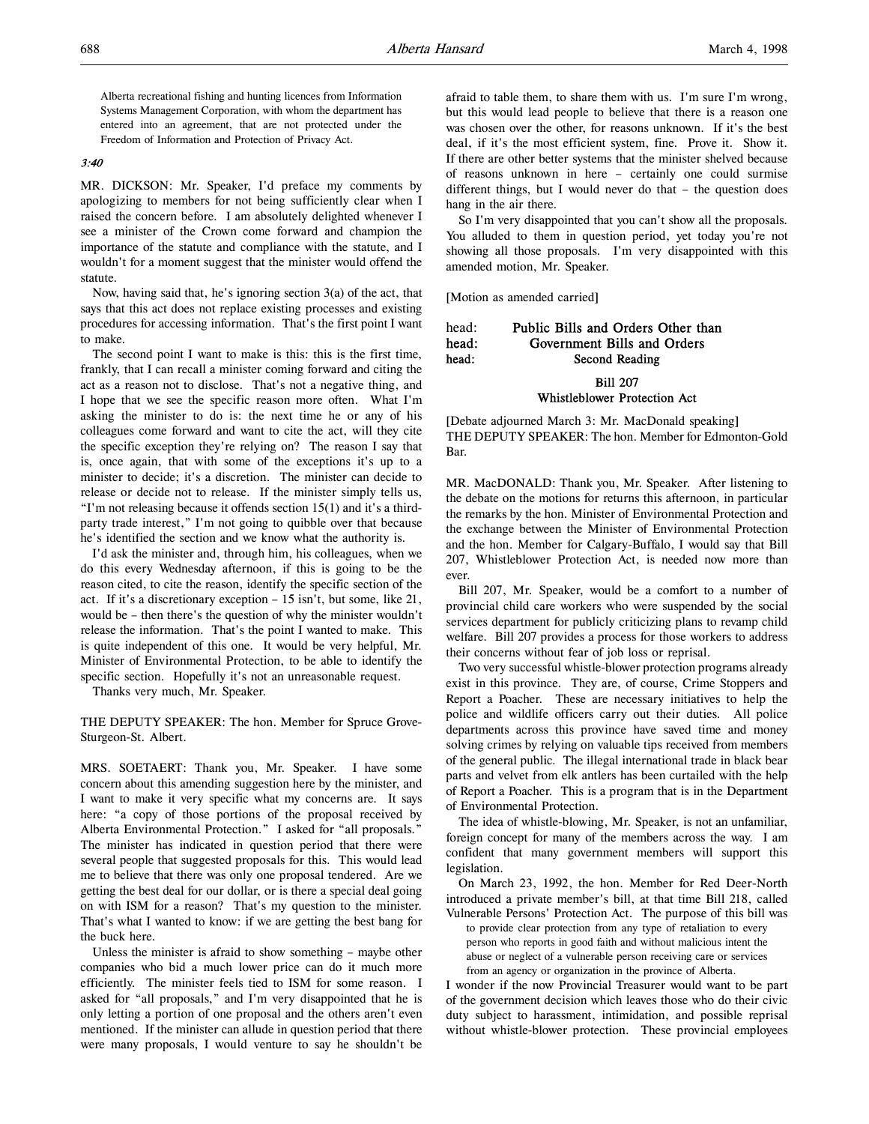Alberta recreational fishing and hunting licences from Information Systems Management Corporation, with whom the department has entered into an agreement, that are not protected under the Freedom of Information and Protection of Privacy Act.

#### 3:40

MR. DICKSON: Mr. Speaker, I'd preface my comments by apologizing to members for not being sufficiently clear when I raised the concern before. I am absolutely delighted whenever I see a minister of the Crown come forward and champion the importance of the statute and compliance with the statute, and I wouldn't for a moment suggest that the minister would offend the statute.

Now, having said that, he's ignoring section 3(a) of the act, that says that this act does not replace existing processes and existing procedures for accessing information. That's the first point I want to make.

The second point I want to make is this: this is the first time, frankly, that I can recall a minister coming forward and citing the act as a reason not to disclose. That's not a negative thing, and I hope that we see the specific reason more often. What I'm asking the minister to do is: the next time he or any of his colleagues come forward and want to cite the act, will they cite the specific exception they're relying on? The reason I say that is, once again, that with some of the exceptions it's up to a minister to decide; it's a discretion. The minister can decide to release or decide not to release. If the minister simply tells us, "I'm not releasing because it offends section 15(1) and it's a thirdparty trade interest," I'm not going to quibble over that because he's identified the section and we know what the authority is.

I'd ask the minister and, through him, his colleagues, when we do this every Wednesday afternoon, if this is going to be the reason cited, to cite the reason, identify the specific section of the act. If it's a discretionary exception – 15 isn't, but some, like 21, would be – then there's the question of why the minister wouldn't release the information. That's the point I wanted to make. This is quite independent of this one. It would be very helpful, Mr. Minister of Environmental Protection, to be able to identify the specific section. Hopefully it's not an unreasonable request.

Thanks very much, Mr. Speaker.

THE DEPUTY SPEAKER: The hon. Member for Spruce Grove-Sturgeon-St. Albert.

MRS. SOETAERT: Thank you, Mr. Speaker. I have some concern about this amending suggestion here by the minister, and I want to make it very specific what my concerns are. It says here: "a copy of those portions of the proposal received by Alberta Environmental Protection." I asked for "all proposals." The minister has indicated in question period that there were several people that suggested proposals for this. This would lead me to believe that there was only one proposal tendered. Are we getting the best deal for our dollar, or is there a special deal going on with ISM for a reason? That's my question to the minister. That's what I wanted to know: if we are getting the best bang for the buck here.

Unless the minister is afraid to show something – maybe other companies who bid a much lower price can do it much more efficiently. The minister feels tied to ISM for some reason. I asked for "all proposals," and I'm very disappointed that he is only letting a portion of one proposal and the others aren't even mentioned. If the minister can allude in question period that there were many proposals, I would venture to say he shouldn't be

afraid to table them, to share them with us. I'm sure I'm wrong, but this would lead people to believe that there is a reason one was chosen over the other, for reasons unknown. If it's the best deal, if it's the most efficient system, fine. Prove it. Show it. If there are other better systems that the minister shelved because of reasons unknown in here – certainly one could surmise different things, but I would never do that – the question does hang in the air there.

So I'm very disappointed that you can't show all the proposals. You alluded to them in question period, yet today you're not showing all those proposals. I'm very disappointed with this amended motion, Mr. Speaker.

[Motion as amended carried]

## head: Public Bills and Orders Other than head: Government Bills and Orders head: Second Reading Bill 207 Whistleblower Protection Act

[Debate adjourned March 3: Mr. MacDonald speaking] THE DEPUTY SPEAKER: The hon. Member for Edmonton-Gold Bar.

MR. MacDONALD: Thank you, Mr. Speaker. After listening to the debate on the motions for returns this afternoon, in particular the remarks by the hon. Minister of Environmental Protection and the exchange between the Minister of Environmental Protection and the hon. Member for Calgary-Buffalo, I would say that Bill 207, Whistleblower Protection Act, is needed now more than ever.

Bill 207, Mr. Speaker, would be a comfort to a number of provincial child care workers who were suspended by the social services department for publicly criticizing plans to revamp child welfare. Bill 207 provides a process for those workers to address their concerns without fear of job loss or reprisal.

Two very successful whistle-blower protection programs already exist in this province. They are, of course, Crime Stoppers and Report a Poacher. These are necessary initiatives to help the police and wildlife officers carry out their duties. All police departments across this province have saved time and money solving crimes by relying on valuable tips received from members of the general public. The illegal international trade in black bear parts and velvet from elk antlers has been curtailed with the help of Report a Poacher. This is a program that is in the Department of Environmental Protection.

The idea of whistle-blowing, Mr. Speaker, is not an unfamiliar, foreign concept for many of the members across the way. I am confident that many government members will support this legislation.

On March 23, 1992, the hon. Member for Red Deer-North introduced a private member's bill, at that time Bill 218, called Vulnerable Persons' Protection Act. The purpose of this bill was

to provide clear protection from any type of retaliation to every person who reports in good faith and without malicious intent the abuse or neglect of a vulnerable person receiving care or services from an agency or organization in the province of Alberta.

I wonder if the now Provincial Treasurer would want to be part of the government decision which leaves those who do their civic duty subject to harassment, intimidation, and possible reprisal without whistle-blower protection. These provincial employees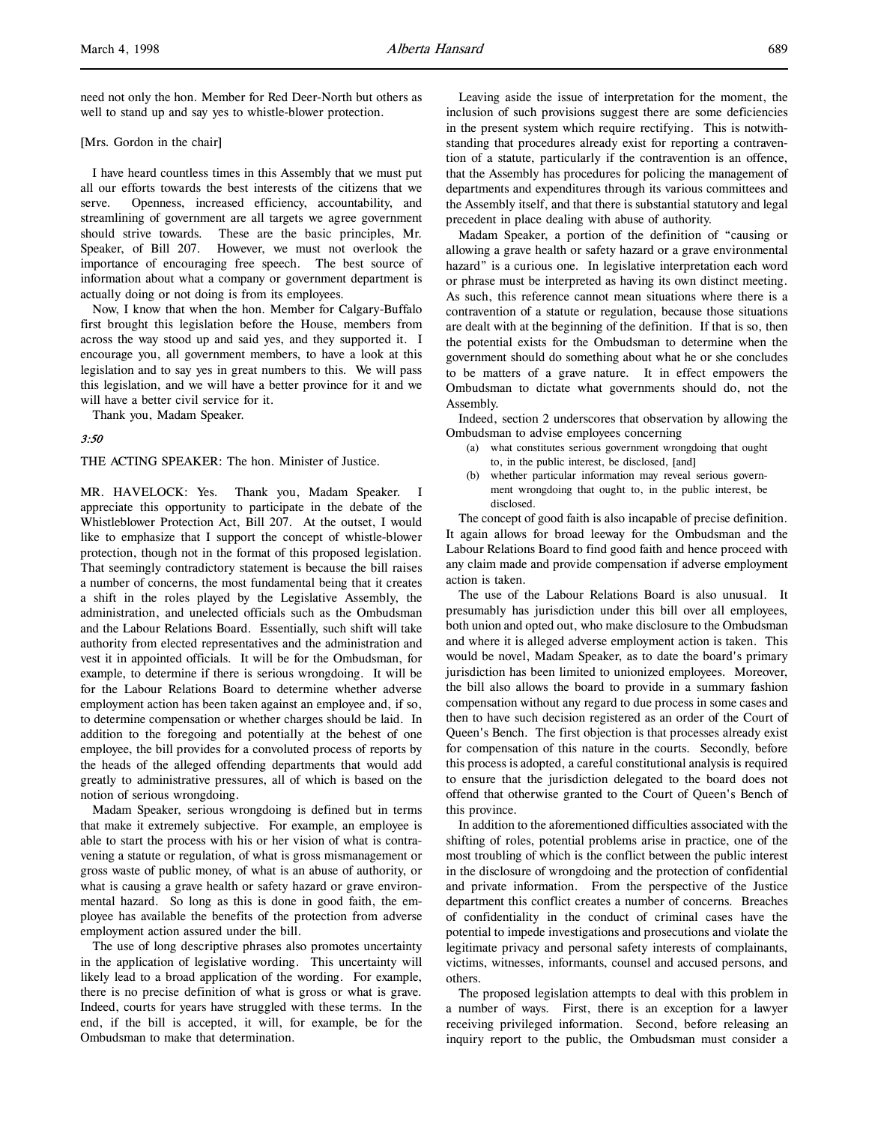need not only the hon. Member for Red Deer-North but others as well to stand up and say yes to whistle-blower protection.

#### [Mrs. Gordon in the chair]

I have heard countless times in this Assembly that we must put all our efforts towards the best interests of the citizens that we serve. Openness, increased efficiency, accountability, and streamlining of government are all targets we agree government should strive towards. These are the basic principles, Mr. Speaker, of Bill 207. However, we must not overlook the importance of encouraging free speech. The best source of information about what a company or government department is actually doing or not doing is from its employees.

Now, I know that when the hon. Member for Calgary-Buffalo first brought this legislation before the House, members from across the way stood up and said yes, and they supported it. I encourage you, all government members, to have a look at this legislation and to say yes in great numbers to this. We will pass this legislation, and we will have a better province for it and we will have a better civil service for it.

Thank you, Madam Speaker.

## 3:50

THE ACTING SPEAKER: The hon. Minister of Justice.

MR. HAVELOCK: Yes. Thank you, Madam Speaker. I appreciate this opportunity to participate in the debate of the Whistleblower Protection Act, Bill 207. At the outset, I would like to emphasize that I support the concept of whistle-blower protection, though not in the format of this proposed legislation. That seemingly contradictory statement is because the bill raises a number of concerns, the most fundamental being that it creates a shift in the roles played by the Legislative Assembly, the administration, and unelected officials such as the Ombudsman and the Labour Relations Board. Essentially, such shift will take authority from elected representatives and the administration and vest it in appointed officials. It will be for the Ombudsman, for example, to determine if there is serious wrongdoing. It will be for the Labour Relations Board to determine whether adverse employment action has been taken against an employee and, if so, to determine compensation or whether charges should be laid. In addition to the foregoing and potentially at the behest of one employee, the bill provides for a convoluted process of reports by the heads of the alleged offending departments that would add greatly to administrative pressures, all of which is based on the notion of serious wrongdoing.

Madam Speaker, serious wrongdoing is defined but in terms that make it extremely subjective. For example, an employee is able to start the process with his or her vision of what is contravening a statute or regulation, of what is gross mismanagement or gross waste of public money, of what is an abuse of authority, or what is causing a grave health or safety hazard or grave environmental hazard. So long as this is done in good faith, the employee has available the benefits of the protection from adverse employment action assured under the bill.

The use of long descriptive phrases also promotes uncertainty in the application of legislative wording. This uncertainty will likely lead to a broad application of the wording. For example, there is no precise definition of what is gross or what is grave. Indeed, courts for years have struggled with these terms. In the end, if the bill is accepted, it will, for example, be for the Ombudsman to make that determination.

Leaving aside the issue of interpretation for the moment, the inclusion of such provisions suggest there are some deficiencies in the present system which require rectifying. This is notwithstanding that procedures already exist for reporting a contravention of a statute, particularly if the contravention is an offence, that the Assembly has procedures for policing the management of departments and expenditures through its various committees and the Assembly itself, and that there is substantial statutory and legal precedent in place dealing with abuse of authority.

Madam Speaker, a portion of the definition of "causing or allowing a grave health or safety hazard or a grave environmental hazard" is a curious one. In legislative interpretation each word or phrase must be interpreted as having its own distinct meeting. As such, this reference cannot mean situations where there is a contravention of a statute or regulation, because those situations are dealt with at the beginning of the definition. If that is so, then the potential exists for the Ombudsman to determine when the government should do something about what he or she concludes to be matters of a grave nature. It in effect empowers the Ombudsman to dictate what governments should do, not the Assembly.

Indeed, section 2 underscores that observation by allowing the Ombudsman to advise employees concerning

- (a) what constitutes serious government wrongdoing that ought to, in the public interest, be disclosed, [and]
- whether particular information may reveal serious government wrongdoing that ought to, in the public interest, be disclosed.

The concept of good faith is also incapable of precise definition. It again allows for broad leeway for the Ombudsman and the Labour Relations Board to find good faith and hence proceed with any claim made and provide compensation if adverse employment action is taken.

The use of the Labour Relations Board is also unusual. It presumably has jurisdiction under this bill over all employees, both union and opted out, who make disclosure to the Ombudsman and where it is alleged adverse employment action is taken. This would be novel, Madam Speaker, as to date the board's primary jurisdiction has been limited to unionized employees. Moreover, the bill also allows the board to provide in a summary fashion compensation without any regard to due process in some cases and then to have such decision registered as an order of the Court of Queen's Bench. The first objection is that processes already exist for compensation of this nature in the courts. Secondly, before this process is adopted, a careful constitutional analysis is required to ensure that the jurisdiction delegated to the board does not offend that otherwise granted to the Court of Queen's Bench of this province.

In addition to the aforementioned difficulties associated with the shifting of roles, potential problems arise in practice, one of the most troubling of which is the conflict between the public interest in the disclosure of wrongdoing and the protection of confidential and private information. From the perspective of the Justice department this conflict creates a number of concerns. Breaches of confidentiality in the conduct of criminal cases have the potential to impede investigations and prosecutions and violate the legitimate privacy and personal safety interests of complainants, victims, witnesses, informants, counsel and accused persons, and others.

The proposed legislation attempts to deal with this problem in a number of ways. First, there is an exception for a lawyer receiving privileged information. Second, before releasing an inquiry report to the public, the Ombudsman must consider a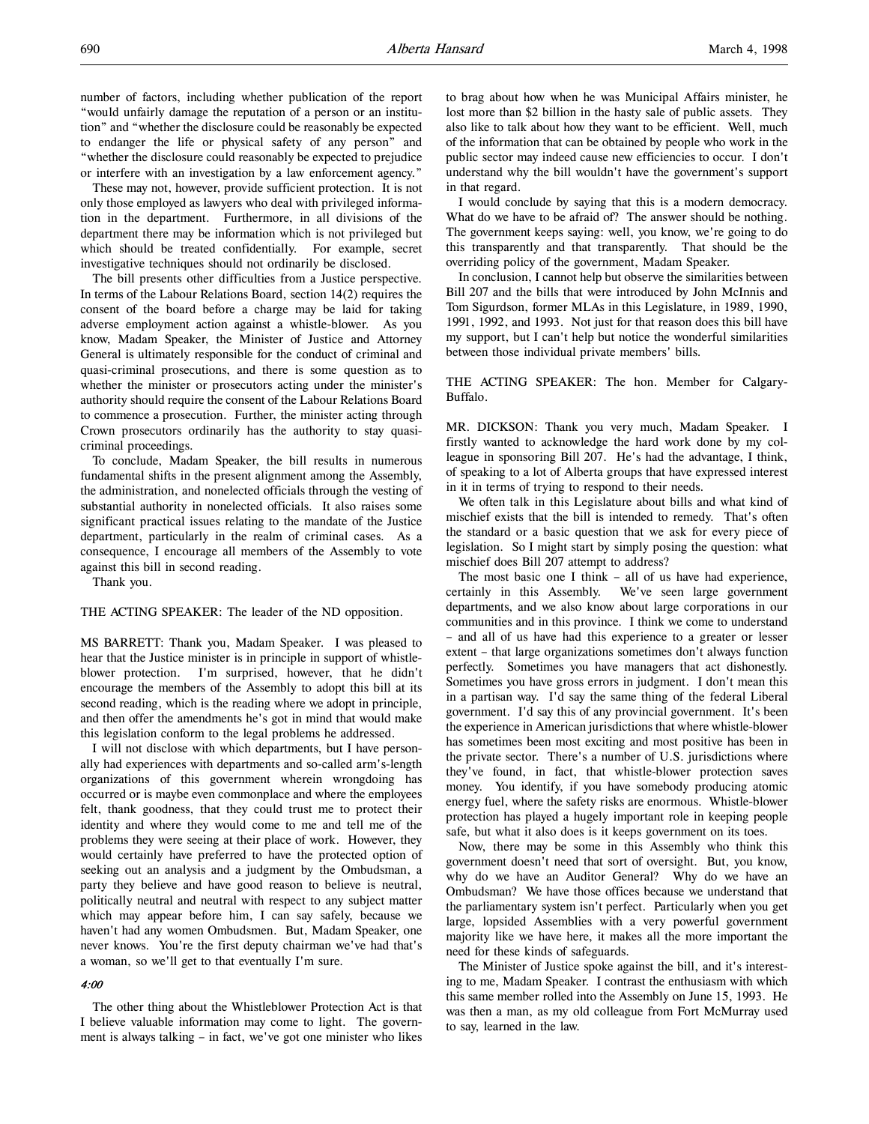These may not, however, provide sufficient protection. It is not only those employed as lawyers who deal with privileged information in the department. Furthermore, in all divisions of the department there may be information which is not privileged but which should be treated confidentially. For example, secret investigative techniques should not ordinarily be disclosed.

The bill presents other difficulties from a Justice perspective. In terms of the Labour Relations Board, section 14(2) requires the consent of the board before a charge may be laid for taking adverse employment action against a whistle-blower. As you know, Madam Speaker, the Minister of Justice and Attorney General is ultimately responsible for the conduct of criminal and quasi-criminal prosecutions, and there is some question as to whether the minister or prosecutors acting under the minister's authority should require the consent of the Labour Relations Board to commence a prosecution. Further, the minister acting through Crown prosecutors ordinarily has the authority to stay quasicriminal proceedings.

To conclude, Madam Speaker, the bill results in numerous fundamental shifts in the present alignment among the Assembly, the administration, and nonelected officials through the vesting of substantial authority in nonelected officials. It also raises some significant practical issues relating to the mandate of the Justice department, particularly in the realm of criminal cases. As a consequence, I encourage all members of the Assembly to vote against this bill in second reading.

Thank you.

THE ACTING SPEAKER: The leader of the ND opposition.

MS BARRETT: Thank you, Madam Speaker. I was pleased to hear that the Justice minister is in principle in support of whistleblower protection. I'm surprised, however, that he didn't encourage the members of the Assembly to adopt this bill at its second reading, which is the reading where we adopt in principle, and then offer the amendments he's got in mind that would make this legislation conform to the legal problems he addressed.

I will not disclose with which departments, but I have personally had experiences with departments and so-called arm's-length organizations of this government wherein wrongdoing has occurred or is maybe even commonplace and where the employees felt, thank goodness, that they could trust me to protect their identity and where they would come to me and tell me of the problems they were seeing at their place of work. However, they would certainly have preferred to have the protected option of seeking out an analysis and a judgment by the Ombudsman, a party they believe and have good reason to believe is neutral, politically neutral and neutral with respect to any subject matter which may appear before him, I can say safely, because we haven't had any women Ombudsmen. But, Madam Speaker, one never knows. You're the first deputy chairman we've had that's a woman, so we'll get to that eventually I'm sure.

## 4:00

The other thing about the Whistleblower Protection Act is that I believe valuable information may come to light. The government is always talking – in fact, we've got one minister who likes

to brag about how when he was Municipal Affairs minister, he lost more than \$2 billion in the hasty sale of public assets. They also like to talk about how they want to be efficient. Well, much of the information that can be obtained by people who work in the public sector may indeed cause new efficiencies to occur. I don't understand why the bill wouldn't have the government's support in that regard.

I would conclude by saying that this is a modern democracy. What do we have to be afraid of? The answer should be nothing. The government keeps saying: well, you know, we're going to do this transparently and that transparently. That should be the overriding policy of the government, Madam Speaker.

In conclusion, I cannot help but observe the similarities between Bill 207 and the bills that were introduced by John McInnis and Tom Sigurdson, former MLAs in this Legislature, in 1989, 1990, 1991, 1992, and 1993. Not just for that reason does this bill have my support, but I can't help but notice the wonderful similarities between those individual private members' bills.

THE ACTING SPEAKER: The hon. Member for Calgary-Buffalo.

MR. DICKSON: Thank you very much, Madam Speaker. I firstly wanted to acknowledge the hard work done by my colleague in sponsoring Bill 207. He's had the advantage, I think, of speaking to a lot of Alberta groups that have expressed interest in it in terms of trying to respond to their needs.

We often talk in this Legislature about bills and what kind of mischief exists that the bill is intended to remedy. That's often the standard or a basic question that we ask for every piece of legislation. So I might start by simply posing the question: what mischief does Bill 207 attempt to address?

The most basic one I think – all of us have had experience, certainly in this Assembly. We've seen large government departments, and we also know about large corporations in our communities and in this province. I think we come to understand – and all of us have had this experience to a greater or lesser extent – that large organizations sometimes don't always function perfectly. Sometimes you have managers that act dishonestly. Sometimes you have gross errors in judgment. I don't mean this in a partisan way. I'd say the same thing of the federal Liberal government. I'd say this of any provincial government. It's been the experience in American jurisdictions that where whistle-blower has sometimes been most exciting and most positive has been in the private sector. There's a number of U.S. jurisdictions where they've found, in fact, that whistle-blower protection saves money. You identify, if you have somebody producing atomic energy fuel, where the safety risks are enormous. Whistle-blower protection has played a hugely important role in keeping people safe, but what it also does is it keeps government on its toes.

Now, there may be some in this Assembly who think this government doesn't need that sort of oversight. But, you know, why do we have an Auditor General? Why do we have an Ombudsman? We have those offices because we understand that the parliamentary system isn't perfect. Particularly when you get large, lopsided Assemblies with a very powerful government majority like we have here, it makes all the more important the need for these kinds of safeguards.

The Minister of Justice spoke against the bill, and it's interesting to me, Madam Speaker. I contrast the enthusiasm with which this same member rolled into the Assembly on June 15, 1993. He was then a man, as my old colleague from Fort McMurray used to say, learned in the law.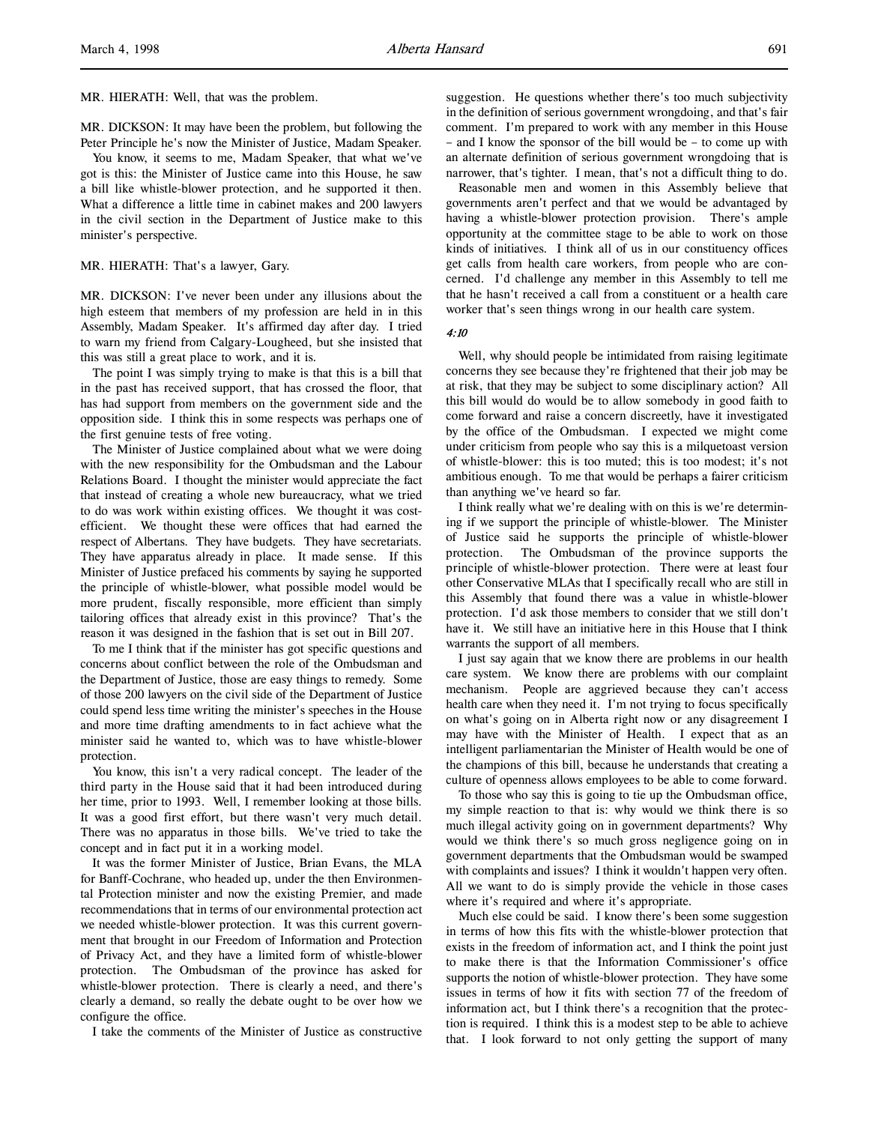MR. HIERATH: Well, that was the problem.

MR. DICKSON: It may have been the problem, but following the Peter Principle he's now the Minister of Justice, Madam Speaker.

You know, it seems to me, Madam Speaker, that what we've got is this: the Minister of Justice came into this House, he saw a bill like whistle-blower protection, and he supported it then. What a difference a little time in cabinet makes and 200 lawyers in the civil section in the Department of Justice make to this minister's perspective.

## MR. HIERATH: That's a lawyer, Gary.

MR. DICKSON: I've never been under any illusions about the high esteem that members of my profession are held in in this Assembly, Madam Speaker. It's affirmed day after day. I tried to warn my friend from Calgary-Lougheed, but she insisted that this was still a great place to work, and it is.

The point I was simply trying to make is that this is a bill that in the past has received support, that has crossed the floor, that has had support from members on the government side and the opposition side. I think this in some respects was perhaps one of the first genuine tests of free voting.

The Minister of Justice complained about what we were doing with the new responsibility for the Ombudsman and the Labour Relations Board. I thought the minister would appreciate the fact that instead of creating a whole new bureaucracy, what we tried to do was work within existing offices. We thought it was costefficient. We thought these were offices that had earned the respect of Albertans. They have budgets. They have secretariats. They have apparatus already in place. It made sense. If this Minister of Justice prefaced his comments by saying he supported the principle of whistle-blower, what possible model would be more prudent, fiscally responsible, more efficient than simply tailoring offices that already exist in this province? That's the reason it was designed in the fashion that is set out in Bill 207.

To me I think that if the minister has got specific questions and concerns about conflict between the role of the Ombudsman and the Department of Justice, those are easy things to remedy. Some of those 200 lawyers on the civil side of the Department of Justice could spend less time writing the minister's speeches in the House and more time drafting amendments to in fact achieve what the minister said he wanted to, which was to have whistle-blower protection.

You know, this isn't a very radical concept. The leader of the third party in the House said that it had been introduced during her time, prior to 1993. Well, I remember looking at those bills. It was a good first effort, but there wasn't very much detail. There was no apparatus in those bills. We've tried to take the concept and in fact put it in a working model.

It was the former Minister of Justice, Brian Evans, the MLA for Banff-Cochrane, who headed up, under the then Environmental Protection minister and now the existing Premier, and made recommendations that in terms of our environmental protection act we needed whistle-blower protection. It was this current government that brought in our Freedom of Information and Protection of Privacy Act, and they have a limited form of whistle-blower protection. The Ombudsman of the province has asked for whistle-blower protection. There is clearly a need, and there's clearly a demand, so really the debate ought to be over how we configure the office.

I take the comments of the Minister of Justice as constructive

suggestion. He questions whether there's too much subjectivity in the definition of serious government wrongdoing, and that's fair comment. I'm prepared to work with any member in this House – and I know the sponsor of the bill would be – to come up with an alternate definition of serious government wrongdoing that is narrower, that's tighter. I mean, that's not a difficult thing to do.

Reasonable men and women in this Assembly believe that governments aren't perfect and that we would be advantaged by having a whistle-blower protection provision. There's ample opportunity at the committee stage to be able to work on those kinds of initiatives. I think all of us in our constituency offices get calls from health care workers, from people who are concerned. I'd challenge any member in this Assembly to tell me that he hasn't received a call from a constituent or a health care worker that's seen things wrong in our health care system.

4:10

Well, why should people be intimidated from raising legitimate concerns they see because they're frightened that their job may be at risk, that they may be subject to some disciplinary action? All this bill would do would be to allow somebody in good faith to come forward and raise a concern discreetly, have it investigated by the office of the Ombudsman. I expected we might come under criticism from people who say this is a milquetoast version of whistle-blower: this is too muted; this is too modest; it's not ambitious enough. To me that would be perhaps a fairer criticism than anything we've heard so far.

I think really what we're dealing with on this is we're determining if we support the principle of whistle-blower. The Minister of Justice said he supports the principle of whistle-blower protection. The Ombudsman of the province supports the principle of whistle-blower protection. There were at least four other Conservative MLAs that I specifically recall who are still in this Assembly that found there was a value in whistle-blower protection. I'd ask those members to consider that we still don't have it. We still have an initiative here in this House that I think warrants the support of all members.

I just say again that we know there are problems in our health care system. We know there are problems with our complaint mechanism. People are aggrieved because they can't access health care when they need it. I'm not trying to focus specifically on what's going on in Alberta right now or any disagreement I may have with the Minister of Health. I expect that as an intelligent parliamentarian the Minister of Health would be one of the champions of this bill, because he understands that creating a culture of openness allows employees to be able to come forward.

To those who say this is going to tie up the Ombudsman office, my simple reaction to that is: why would we think there is so much illegal activity going on in government departments? Why would we think there's so much gross negligence going on in government departments that the Ombudsman would be swamped with complaints and issues? I think it wouldn't happen very often. All we want to do is simply provide the vehicle in those cases where it's required and where it's appropriate.

Much else could be said. I know there's been some suggestion in terms of how this fits with the whistle-blower protection that exists in the freedom of information act, and I think the point just to make there is that the Information Commissioner's office supports the notion of whistle-blower protection. They have some issues in terms of how it fits with section 77 of the freedom of information act, but I think there's a recognition that the protection is required. I think this is a modest step to be able to achieve that. I look forward to not only getting the support of many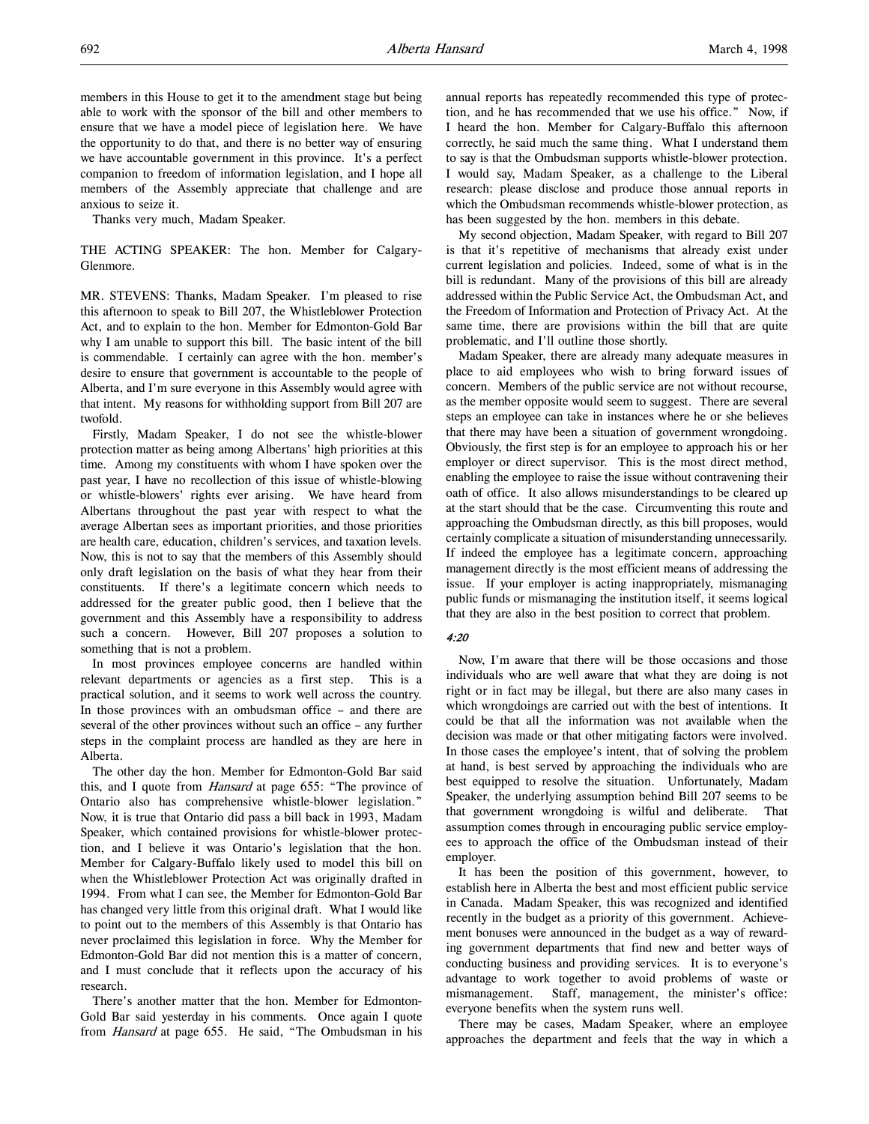members in this House to get it to the amendment stage but being able to work with the sponsor of the bill and other members to ensure that we have a model piece of legislation here. We have the opportunity to do that, and there is no better way of ensuring we have accountable government in this province. It's a perfect companion to freedom of information legislation, and I hope all members of the Assembly appreciate that challenge and are anxious to seize it.

Thanks very much, Madam Speaker.

THE ACTING SPEAKER: The hon. Member for Calgary-Glenmore.

MR. STEVENS: Thanks, Madam Speaker. I'm pleased to rise this afternoon to speak to Bill 207, the Whistleblower Protection Act, and to explain to the hon. Member for Edmonton-Gold Bar why I am unable to support this bill. The basic intent of the bill is commendable. I certainly can agree with the hon. member's desire to ensure that government is accountable to the people of Alberta, and I'm sure everyone in this Assembly would agree with that intent. My reasons for withholding support from Bill 207 are twofold.

Firstly, Madam Speaker, I do not see the whistle-blower protection matter as being among Albertans' high priorities at this time. Among my constituents with whom I have spoken over the past year, I have no recollection of this issue of whistle-blowing or whistle-blowers' rights ever arising. We have heard from Albertans throughout the past year with respect to what the average Albertan sees as important priorities, and those priorities are health care, education, children's services, and taxation levels. Now, this is not to say that the members of this Assembly should only draft legislation on the basis of what they hear from their constituents. If there's a legitimate concern which needs to addressed for the greater public good, then I believe that the government and this Assembly have a responsibility to address such a concern. However, Bill 207 proposes a solution to something that is not a problem.

In most provinces employee concerns are handled within relevant departments or agencies as a first step. This is a practical solution, and it seems to work well across the country. In those provinces with an ombudsman office – and there are several of the other provinces without such an office – any further steps in the complaint process are handled as they are here in Alberta.

The other day the hon. Member for Edmonton-Gold Bar said this, and I quote from *Hansard* at page 655: "The province of Ontario also has comprehensive whistle-blower legislation." Now, it is true that Ontario did pass a bill back in 1993, Madam Speaker, which contained provisions for whistle-blower protection, and I believe it was Ontario's legislation that the hon. Member for Calgary-Buffalo likely used to model this bill on when the Whistleblower Protection Act was originally drafted in 1994. From what I can see, the Member for Edmonton-Gold Bar has changed very little from this original draft. What I would like to point out to the members of this Assembly is that Ontario has never proclaimed this legislation in force. Why the Member for Edmonton-Gold Bar did not mention this is a matter of concern, and I must conclude that it reflects upon the accuracy of his research.

There's another matter that the hon. Member for Edmonton-Gold Bar said yesterday in his comments. Once again I quote from Hansard at page 655. He said, "The Ombudsman in his annual reports has repeatedly recommended this type of protection, and he has recommended that we use his office." Now, if I heard the hon. Member for Calgary-Buffalo this afternoon correctly, he said much the same thing. What I understand them to say is that the Ombudsman supports whistle-blower protection. I would say, Madam Speaker, as a challenge to the Liberal research: please disclose and produce those annual reports in which the Ombudsman recommends whistle-blower protection, as has been suggested by the hon. members in this debate.

My second objection, Madam Speaker, with regard to Bill 207 is that it's repetitive of mechanisms that already exist under current legislation and policies. Indeed, some of what is in the bill is redundant. Many of the provisions of this bill are already addressed within the Public Service Act, the Ombudsman Act, and the Freedom of Information and Protection of Privacy Act. At the same time, there are provisions within the bill that are quite problematic, and I'll outline those shortly.

Madam Speaker, there are already many adequate measures in place to aid employees who wish to bring forward issues of concern. Members of the public service are not without recourse, as the member opposite would seem to suggest. There are several steps an employee can take in instances where he or she believes that there may have been a situation of government wrongdoing. Obviously, the first step is for an employee to approach his or her employer or direct supervisor. This is the most direct method, enabling the employee to raise the issue without contravening their oath of office. It also allows misunderstandings to be cleared up at the start should that be the case. Circumventing this route and approaching the Ombudsman directly, as this bill proposes, would certainly complicate a situation of misunderstanding unnecessarily. If indeed the employee has a legitimate concern, approaching management directly is the most efficient means of addressing the issue. If your employer is acting inappropriately, mismanaging public funds or mismanaging the institution itself, it seems logical that they are also in the best position to correct that problem.

## $4.20$

Now, I'm aware that there will be those occasions and those individuals who are well aware that what they are doing is not right or in fact may be illegal, but there are also many cases in which wrongdoings are carried out with the best of intentions. It could be that all the information was not available when the decision was made or that other mitigating factors were involved. In those cases the employee's intent, that of solving the problem at hand, is best served by approaching the individuals who are best equipped to resolve the situation. Unfortunately, Madam Speaker, the underlying assumption behind Bill 207 seems to be that government wrongdoing is wilful and deliberate. That assumption comes through in encouraging public service employees to approach the office of the Ombudsman instead of their employer.

It has been the position of this government, however, to establish here in Alberta the best and most efficient public service in Canada. Madam Speaker, this was recognized and identified recently in the budget as a priority of this government. Achievement bonuses were announced in the budget as a way of rewarding government departments that find new and better ways of conducting business and providing services. It is to everyone's advantage to work together to avoid problems of waste or mismanagement. Staff, management, the minister's office: everyone benefits when the system runs well.

There may be cases, Madam Speaker, where an employee approaches the department and feels that the way in which a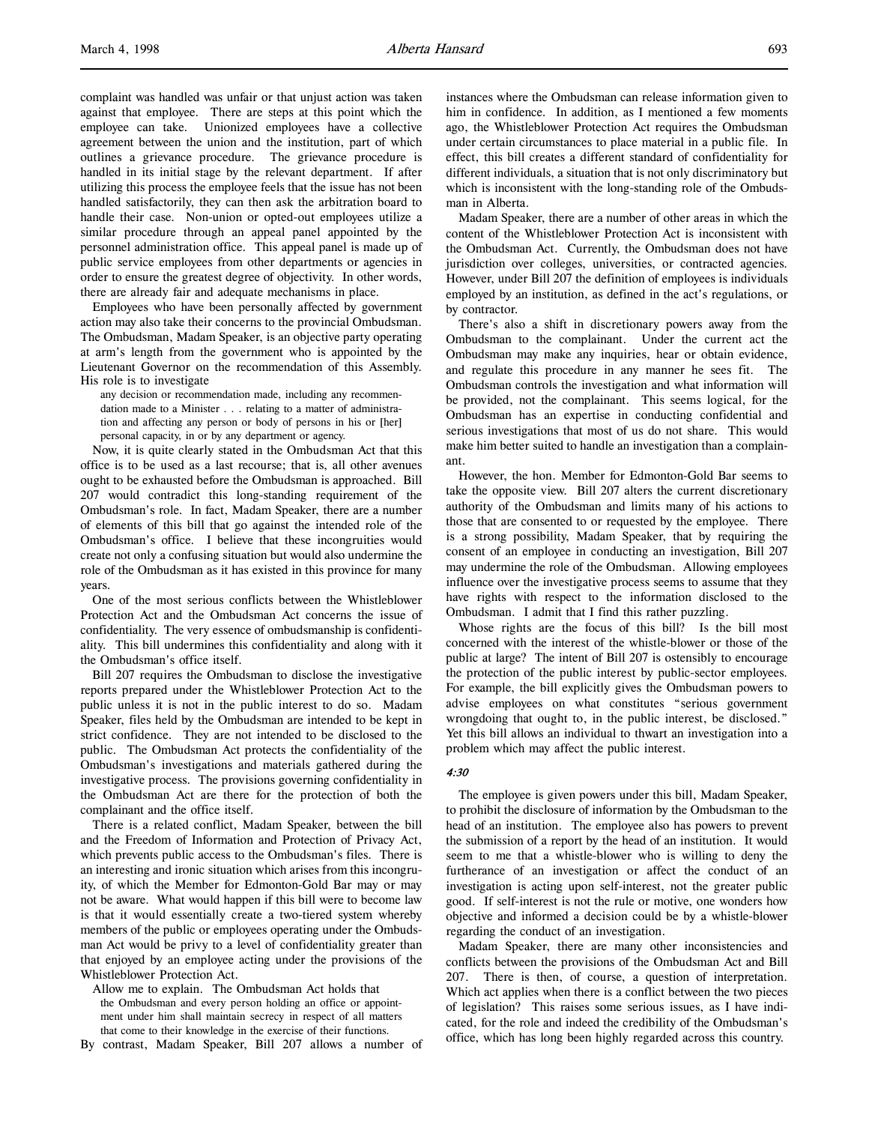complaint was handled was unfair or that unjust action was taken against that employee. There are steps at this point which the employee can take. Unionized employees have a collective agreement between the union and the institution, part of which outlines a grievance procedure. The grievance procedure is handled in its initial stage by the relevant department. If after utilizing this process the employee feels that the issue has not been handled satisfactorily, they can then ask the arbitration board to handle their case. Non-union or opted-out employees utilize a similar procedure through an appeal panel appointed by the personnel administration office. This appeal panel is made up of public service employees from other departments or agencies in order to ensure the greatest degree of objectivity. In other words, there are already fair and adequate mechanisms in place.

Employees who have been personally affected by government action may also take their concerns to the provincial Ombudsman. The Ombudsman, Madam Speaker, is an objective party operating at arm's length from the government who is appointed by the Lieutenant Governor on the recommendation of this Assembly. His role is to investigate

any decision or recommendation made, including any recommendation made to a Minister . . . relating to a matter of administration and affecting any person or body of persons in his or [her] personal capacity, in or by any department or agency.

Now, it is quite clearly stated in the Ombudsman Act that this office is to be used as a last recourse; that is, all other avenues ought to be exhausted before the Ombudsman is approached. Bill 207 would contradict this long-standing requirement of the Ombudsman's role. In fact, Madam Speaker, there are a number of elements of this bill that go against the intended role of the Ombudsman's office. I believe that these incongruities would create not only a confusing situation but would also undermine the role of the Ombudsman as it has existed in this province for many years.

One of the most serious conflicts between the Whistleblower Protection Act and the Ombudsman Act concerns the issue of confidentiality. The very essence of ombudsmanship is confidentiality. This bill undermines this confidentiality and along with it the Ombudsman's office itself.

Bill 207 requires the Ombudsman to disclose the investigative reports prepared under the Whistleblower Protection Act to the public unless it is not in the public interest to do so. Madam Speaker, files held by the Ombudsman are intended to be kept in strict confidence. They are not intended to be disclosed to the public. The Ombudsman Act protects the confidentiality of the Ombudsman's investigations and materials gathered during the investigative process. The provisions governing confidentiality in the Ombudsman Act are there for the protection of both the complainant and the office itself.

There is a related conflict, Madam Speaker, between the bill and the Freedom of Information and Protection of Privacy Act, which prevents public access to the Ombudsman's files. There is an interesting and ironic situation which arises from this incongruity, of which the Member for Edmonton-Gold Bar may or may not be aware. What would happen if this bill were to become law is that it would essentially create a two-tiered system whereby members of the public or employees operating under the Ombudsman Act would be privy to a level of confidentiality greater than that enjoyed by an employee acting under the provisions of the Whistleblower Protection Act.

Allow me to explain. The Ombudsman Act holds that the Ombudsman and every person holding an office or appointment under him shall maintain secrecy in respect of all matters that come to their knowledge in the exercise of their functions.

By contrast, Madam Speaker, Bill 207 allows a number of

instances where the Ombudsman can release information given to him in confidence. In addition, as I mentioned a few moments ago, the Whistleblower Protection Act requires the Ombudsman under certain circumstances to place material in a public file. In effect, this bill creates a different standard of confidentiality for different individuals, a situation that is not only discriminatory but which is inconsistent with the long-standing role of the Ombudsman in Alberta.

Madam Speaker, there are a number of other areas in which the content of the Whistleblower Protection Act is inconsistent with the Ombudsman Act. Currently, the Ombudsman does not have jurisdiction over colleges, universities, or contracted agencies. However, under Bill 207 the definition of employees is individuals employed by an institution, as defined in the act's regulations, or by contractor.

There's also a shift in discretionary powers away from the Ombudsman to the complainant. Under the current act the Ombudsman may make any inquiries, hear or obtain evidence, and regulate this procedure in any manner he sees fit. The Ombudsman controls the investigation and what information will be provided, not the complainant. This seems logical, for the Ombudsman has an expertise in conducting confidential and serious investigations that most of us do not share. This would make him better suited to handle an investigation than a complainant.

However, the hon. Member for Edmonton-Gold Bar seems to take the opposite view. Bill 207 alters the current discretionary authority of the Ombudsman and limits many of his actions to those that are consented to or requested by the employee. There is a strong possibility, Madam Speaker, that by requiring the consent of an employee in conducting an investigation, Bill 207 may undermine the role of the Ombudsman. Allowing employees influence over the investigative process seems to assume that they have rights with respect to the information disclosed to the Ombudsman. I admit that I find this rather puzzling.

Whose rights are the focus of this bill? Is the bill most concerned with the interest of the whistle-blower or those of the public at large? The intent of Bill 207 is ostensibly to encourage the protection of the public interest by public-sector employees. For example, the bill explicitly gives the Ombudsman powers to advise employees on what constitutes "serious government wrongdoing that ought to, in the public interest, be disclosed." Yet this bill allows an individual to thwart an investigation into a problem which may affect the public interest.

## 4:30

The employee is given powers under this bill, Madam Speaker, to prohibit the disclosure of information by the Ombudsman to the head of an institution. The employee also has powers to prevent the submission of a report by the head of an institution. It would seem to me that a whistle-blower who is willing to deny the furtherance of an investigation or affect the conduct of an investigation is acting upon self-interest, not the greater public good. If self-interest is not the rule or motive, one wonders how objective and informed a decision could be by a whistle-blower regarding the conduct of an investigation.

Madam Speaker, there are many other inconsistencies and conflicts between the provisions of the Ombudsman Act and Bill 207. There is then, of course, a question of interpretation. Which act applies when there is a conflict between the two pieces of legislation? This raises some serious issues, as I have indicated, for the role and indeed the credibility of the Ombudsman's office, which has long been highly regarded across this country.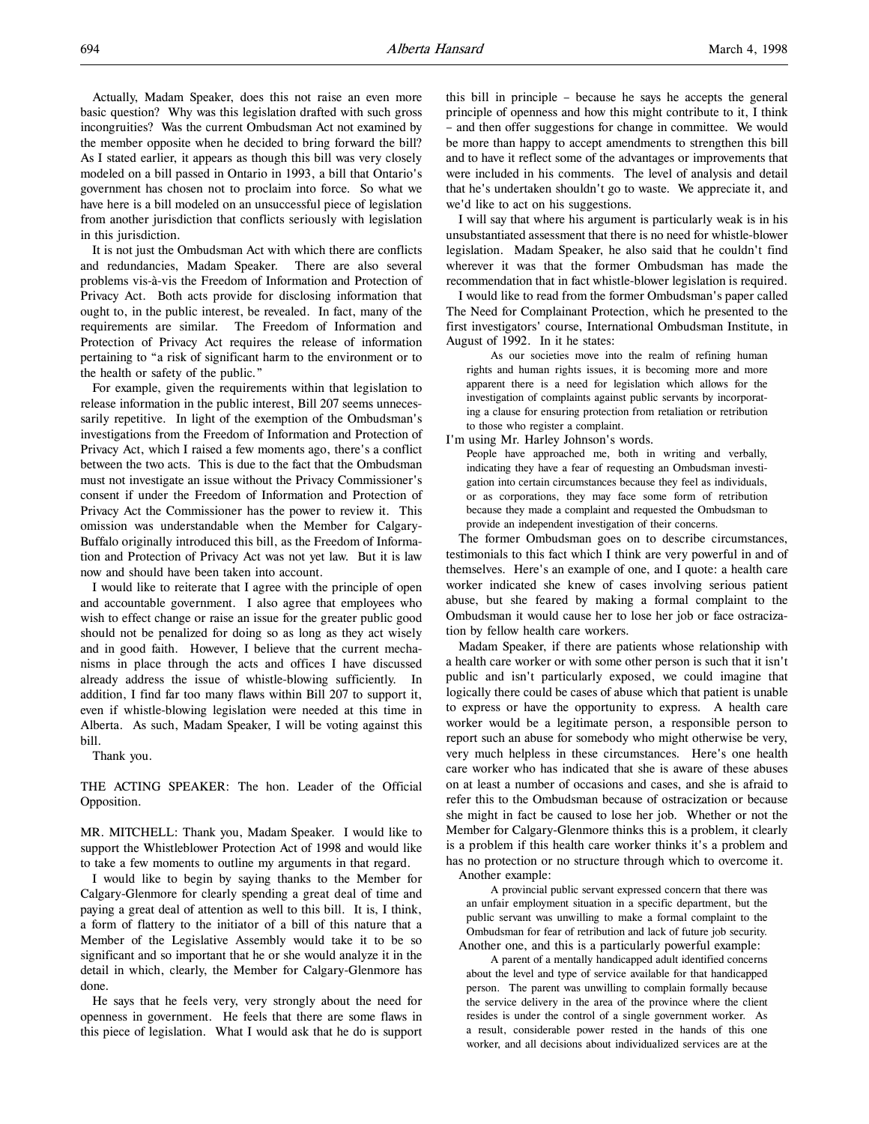Actually, Madam Speaker, does this not raise an even more basic question? Why was this legislation drafted with such gross incongruities? Was the current Ombudsman Act not examined by the member opposite when he decided to bring forward the bill? As I stated earlier, it appears as though this bill was very closely modeled on a bill passed in Ontario in 1993, a bill that Ontario's government has chosen not to proclaim into force. So what we have here is a bill modeled on an unsuccessful piece of legislation from another jurisdiction that conflicts seriously with legislation in this jurisdiction.

It is not just the Ombudsman Act with which there are conflicts and redundancies, Madam Speaker. There are also several problems vis-à-vis the Freedom of Information and Protection of Privacy Act. Both acts provide for disclosing information that ought to, in the public interest, be revealed. In fact, many of the requirements are similar. The Freedom of Information and Protection of Privacy Act requires the release of information pertaining to "a risk of significant harm to the environment or to the health or safety of the public."

For example, given the requirements within that legislation to release information in the public interest, Bill 207 seems unnecessarily repetitive. In light of the exemption of the Ombudsman's investigations from the Freedom of Information and Protection of Privacy Act, which I raised a few moments ago, there's a conflict between the two acts. This is due to the fact that the Ombudsman must not investigate an issue without the Privacy Commissioner's consent if under the Freedom of Information and Protection of Privacy Act the Commissioner has the power to review it. This omission was understandable when the Member for Calgary-Buffalo originally introduced this bill, as the Freedom of Information and Protection of Privacy Act was not yet law. But it is law now and should have been taken into account.

I would like to reiterate that I agree with the principle of open and accountable government. I also agree that employees who wish to effect change or raise an issue for the greater public good should not be penalized for doing so as long as they act wisely and in good faith. However, I believe that the current mechanisms in place through the acts and offices I have discussed already address the issue of whistle-blowing sufficiently. In addition, I find far too many flaws within Bill 207 to support it, even if whistle-blowing legislation were needed at this time in Alberta. As such, Madam Speaker, I will be voting against this bill.

Thank you.

THE ACTING SPEAKER: The hon. Leader of the Official Opposition.

MR. MITCHELL: Thank you, Madam Speaker. I would like to support the Whistleblower Protection Act of 1998 and would like to take a few moments to outline my arguments in that regard.

I would like to begin by saying thanks to the Member for Calgary-Glenmore for clearly spending a great deal of time and paying a great deal of attention as well to this bill. It is, I think, a form of flattery to the initiator of a bill of this nature that a Member of the Legislative Assembly would take it to be so significant and so important that he or she would analyze it in the detail in which, clearly, the Member for Calgary-Glenmore has done.

He says that he feels very, very strongly about the need for openness in government. He feels that there are some flaws in this piece of legislation. What I would ask that he do is support

this bill in principle – because he says he accepts the general principle of openness and how this might contribute to it, I think – and then offer suggestions for change in committee. We would be more than happy to accept amendments to strengthen this bill and to have it reflect some of the advantages or improvements that were included in his comments. The level of analysis and detail that he's undertaken shouldn't go to waste. We appreciate it, and we'd like to act on his suggestions.

I will say that where his argument is particularly weak is in his unsubstantiated assessment that there is no need for whistle-blower legislation. Madam Speaker, he also said that he couldn't find wherever it was that the former Ombudsman has made the recommendation that in fact whistle-blower legislation is required.

I would like to read from the former Ombudsman's paper called The Need for Complainant Protection, which he presented to the first investigators' course, International Ombudsman Institute, in August of 1992. In it he states:

As our societies move into the realm of refining human rights and human rights issues, it is becoming more and more apparent there is a need for legislation which allows for the investigation of complaints against public servants by incorporating a clause for ensuring protection from retaliation or retribution to those who register a complaint.

I'm using Mr. Harley Johnson's words.

People have approached me, both in writing and verbally, indicating they have a fear of requesting an Ombudsman investigation into certain circumstances because they feel as individuals, or as corporations, they may face some form of retribution because they made a complaint and requested the Ombudsman to provide an independent investigation of their concerns.

The former Ombudsman goes on to describe circumstances, testimonials to this fact which I think are very powerful in and of themselves. Here's an example of one, and I quote: a health care worker indicated she knew of cases involving serious patient abuse, but she feared by making a formal complaint to the Ombudsman it would cause her to lose her job or face ostracization by fellow health care workers.

Madam Speaker, if there are patients whose relationship with a health care worker or with some other person is such that it isn't public and isn't particularly exposed, we could imagine that logically there could be cases of abuse which that patient is unable to express or have the opportunity to express. A health care worker would be a legitimate person, a responsible person to report such an abuse for somebody who might otherwise be very, very much helpless in these circumstances. Here's one health care worker who has indicated that she is aware of these abuses on at least a number of occasions and cases, and she is afraid to refer this to the Ombudsman because of ostracization or because she might in fact be caused to lose her job. Whether or not the Member for Calgary-Glenmore thinks this is a problem, it clearly is a problem if this health care worker thinks it's a problem and has no protection or no structure through which to overcome it. Another example:

A provincial public servant expressed concern that there was an unfair employment situation in a specific department, but the public servant was unwilling to make a formal complaint to the Ombudsman for fear of retribution and lack of future job security. Another one, and this is a particularly powerful example:

A parent of a mentally handicapped adult identified concerns about the level and type of service available for that handicapped person. The parent was unwilling to complain formally because the service delivery in the area of the province where the client resides is under the control of a single government worker. As a result, considerable power rested in the hands of this one worker, and all decisions about individualized services are at the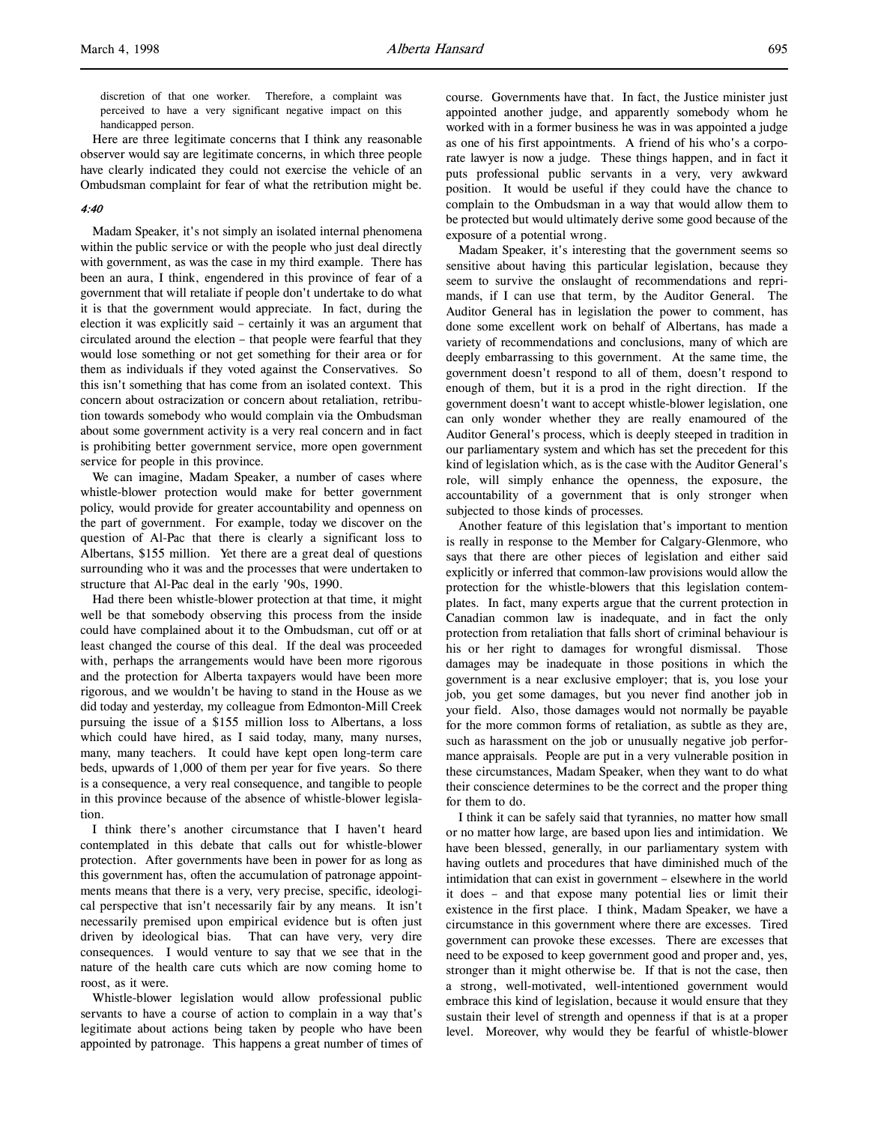discretion of that one worker. Therefore, a complaint was perceived to have a very significant negative impact on this handicapped person.

Here are three legitimate concerns that I think any reasonable observer would say are legitimate concerns, in which three people have clearly indicated they could not exercise the vehicle of an Ombudsman complaint for fear of what the retribution might be.

## 4:40

Madam Speaker, it's not simply an isolated internal phenomena within the public service or with the people who just deal directly with government, as was the case in my third example. There has been an aura, I think, engendered in this province of fear of a government that will retaliate if people don't undertake to do what it is that the government would appreciate. In fact, during the election it was explicitly said – certainly it was an argument that circulated around the election – that people were fearful that they would lose something or not get something for their area or for them as individuals if they voted against the Conservatives. So this isn't something that has come from an isolated context. This concern about ostracization or concern about retaliation, retribution towards somebody who would complain via the Ombudsman about some government activity is a very real concern and in fact is prohibiting better government service, more open government service for people in this province.

We can imagine, Madam Speaker, a number of cases where whistle-blower protection would make for better government policy, would provide for greater accountability and openness on the part of government. For example, today we discover on the question of Al-Pac that there is clearly a significant loss to Albertans, \$155 million. Yet there are a great deal of questions surrounding who it was and the processes that were undertaken to structure that Al-Pac deal in the early '90s, 1990.

Had there been whistle-blower protection at that time, it might well be that somebody observing this process from the inside could have complained about it to the Ombudsman, cut off or at least changed the course of this deal. If the deal was proceeded with, perhaps the arrangements would have been more rigorous and the protection for Alberta taxpayers would have been more rigorous, and we wouldn't be having to stand in the House as we did today and yesterday, my colleague from Edmonton-Mill Creek pursuing the issue of a \$155 million loss to Albertans, a loss which could have hired, as I said today, many, many nurses, many, many teachers. It could have kept open long-term care beds, upwards of 1,000 of them per year for five years. So there is a consequence, a very real consequence, and tangible to people in this province because of the absence of whistle-blower legislation.

I think there's another circumstance that I haven't heard contemplated in this debate that calls out for whistle-blower protection. After governments have been in power for as long as this government has, often the accumulation of patronage appointments means that there is a very, very precise, specific, ideological perspective that isn't necessarily fair by any means. It isn't necessarily premised upon empirical evidence but is often just driven by ideological bias. That can have very, very dire consequences. I would venture to say that we see that in the nature of the health care cuts which are now coming home to roost, as it were.

Whistle-blower legislation would allow professional public servants to have a course of action to complain in a way that's legitimate about actions being taken by people who have been appointed by patronage. This happens a great number of times of course. Governments have that. In fact, the Justice minister just appointed another judge, and apparently somebody whom he worked with in a former business he was in was appointed a judge as one of his first appointments. A friend of his who's a corporate lawyer is now a judge. These things happen, and in fact it puts professional public servants in a very, very awkward position. It would be useful if they could have the chance to complain to the Ombudsman in a way that would allow them to be protected but would ultimately derive some good because of the exposure of a potential wrong.

Madam Speaker, it's interesting that the government seems so sensitive about having this particular legislation, because they seem to survive the onslaught of recommendations and reprimands, if I can use that term, by the Auditor General. The Auditor General has in legislation the power to comment, has done some excellent work on behalf of Albertans, has made a variety of recommendations and conclusions, many of which are deeply embarrassing to this government. At the same time, the government doesn't respond to all of them, doesn't respond to enough of them, but it is a prod in the right direction. If the government doesn't want to accept whistle-blower legislation, one can only wonder whether they are really enamoured of the Auditor General's process, which is deeply steeped in tradition in our parliamentary system and which has set the precedent for this kind of legislation which, as is the case with the Auditor General's role, will simply enhance the openness, the exposure, the accountability of a government that is only stronger when subjected to those kinds of processes.

Another feature of this legislation that's important to mention is really in response to the Member for Calgary-Glenmore, who says that there are other pieces of legislation and either said explicitly or inferred that common-law provisions would allow the protection for the whistle-blowers that this legislation contemplates. In fact, many experts argue that the current protection in Canadian common law is inadequate, and in fact the only protection from retaliation that falls short of criminal behaviour is his or her right to damages for wrongful dismissal. Those damages may be inadequate in those positions in which the government is a near exclusive employer; that is, you lose your job, you get some damages, but you never find another job in your field. Also, those damages would not normally be payable for the more common forms of retaliation, as subtle as they are, such as harassment on the job or unusually negative job performance appraisals. People are put in a very vulnerable position in these circumstances, Madam Speaker, when they want to do what their conscience determines to be the correct and the proper thing for them to do.

I think it can be safely said that tyrannies, no matter how small or no matter how large, are based upon lies and intimidation. We have been blessed, generally, in our parliamentary system with having outlets and procedures that have diminished much of the intimidation that can exist in government – elsewhere in the world it does – and that expose many potential lies or limit their existence in the first place. I think, Madam Speaker, we have a circumstance in this government where there are excesses. Tired government can provoke these excesses. There are excesses that need to be exposed to keep government good and proper and, yes, stronger than it might otherwise be. If that is not the case, then a strong, well-motivated, well-intentioned government would embrace this kind of legislation, because it would ensure that they sustain their level of strength and openness if that is at a proper level. Moreover, why would they be fearful of whistle-blower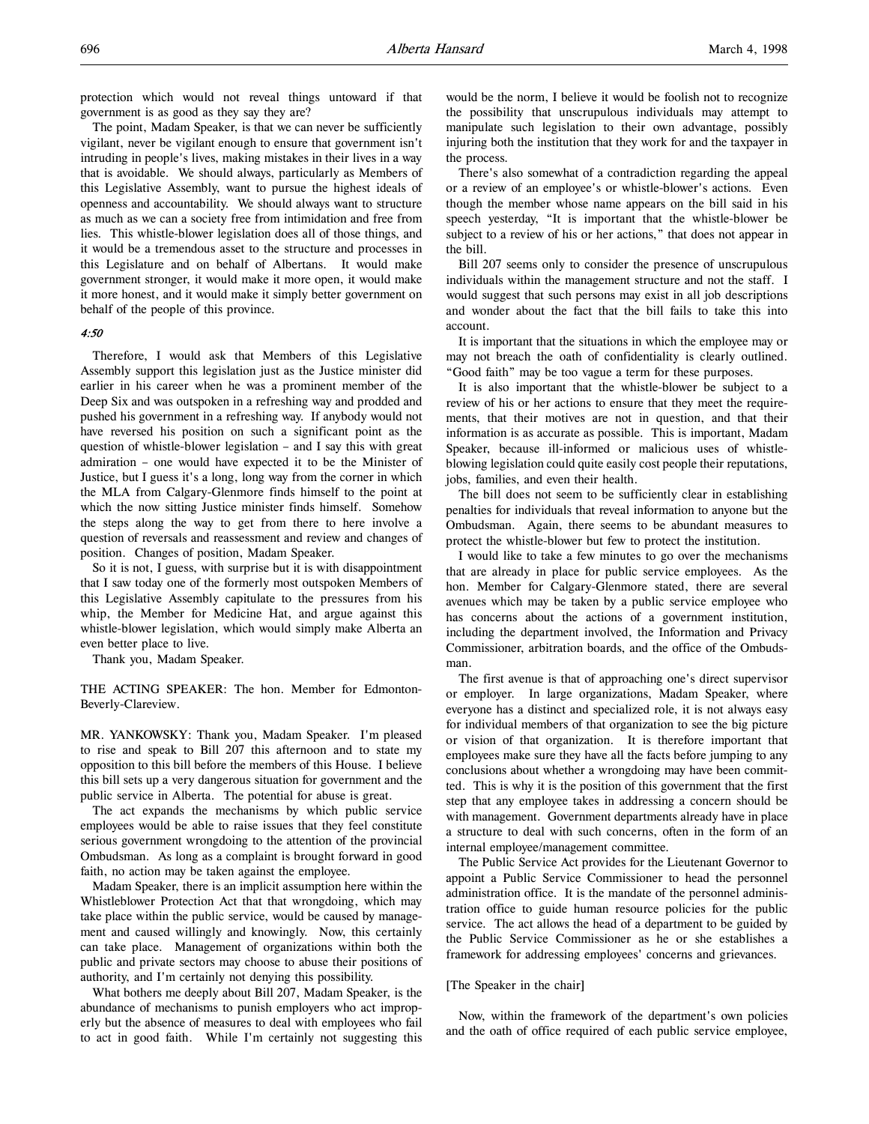protection which would not reveal things untoward if that government is as good as they say they are?

The point, Madam Speaker, is that we can never be sufficiently vigilant, never be vigilant enough to ensure that government isn't intruding in people's lives, making mistakes in their lives in a way that is avoidable. We should always, particularly as Members of this Legislative Assembly, want to pursue the highest ideals of openness and accountability. We should always want to structure as much as we can a society free from intimidation and free from lies. This whistle-blower legislation does all of those things, and it would be a tremendous asset to the structure and processes in this Legislature and on behalf of Albertans. It would make government stronger, it would make it more open, it would make it more honest, and it would make it simply better government on behalf of the people of this province.

#### 4:50

Therefore, I would ask that Members of this Legislative Assembly support this legislation just as the Justice minister did earlier in his career when he was a prominent member of the Deep Six and was outspoken in a refreshing way and prodded and pushed his government in a refreshing way. If anybody would not have reversed his position on such a significant point as the question of whistle-blower legislation – and I say this with great admiration – one would have expected it to be the Minister of Justice, but I guess it's a long, long way from the corner in which the MLA from Calgary-Glenmore finds himself to the point at which the now sitting Justice minister finds himself. Somehow the steps along the way to get from there to here involve a question of reversals and reassessment and review and changes of position. Changes of position, Madam Speaker.

So it is not, I guess, with surprise but it is with disappointment that I saw today one of the formerly most outspoken Members of this Legislative Assembly capitulate to the pressures from his whip, the Member for Medicine Hat, and argue against this whistle-blower legislation, which would simply make Alberta an even better place to live.

Thank you, Madam Speaker.

THE ACTING SPEAKER: The hon. Member for Edmonton-Beverly-Clareview.

MR. YANKOWSKY: Thank you, Madam Speaker. I'm pleased to rise and speak to Bill 207 this afternoon and to state my opposition to this bill before the members of this House. I believe this bill sets up a very dangerous situation for government and the public service in Alberta. The potential for abuse is great.

The act expands the mechanisms by which public service employees would be able to raise issues that they feel constitute serious government wrongdoing to the attention of the provincial Ombudsman. As long as a complaint is brought forward in good faith, no action may be taken against the employee.

Madam Speaker, there is an implicit assumption here within the Whistleblower Protection Act that that wrongdoing, which may take place within the public service, would be caused by management and caused willingly and knowingly. Now, this certainly can take place. Management of organizations within both the public and private sectors may choose to abuse their positions of authority, and I'm certainly not denying this possibility.

What bothers me deeply about Bill 207, Madam Speaker, is the abundance of mechanisms to punish employers who act improperly but the absence of measures to deal with employees who fail to act in good faith. While I'm certainly not suggesting this

would be the norm, I believe it would be foolish not to recognize the possibility that unscrupulous individuals may attempt to manipulate such legislation to their own advantage, possibly injuring both the institution that they work for and the taxpayer in the process.

There's also somewhat of a contradiction regarding the appeal or a review of an employee's or whistle-blower's actions. Even though the member whose name appears on the bill said in his speech yesterday, "It is important that the whistle-blower be subject to a review of his or her actions," that does not appear in the bill.

Bill 207 seems only to consider the presence of unscrupulous individuals within the management structure and not the staff. I would suggest that such persons may exist in all job descriptions and wonder about the fact that the bill fails to take this into account.

It is important that the situations in which the employee may or may not breach the oath of confidentiality is clearly outlined. "Good faith" may be too vague a term for these purposes.

It is also important that the whistle-blower be subject to a review of his or her actions to ensure that they meet the requirements, that their motives are not in question, and that their information is as accurate as possible. This is important, Madam Speaker, because ill-informed or malicious uses of whistleblowing legislation could quite easily cost people their reputations, jobs, families, and even their health.

The bill does not seem to be sufficiently clear in establishing penalties for individuals that reveal information to anyone but the Ombudsman. Again, there seems to be abundant measures to protect the whistle-blower but few to protect the institution.

I would like to take a few minutes to go over the mechanisms that are already in place for public service employees. As the hon. Member for Calgary-Glenmore stated, there are several avenues which may be taken by a public service employee who has concerns about the actions of a government institution, including the department involved, the Information and Privacy Commissioner, arbitration boards, and the office of the Ombudsman.

The first avenue is that of approaching one's direct supervisor or employer. In large organizations, Madam Speaker, where everyone has a distinct and specialized role, it is not always easy for individual members of that organization to see the big picture or vision of that organization. It is therefore important that employees make sure they have all the facts before jumping to any conclusions about whether a wrongdoing may have been committed. This is why it is the position of this government that the first step that any employee takes in addressing a concern should be with management. Government departments already have in place a structure to deal with such concerns, often in the form of an internal employee/management committee.

The Public Service Act provides for the Lieutenant Governor to appoint a Public Service Commissioner to head the personnel administration office. It is the mandate of the personnel administration office to guide human resource policies for the public service. The act allows the head of a department to be guided by the Public Service Commissioner as he or she establishes a framework for addressing employees' concerns and grievances.

## [The Speaker in the chair]

Now, within the framework of the department's own policies and the oath of office required of each public service employee,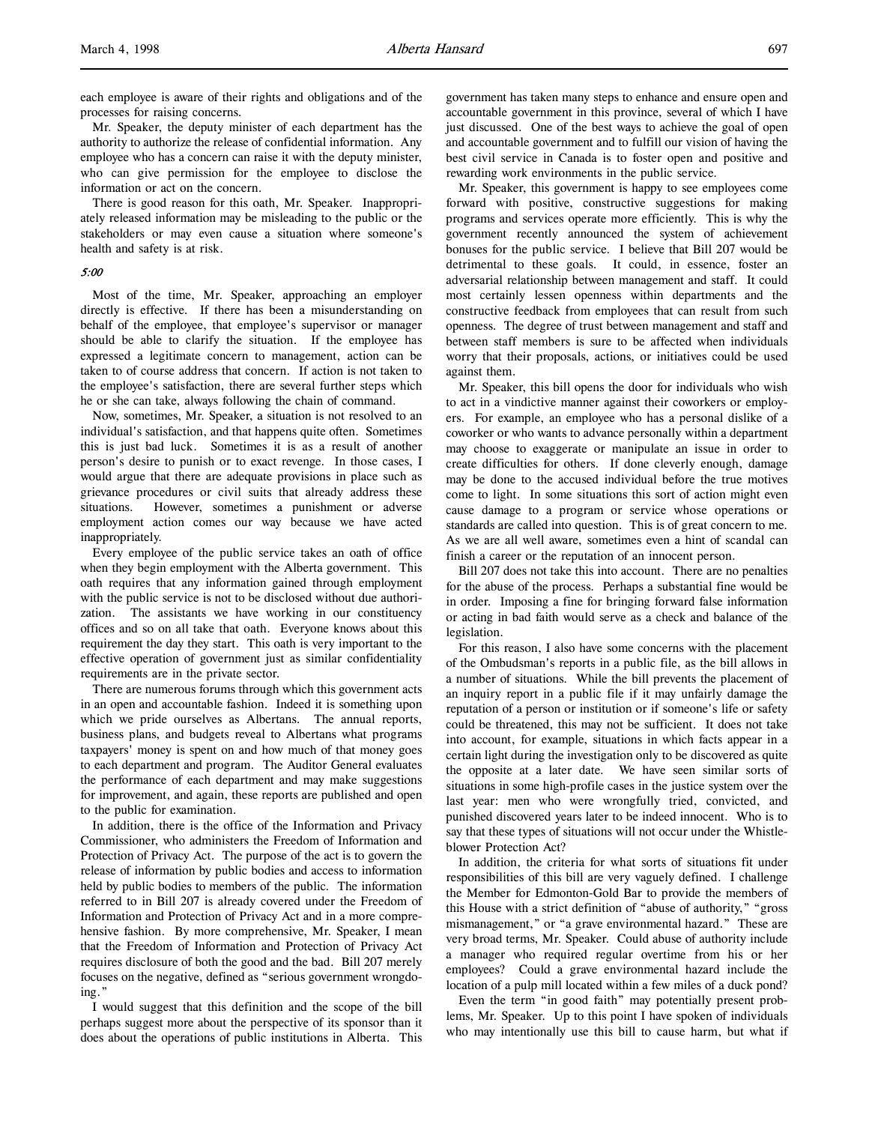each employee is aware of their rights and obligations and of the processes for raising concerns.

Mr. Speaker, the deputy minister of each department has the authority to authorize the release of confidential information. Any employee who has a concern can raise it with the deputy minister, who can give permission for the employee to disclose the information or act on the concern.

There is good reason for this oath, Mr. Speaker. Inappropriately released information may be misleading to the public or the stakeholders or may even cause a situation where someone's health and safety is at risk.

#### 5:00

Most of the time, Mr. Speaker, approaching an employer directly is effective. If there has been a misunderstanding on behalf of the employee, that employee's supervisor or manager should be able to clarify the situation. If the employee has expressed a legitimate concern to management, action can be taken to of course address that concern. If action is not taken to the employee's satisfaction, there are several further steps which he or she can take, always following the chain of command.

Now, sometimes, Mr. Speaker, a situation is not resolved to an individual's satisfaction, and that happens quite often. Sometimes this is just bad luck. Sometimes it is as a result of another person's desire to punish or to exact revenge. In those cases, I would argue that there are adequate provisions in place such as grievance procedures or civil suits that already address these situations. However, sometimes a punishment or adverse employment action comes our way because we have acted inappropriately.

Every employee of the public service takes an oath of office when they begin employment with the Alberta government. This oath requires that any information gained through employment with the public service is not to be disclosed without due authorization. The assistants we have working in our constituency offices and so on all take that oath. Everyone knows about this requirement the day they start. This oath is very important to the effective operation of government just as similar confidentiality requirements are in the private sector.

There are numerous forums through which this government acts in an open and accountable fashion. Indeed it is something upon which we pride ourselves as Albertans. The annual reports, business plans, and budgets reveal to Albertans what programs taxpayers' money is spent on and how much of that money goes to each department and program. The Auditor General evaluates the performance of each department and may make suggestions for improvement, and again, these reports are published and open to the public for examination.

In addition, there is the office of the Information and Privacy Commissioner, who administers the Freedom of Information and Protection of Privacy Act. The purpose of the act is to govern the release of information by public bodies and access to information held by public bodies to members of the public. The information referred to in Bill 207 is already covered under the Freedom of Information and Protection of Privacy Act and in a more comprehensive fashion. By more comprehensive, Mr. Speaker, I mean that the Freedom of Information and Protection of Privacy Act requires disclosure of both the good and the bad. Bill 207 merely focuses on the negative, defined as "serious government wrongdoing."

I would suggest that this definition and the scope of the bill perhaps suggest more about the perspective of its sponsor than it does about the operations of public institutions in Alberta. This

government has taken many steps to enhance and ensure open and accountable government in this province, several of which I have just discussed. One of the best ways to achieve the goal of open and accountable government and to fulfill our vision of having the best civil service in Canada is to foster open and positive and rewarding work environments in the public service.

Mr. Speaker, this government is happy to see employees come forward with positive, constructive suggestions for making programs and services operate more efficiently. This is why the government recently announced the system of achievement bonuses for the public service. I believe that Bill 207 would be detrimental to these goals. It could, in essence, foster an adversarial relationship between management and staff. It could most certainly lessen openness within departments and the constructive feedback from employees that can result from such openness. The degree of trust between management and staff and between staff members is sure to be affected when individuals worry that their proposals, actions, or initiatives could be used against them.

Mr. Speaker, this bill opens the door for individuals who wish to act in a vindictive manner against their coworkers or employers. For example, an employee who has a personal dislike of a coworker or who wants to advance personally within a department may choose to exaggerate or manipulate an issue in order to create difficulties for others. If done cleverly enough, damage may be done to the accused individual before the true motives come to light. In some situations this sort of action might even cause damage to a program or service whose operations or standards are called into question. This is of great concern to me. As we are all well aware, sometimes even a hint of scandal can finish a career or the reputation of an innocent person.

Bill 207 does not take this into account. There are no penalties for the abuse of the process. Perhaps a substantial fine would be in order. Imposing a fine for bringing forward false information or acting in bad faith would serve as a check and balance of the legislation.

For this reason, I also have some concerns with the placement of the Ombudsman's reports in a public file, as the bill allows in a number of situations. While the bill prevents the placement of an inquiry report in a public file if it may unfairly damage the reputation of a person or institution or if someone's life or safety could be threatened, this may not be sufficient. It does not take into account, for example, situations in which facts appear in a certain light during the investigation only to be discovered as quite the opposite at a later date. We have seen similar sorts of situations in some high-profile cases in the justice system over the last year: men who were wrongfully tried, convicted, and punished discovered years later to be indeed innocent. Who is to say that these types of situations will not occur under the Whistleblower Protection Act?

In addition, the criteria for what sorts of situations fit under responsibilities of this bill are very vaguely defined. I challenge the Member for Edmonton-Gold Bar to provide the members of this House with a strict definition of "abuse of authority," "gross mismanagement," or "a grave environmental hazard." These are very broad terms, Mr. Speaker. Could abuse of authority include a manager who required regular overtime from his or her employees? Could a grave environmental hazard include the location of a pulp mill located within a few miles of a duck pond?

Even the term "in good faith" may potentially present problems, Mr. Speaker. Up to this point I have spoken of individuals who may intentionally use this bill to cause harm, but what if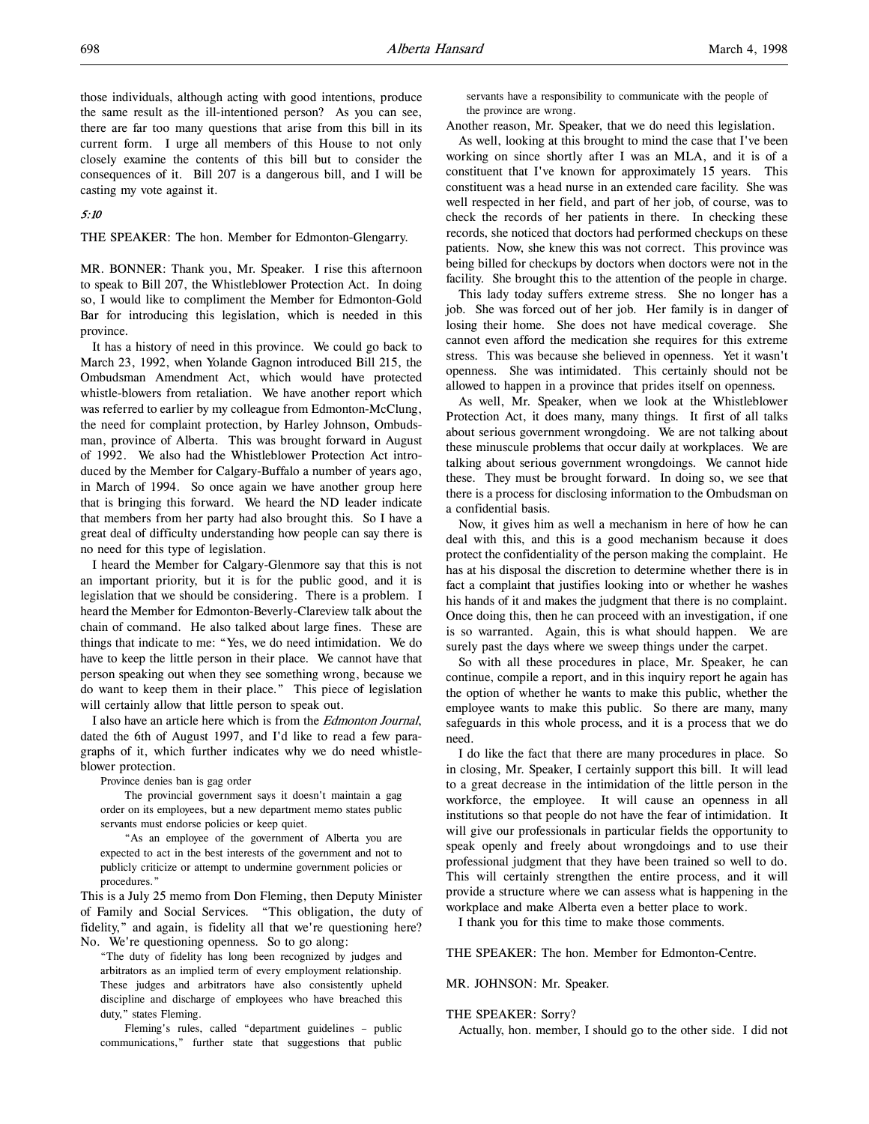those individuals, although acting with good intentions, produce the same result as the ill-intentioned person? As you can see, there are far too many questions that arise from this bill in its current form. I urge all members of this House to not only closely examine the contents of this bill but to consider the consequences of it. Bill 207 is a dangerous bill, and I will be casting my vote against it.

## 5:10

THE SPEAKER: The hon. Member for Edmonton-Glengarry.

MR. BONNER: Thank you, Mr. Speaker. I rise this afternoon to speak to Bill 207, the Whistleblower Protection Act. In doing so, I would like to compliment the Member for Edmonton-Gold Bar for introducing this legislation, which is needed in this province.

It has a history of need in this province. We could go back to March 23, 1992, when Yolande Gagnon introduced Bill 215, the Ombudsman Amendment Act, which would have protected whistle-blowers from retaliation. We have another report which was referred to earlier by my colleague from Edmonton-McClung, the need for complaint protection, by Harley Johnson, Ombudsman, province of Alberta. This was brought forward in August of 1992. We also had the Whistleblower Protection Act introduced by the Member for Calgary-Buffalo a number of years ago, in March of 1994. So once again we have another group here that is bringing this forward. We heard the ND leader indicate that members from her party had also brought this. So I have a great deal of difficulty understanding how people can say there is no need for this type of legislation.

I heard the Member for Calgary-Glenmore say that this is not an important priority, but it is for the public good, and it is legislation that we should be considering. There is a problem. I heard the Member for Edmonton-Beverly-Clareview talk about the chain of command. He also talked about large fines. These are things that indicate to me: "Yes, we do need intimidation. We do have to keep the little person in their place. We cannot have that person speaking out when they see something wrong, because we do want to keep them in their place." This piece of legislation will certainly allow that little person to speak out.

I also have an article here which is from the Edmonton Journal, dated the 6th of August 1997, and I'd like to read a few paragraphs of it, which further indicates why we do need whistleblower protection.

Province denies ban is gag order

The provincial government says it doesn't maintain a gag order on its employees, but a new department memo states public servants must endorse policies or keep quiet.

"As an employee of the government of Alberta you are expected to act in the best interests of the government and not to publicly criticize or attempt to undermine government policies or procedures."

This is a July 25 memo from Don Fleming, then Deputy Minister of Family and Social Services. "This obligation, the duty of fidelity," and again, is fidelity all that we're questioning here? No. We're questioning openness. So to go along:

"The duty of fidelity has long been recognized by judges and arbitrators as an implied term of every employment relationship. These judges and arbitrators have also consistently upheld discipline and discharge of employees who have breached this duty," states Fleming.

Fleming's rules, called "department guidelines – public communications," further state that suggestions that public

servants have a responsibility to communicate with the people of the province are wrong.

Another reason, Mr. Speaker, that we do need this legislation.

As well, looking at this brought to mind the case that I've been working on since shortly after I was an MLA, and it is of a constituent that I've known for approximately 15 years. This constituent was a head nurse in an extended care facility. She was well respected in her field, and part of her job, of course, was to check the records of her patients in there. In checking these records, she noticed that doctors had performed checkups on these patients. Now, she knew this was not correct. This province was being billed for checkups by doctors when doctors were not in the facility. She brought this to the attention of the people in charge.

This lady today suffers extreme stress. She no longer has a job. She was forced out of her job. Her family is in danger of losing their home. She does not have medical coverage. She cannot even afford the medication she requires for this extreme stress. This was because she believed in openness. Yet it wasn't openness. She was intimidated. This certainly should not be allowed to happen in a province that prides itself on openness.

As well, Mr. Speaker, when we look at the Whistleblower Protection Act, it does many, many things. It first of all talks about serious government wrongdoing. We are not talking about these minuscule problems that occur daily at workplaces. We are talking about serious government wrongdoings. We cannot hide these. They must be brought forward. In doing so, we see that there is a process for disclosing information to the Ombudsman on a confidential basis.

Now, it gives him as well a mechanism in here of how he can deal with this, and this is a good mechanism because it does protect the confidentiality of the person making the complaint. He has at his disposal the discretion to determine whether there is in fact a complaint that justifies looking into or whether he washes his hands of it and makes the judgment that there is no complaint. Once doing this, then he can proceed with an investigation, if one is so warranted. Again, this is what should happen. We are surely past the days where we sweep things under the carpet.

So with all these procedures in place, Mr. Speaker, he can continue, compile a report, and in this inquiry report he again has the option of whether he wants to make this public, whether the employee wants to make this public. So there are many, many safeguards in this whole process, and it is a process that we do need.

I do like the fact that there are many procedures in place. So in closing, Mr. Speaker, I certainly support this bill. It will lead to a great decrease in the intimidation of the little person in the workforce, the employee. It will cause an openness in all institutions so that people do not have the fear of intimidation. It will give our professionals in particular fields the opportunity to speak openly and freely about wrongdoings and to use their professional judgment that they have been trained so well to do. This will certainly strengthen the entire process, and it will provide a structure where we can assess what is happening in the workplace and make Alberta even a better place to work.

I thank you for this time to make those comments.

THE SPEAKER: The hon. Member for Edmonton-Centre.

MR. JOHNSON: Mr. Speaker.

## THE SPEAKER: Sorry?

Actually, hon. member, I should go to the other side. I did not